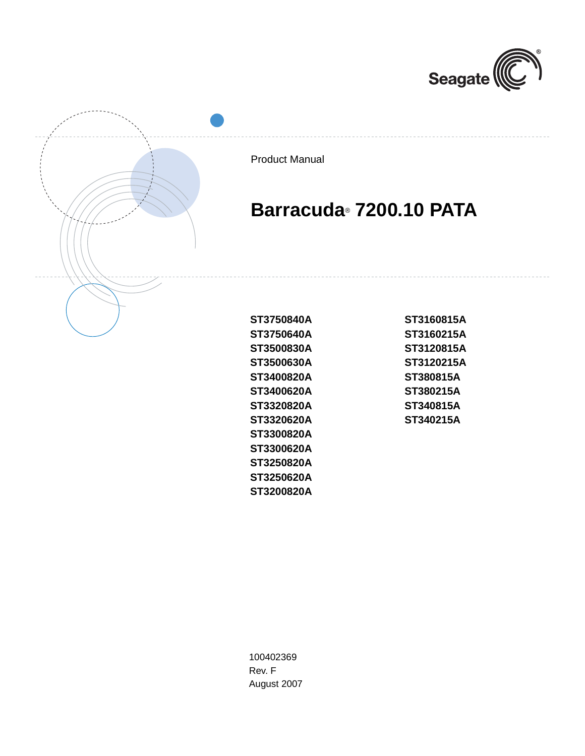



Product Manual

# **Barracuda**® **7200.10 PATA**

**ST3160815A ST3160215A ST3120815A ST3120215A ST380815A ST380215A ST340815A ST340215A**

**ST3750840A ST3750640A ST3500830A ST3500630A ST3400820A ST3400620A ST3320820A ST3320620A ST3300820A ST3300620A ST3250820A ST3250620A ST3200820A**

100402369 Rev. F August 2007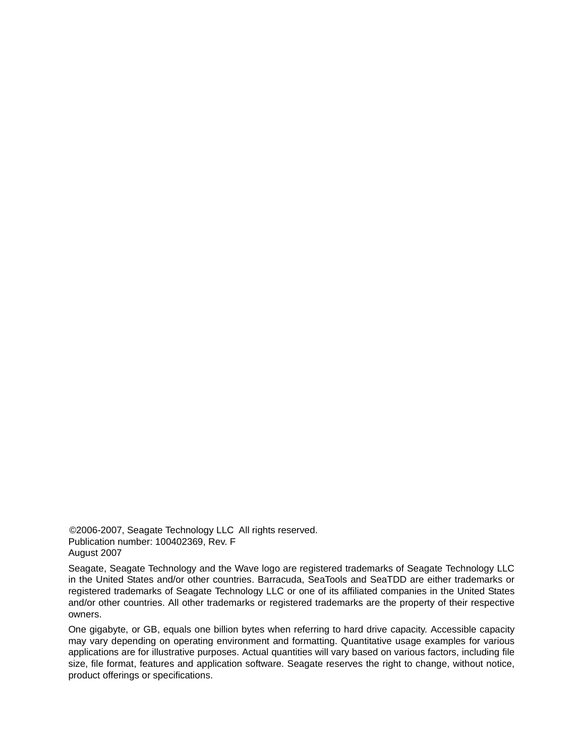©2006-2007, Seagate Technology LLC All rights reserved. Publication number: 100402369, Rev. F August 2007

Seagate, Seagate Technology and the Wave logo are registered trademarks of Seagate Technology LLC in the United States and/or other countries. Barracuda, SeaTools and SeaTDD are either trademarks or registered trademarks of Seagate Technology LLC or one of its affiliated companies in the United States and/or other countries. All other trademarks or registered trademarks are the property of their respective owners.

One gigabyte, or GB, equals one billion bytes when referring to hard drive capacity. Accessible capacity may vary depending on operating environment and formatting. Quantitative usage examples for various applications are for illustrative purposes. Actual quantities will vary based on various factors, including file size, file format, features and application software. Seagate reserves the right to change, without notice, product offerings or specifications.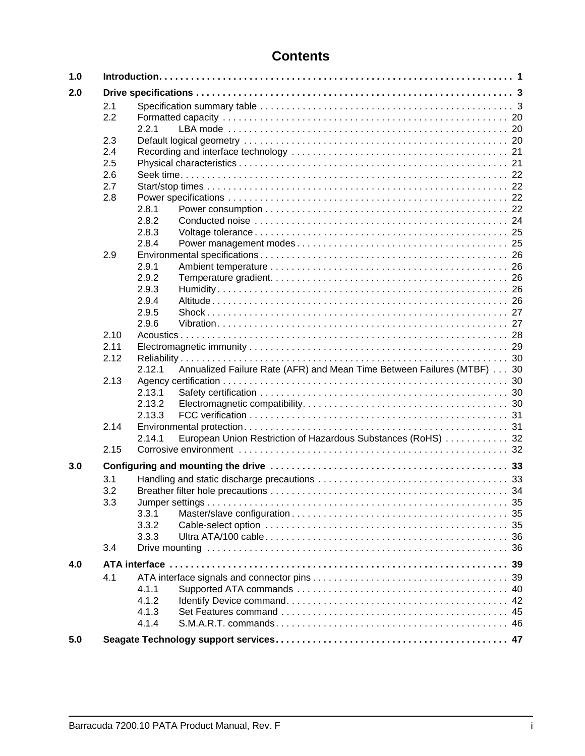## **Contents**

| 1.0 |      |                                                                                  |  |  |
|-----|------|----------------------------------------------------------------------------------|--|--|
| 2.0 |      |                                                                                  |  |  |
|     | 2.1  |                                                                                  |  |  |
|     | 2.2  |                                                                                  |  |  |
|     |      | 2.2.1                                                                            |  |  |
|     | 2.3  |                                                                                  |  |  |
|     | 2.4  |                                                                                  |  |  |
|     | 2.5  |                                                                                  |  |  |
|     | 2.6  |                                                                                  |  |  |
|     | 2.7  |                                                                                  |  |  |
|     |      |                                                                                  |  |  |
|     | 2.8  |                                                                                  |  |  |
|     |      | 2.8.1                                                                            |  |  |
|     |      | 2.8.2                                                                            |  |  |
|     |      | 2.8.3                                                                            |  |  |
|     |      | 2.8.4                                                                            |  |  |
|     | 2.9  |                                                                                  |  |  |
|     |      | 2.9.1                                                                            |  |  |
|     |      | 2.9.2                                                                            |  |  |
|     |      | 2.9.3                                                                            |  |  |
|     |      | 2.9.4                                                                            |  |  |
|     |      | 2.9.5                                                                            |  |  |
|     |      | 2.9.6                                                                            |  |  |
|     | 2.10 |                                                                                  |  |  |
|     | 2.11 |                                                                                  |  |  |
|     | 2.12 |                                                                                  |  |  |
|     |      | Annualized Failure Rate (AFR) and Mean Time Between Failures (MTBF) 30<br>2.12.1 |  |  |
|     | 2.13 |                                                                                  |  |  |
|     |      | 2.13.1                                                                           |  |  |
|     |      |                                                                                  |  |  |
|     |      | 2.13.2                                                                           |  |  |
|     |      | 2.13.3                                                                           |  |  |
|     | 2.14 |                                                                                  |  |  |
|     |      | European Union Restriction of Hazardous Substances (RoHS)  32<br>2.14.1          |  |  |
|     | 2.15 |                                                                                  |  |  |
| 3.0 |      |                                                                                  |  |  |
|     | 3.1  |                                                                                  |  |  |
|     | 3.2  |                                                                                  |  |  |
|     | 3.3  | -35                                                                              |  |  |
|     |      | 3.3.1                                                                            |  |  |
|     |      | 3.3.2                                                                            |  |  |
|     |      | 3.3.3                                                                            |  |  |
|     | 3.4  |                                                                                  |  |  |
| 4.0 |      | ATA interface<br>39                                                              |  |  |
|     | 4.1  |                                                                                  |  |  |
|     |      |                                                                                  |  |  |
|     |      | 4.1.1                                                                            |  |  |
|     |      | 4.1.2                                                                            |  |  |
|     |      | 4.1.3                                                                            |  |  |
|     |      | 4.1.4                                                                            |  |  |
| 5.0 |      |                                                                                  |  |  |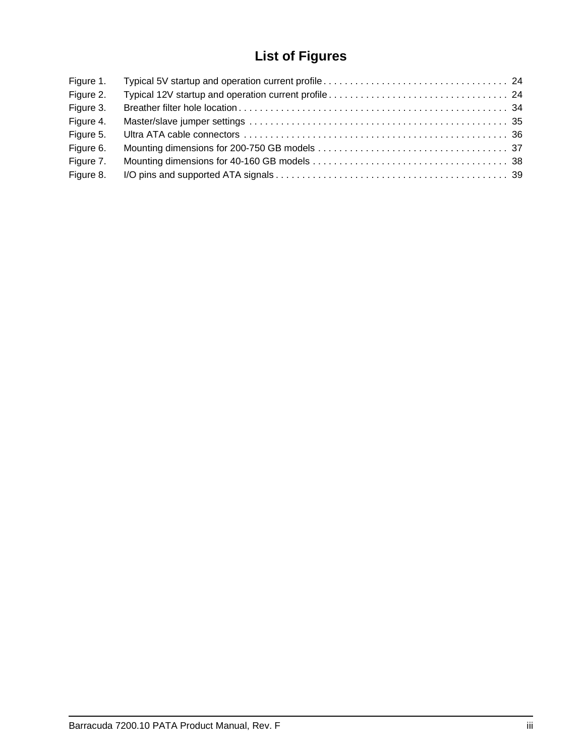# **List of Figures**

| Figure 1. |  |
|-----------|--|
| Figure 2. |  |
| Figure 3. |  |
| Figure 4. |  |
| Figure 5. |  |
| Figure 6. |  |
| Figure 7. |  |
| Figure 8. |  |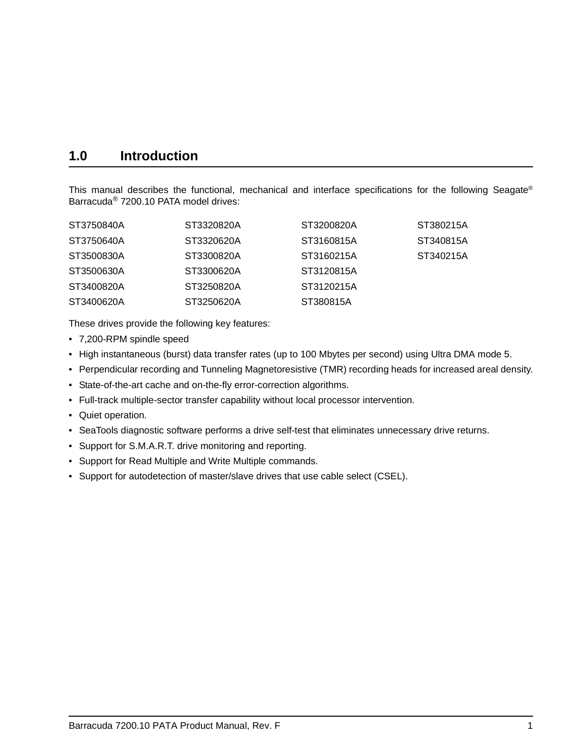## <span id="page-6-0"></span>**1.0 Introduction**

This manual describes the functional, mechanical and interface specifications for the following Seagate® Barracuda® 7200.10 PATA model drives:

| ST3750840A | ST3320820A | ST3200820A | ST380215A |
|------------|------------|------------|-----------|
| ST3750640A | ST3320620A | ST3160815A | ST340815A |
| ST3500830A | ST3300820A | ST3160215A | ST340215A |
| ST3500630A | ST3300620A | ST3120815A |           |
| ST3400820A | ST3250820A | ST3120215A |           |
| ST3400620A | ST3250620A | ST380815A  |           |

These drives provide the following key features:

- 7,200-RPM spindle speed
- <span id="page-6-6"></span><span id="page-6-3"></span>• High instantaneous (burst) data transfer rates (up to 100 Mbytes per second) using Ultra DMA mode 5.
- <span id="page-6-15"></span><span id="page-6-11"></span><span id="page-6-1"></span>• Perpendicular recording and Tunneling Magnetoresistive (TMR) recording heads for increased areal density.
- <span id="page-6-10"></span><span id="page-6-5"></span>• State-of-the-art cache and on-the-fly error-correction algorithms.
- Full-track multiple-sector transfer capability without local processor intervention.
- Quiet operation.
- <span id="page-6-17"></span><span id="page-6-9"></span><span id="page-6-7"></span>• SeaTools diagnostic software performs a drive self-test that eliminates unnecessary drive returns.
- <span id="page-6-16"></span><span id="page-6-13"></span><span id="page-6-8"></span>• Support for S.M.A.R.T. drive monitoring and reporting.
- <span id="page-6-18"></span><span id="page-6-14"></span>• Support for Read Multiple and Write Multiple commands.
- <span id="page-6-12"></span><span id="page-6-4"></span><span id="page-6-2"></span>• Support for autodetection of master/slave drives that use cable select (CSEL).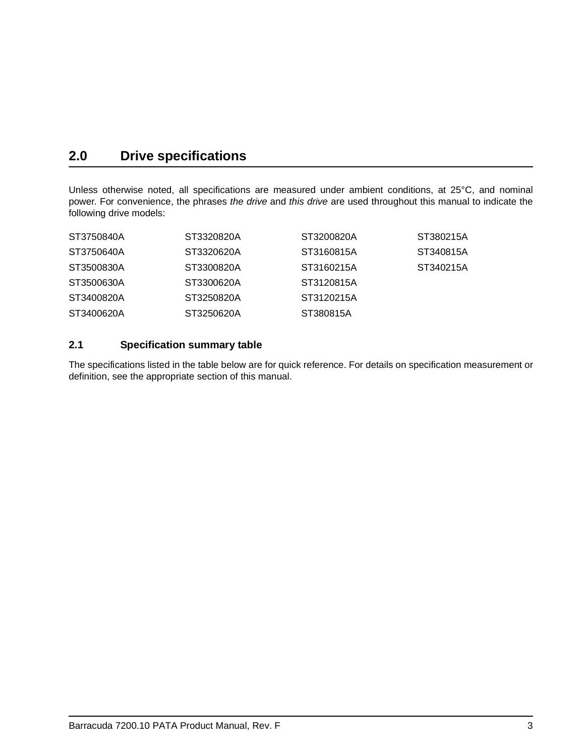## <span id="page-8-4"></span><span id="page-8-0"></span>**2.0 Drive specifications**

<span id="page-8-3"></span><span id="page-8-2"></span>Unless otherwise noted, all specifications are measured under ambient conditions, at 25°C, and nominal power. For convenience, the phrases *the drive* and *this drive* are used throughout this manual to indicate the following drive models:

| ST3750840A | ST3320820A | ST3200820A | ST380215A |
|------------|------------|------------|-----------|
| ST3750640A | ST3320620A | ST3160815A | ST340815A |
| ST3500830A | ST3300820A | ST3160215A | ST340215A |
| ST3500630A | ST3300620A | ST3120815A |           |
| ST3400820A | ST3250820A | ST3120215A |           |
| ST3400620A | ST3250620A | ST380815A  |           |

### <span id="page-8-1"></span>**2.1 Specification summary table**

The specifications listed in the table below are for quick reference. For details on specification measurement or definition, see the appropriate section of this manual.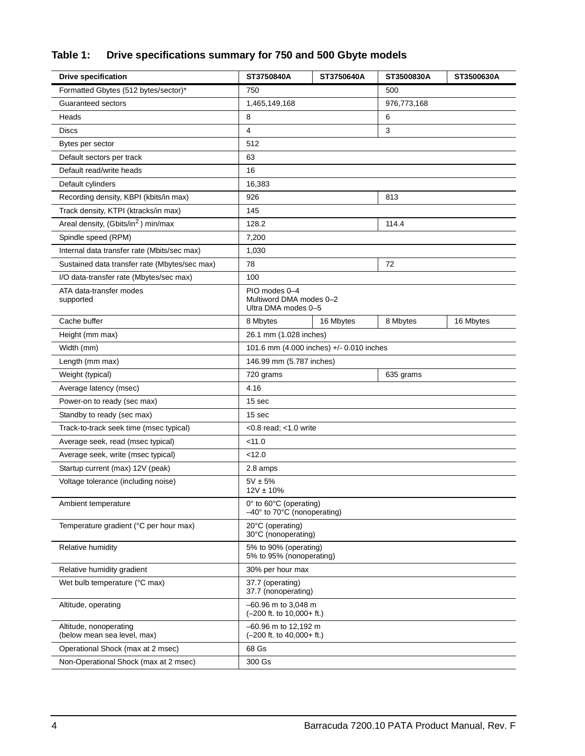## **Table 1: Drive specifications summary for 750 and 500 Gbyte models**

| <b>Drive specification</b>                            | ST3750840A                                                             | ST3750640A | ST3500830A  | ST3500630A |  |
|-------------------------------------------------------|------------------------------------------------------------------------|------------|-------------|------------|--|
| Formatted Gbytes (512 bytes/sector)*                  | 750                                                                    |            | 500         |            |  |
| Guaranteed sectors                                    | 1,465,149,168                                                          |            | 976,773,168 |            |  |
| Heads                                                 | 8                                                                      |            | 6           |            |  |
| <b>Discs</b>                                          | 4                                                                      |            | 3           |            |  |
| Bytes per sector                                      | 512                                                                    |            |             |            |  |
| Default sectors per track                             | 63                                                                     |            |             |            |  |
| Default read/write heads                              | 16                                                                     |            |             |            |  |
| Default cylinders                                     | 16,383                                                                 |            |             |            |  |
| Recording density, KBPI (kbits/in max)                | 926                                                                    |            | 813         |            |  |
| Track density, KTPI (ktracks/in max)                  | 145                                                                    |            |             |            |  |
| Areal density, (Gbits/in <sup>2</sup> ) min/max       | 128.2                                                                  |            | 114.4       |            |  |
| Spindle speed (RPM)                                   | 7,200                                                                  |            |             |            |  |
| Internal data transfer rate (Mbits/sec max)           | 1,030                                                                  |            |             |            |  |
| Sustained data transfer rate (Mbytes/sec max)         | 78                                                                     |            | 72          |            |  |
| I/O data-transfer rate (Mbytes/sec max)               | 100                                                                    |            |             |            |  |
| ATA data-transfer modes<br>supported                  | PIO modes 0-4<br>Multiword DMA modes 0-2<br>Ultra DMA modes 0-5        |            |             |            |  |
| Cache buffer                                          | 8 Mbytes                                                               | 16 Mbytes  | 8 Mbytes    | 16 Mbytes  |  |
| Height (mm max)                                       | 26.1 mm (1.028 inches)                                                 |            |             |            |  |
| Width (mm)                                            | 101.6 mm (4.000 inches) +/- 0.010 inches                               |            |             |            |  |
| Length (mm max)                                       | 146.99 mm (5.787 inches)                                               |            |             |            |  |
| Weight (typical)                                      | 720 grams                                                              |            | 635 grams   |            |  |
| Average latency (msec)                                | 4.16                                                                   |            |             |            |  |
| Power-on to ready (sec max)                           | 15 sec                                                                 |            |             |            |  |
| Standby to ready (sec max)                            | 15 sec                                                                 |            |             |            |  |
| Track-to-track seek time (msec typical)               | $<$ 0.8 read; $<$ 1.0 write                                            |            |             |            |  |
| Average seek, read (msec typical)                     | < 11.0                                                                 |            |             |            |  |
| Average seek, write (msec typical)                    | < 12.0                                                                 |            |             |            |  |
| Startup current (max) 12V (peak)                      | 2.8 amps                                                               |            |             |            |  |
| Voltage tolerance (including noise)                   | $5V \pm 5%$<br>$12V \pm 10\%$                                          |            |             |            |  |
| Ambient temperature                                   | 0° to 60°C (operating)<br>$-40^\circ$ to 70 $\degree$ C (nonoperating) |            |             |            |  |
| Temperature gradient (°C per hour max)                | 20°C (operating)<br>30°C (nonoperating)                                |            |             |            |  |
| Relative humidity                                     | 5% to 90% (operating)<br>5% to 95% (nonoperating)                      |            |             |            |  |
| Relative humidity gradient                            | 30% per hour max                                                       |            |             |            |  |
| Wet bulb temperature (°C max)                         | 37.7 (operating)<br>37.7 (nonoperating)                                |            |             |            |  |
| Altitude, operating                                   | $-60.96$ m to 3,048 m<br>(-200 ft. to 10,000+ ft.)                     |            |             |            |  |
| Altitude, nonoperating<br>(below mean sea level, max) | $-60.96$ m to 12,192 m<br>$(-200$ ft. to $40,000+$ ft.)                |            |             |            |  |
| Operational Shock (max at 2 msec)                     | 68 Gs                                                                  |            |             |            |  |
| Non-Operational Shock (max at 2 msec)                 | 300 Gs                                                                 |            |             |            |  |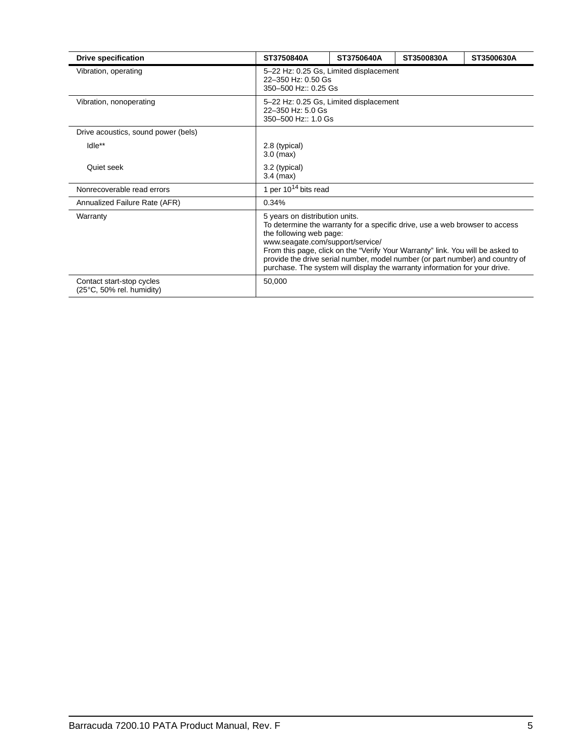| <b>Drive specification</b>                             | ST3750840A                           | ST3750640A                                                                                                                                                                                                                                                                                                                                                                                                                    | ST3500830A | ST3500630A |  |  |
|--------------------------------------------------------|--------------------------------------|-------------------------------------------------------------------------------------------------------------------------------------------------------------------------------------------------------------------------------------------------------------------------------------------------------------------------------------------------------------------------------------------------------------------------------|------------|------------|--|--|
| Vibration, operating                                   |                                      | 5-22 Hz: 0.25 Gs, Limited displacement<br>22-350 Hz: 0.50 Gs<br>350-500 Hz:: 0.25 Gs                                                                                                                                                                                                                                                                                                                                          |            |            |  |  |
| Vibration, nonoperating                                |                                      | 5-22 Hz: 0.25 Gs, Limited displacement<br>22-350 Hz: 5.0 Gs<br>350-500 Hz:: 1.0 Gs                                                                                                                                                                                                                                                                                                                                            |            |            |  |  |
| Drive acoustics, sound power (bels)                    |                                      |                                                                                                                                                                                                                                                                                                                                                                                                                               |            |            |  |  |
| Idle**                                                 | 2.8 (typical)<br>$3.0$ (max)         |                                                                                                                                                                                                                                                                                                                                                                                                                               |            |            |  |  |
| Quiet seek                                             | 3.2 (typical)<br>$3.4 \text{ (max)}$ |                                                                                                                                                                                                                                                                                                                                                                                                                               |            |            |  |  |
| Nonrecoverable read errors                             |                                      | 1 per $10^{14}$ bits read                                                                                                                                                                                                                                                                                                                                                                                                     |            |            |  |  |
| Annualized Failure Rate (AFR)                          | 0.34%                                |                                                                                                                                                                                                                                                                                                                                                                                                                               |            |            |  |  |
| Warranty                                               |                                      | 5 years on distribution units.<br>To determine the warranty for a specific drive, use a web browser to access<br>the following web page:<br>www.seagate.com/support/service/<br>From this page, click on the "Verify Your Warranty" link. You will be asked to<br>provide the drive serial number, model number (or part number) and country of<br>purchase. The system will display the warranty information for your drive. |            |            |  |  |
| Contact start-stop cycles<br>(25°C, 50% rel. humidity) | 50,000                               |                                                                                                                                                                                                                                                                                                                                                                                                                               |            |            |  |  |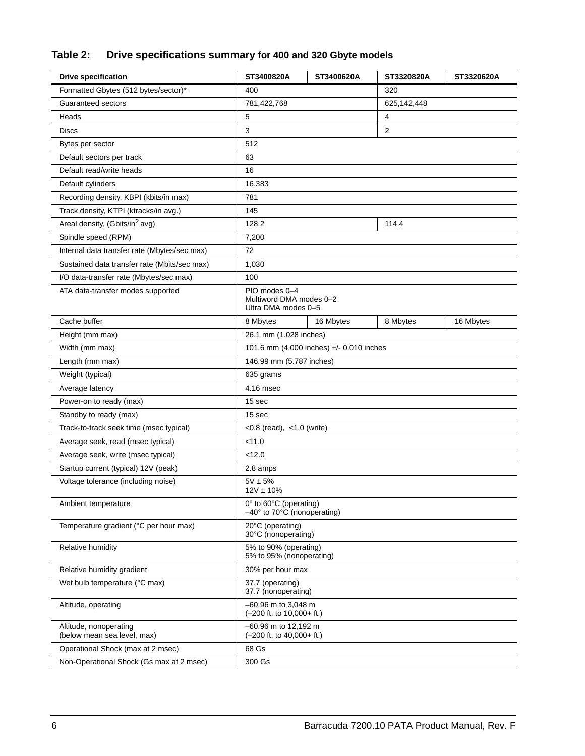## **Table 2: Drive specifications summary for 400 and 320 Gbyte models**

| <b>Drive specification</b>                            | ST3400820A                                                             | ST3400620A | ST3320820A  | ST3320620A |  |
|-------------------------------------------------------|------------------------------------------------------------------------|------------|-------------|------------|--|
| Formatted Gbytes (512 bytes/sector)*                  | 400                                                                    |            | 320         |            |  |
| Guaranteed sectors                                    | 781,422,768                                                            |            | 625,142,448 |            |  |
| Heads                                                 | 5                                                                      |            | 4           |            |  |
| <b>Discs</b>                                          | 3                                                                      | 2          |             |            |  |
| Bytes per sector                                      | 512                                                                    |            |             |            |  |
| Default sectors per track                             | 63                                                                     |            |             |            |  |
| Default read/write heads                              | 16                                                                     |            |             |            |  |
| Default cylinders                                     | 16,383                                                                 |            |             |            |  |
| Recording density, KBPI (kbits/in max)                | 781                                                                    |            |             |            |  |
| Track density, KTPI (ktracks/in avg.)                 | 145                                                                    |            |             |            |  |
| Areal density, (Gbits/in <sup>2</sup> avg)            | 128.2                                                                  |            | 114.4       |            |  |
| Spindle speed (RPM)                                   | 7,200                                                                  |            |             |            |  |
| Internal data transfer rate (Mbytes/sec max)          | 72                                                                     |            |             |            |  |
| Sustained data transfer rate (Mbits/sec max)          | 1,030                                                                  |            |             |            |  |
| I/O data-transfer rate (Mbytes/sec max)               | 100                                                                    |            |             |            |  |
| ATA data-transfer modes supported                     | PIO modes 0-4<br>Multiword DMA modes 0-2<br>Ultra DMA modes 0-5        |            |             |            |  |
| Cache buffer                                          | 8 Mbytes                                                               | 16 Mbytes  | 8 Mbytes    | 16 Mbytes  |  |
| Height (mm max)                                       | 26.1 mm (1.028 inches)                                                 |            |             |            |  |
| Width (mm max)                                        | 101.6 mm (4.000 inches) +/- 0.010 inches                               |            |             |            |  |
| Length (mm max)                                       | 146.99 mm (5.787 inches)                                               |            |             |            |  |
| Weight (typical)                                      | 635 grams                                                              |            |             |            |  |
| Average latency                                       | 4.16 msec                                                              |            |             |            |  |
| Power-on to ready (max)                               | 15 sec                                                                 |            |             |            |  |
| Standby to ready (max)                                | 15 sec                                                                 |            |             |            |  |
| Track-to-track seek time (msec typical)               | < $0.8$ (read), < $1.0$ (write)                                        |            |             |            |  |
| Average seek, read (msec typical)                     | < 11.0                                                                 |            |             |            |  |
| Average seek, write (msec typical)                    | < 12.0                                                                 |            |             |            |  |
| Startup current (typical) 12V (peak)                  | 2.8 amps                                                               |            |             |            |  |
| Voltage tolerance (including noise)                   | $5V \pm 5%$<br>$12V \pm 10\%$                                          |            |             |            |  |
| Ambient temperature                                   | 0° to 60°C (operating)<br>$-40^\circ$ to 70 $\degree$ C (nonoperating) |            |             |            |  |
| Temperature gradient (°C per hour max)                | 20°C (operating)<br>30°C (nonoperating)                                |            |             |            |  |
| Relative humidity                                     | 5% to 90% (operating)<br>5% to 95% (nonoperating)                      |            |             |            |  |
| Relative humidity gradient                            | 30% per hour max                                                       |            |             |            |  |
| Wet bulb temperature (°C max)                         | 37.7 (operating)<br>37.7 (nonoperating)                                |            |             |            |  |
| Altitude, operating                                   | $-60.96$ m to 3,048 m<br>(-200 ft. to 10,000+ ft.)                     |            |             |            |  |
| Altitude, nonoperating<br>(below mean sea level, max) | $-60.96$ m to 12,192 m<br>$(-200$ ft. to $40,000+$ ft.)                |            |             |            |  |
| Operational Shock (max at 2 msec)                     | 68 Gs                                                                  |            |             |            |  |
| Non-Operational Shock (Gs max at 2 msec)              | 300 Gs                                                                 |            |             |            |  |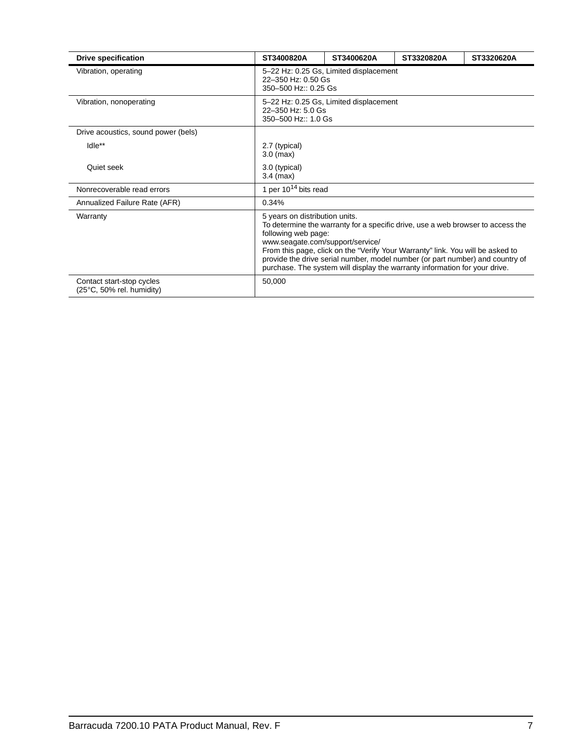| <b>Drive specification</b>                             | ST3400820A                                            | ST3400620A                                                                           | ST3320820A                                                                                                                                                   | ST3320620A                                                                                                                                                       |  |  |
|--------------------------------------------------------|-------------------------------------------------------|--------------------------------------------------------------------------------------|--------------------------------------------------------------------------------------------------------------------------------------------------------------|------------------------------------------------------------------------------------------------------------------------------------------------------------------|--|--|
| Vibration, operating                                   |                                                       | 5-22 Hz: 0.25 Gs, Limited displacement<br>22-350 Hz: 0.50 Gs<br>350-500 Hz:: 0.25 Gs |                                                                                                                                                              |                                                                                                                                                                  |  |  |
| Vibration, nonoperating                                |                                                       | 5-22 Hz: 0.25 Gs, Limited displacement<br>22-350 Hz: 5.0 Gs<br>350-500 Hz:: 1.0 Gs   |                                                                                                                                                              |                                                                                                                                                                  |  |  |
| Drive acoustics, sound power (bels)                    |                                                       |                                                                                      |                                                                                                                                                              |                                                                                                                                                                  |  |  |
| Idle**                                                 | 2.7 (typical)<br>$3.0$ (max)                          |                                                                                      |                                                                                                                                                              |                                                                                                                                                                  |  |  |
| Quiet seek                                             | 3.0 (typical)<br>$3.4$ (max)                          |                                                                                      |                                                                                                                                                              |                                                                                                                                                                  |  |  |
| Nonrecoverable read errors                             |                                                       | 1 per 10 <sup>14</sup> bits read                                                     |                                                                                                                                                              |                                                                                                                                                                  |  |  |
| Annualized Failure Rate (AFR)                          | 0.34%                                                 |                                                                                      |                                                                                                                                                              |                                                                                                                                                                  |  |  |
| Warranty                                               | 5 years on distribution units.<br>following web page: | www.seagate.com/support/service/                                                     | From this page, click on the "Verify Your Warranty" link. You will be asked to<br>purchase. The system will display the warranty information for your drive. | To determine the warranty for a specific drive, use a web browser to access the<br>provide the drive serial number, model number (or part number) and country of |  |  |
| Contact start-stop cycles<br>(25°C, 50% rel. humidity) | 50,000                                                |                                                                                      |                                                                                                                                                              |                                                                                                                                                                  |  |  |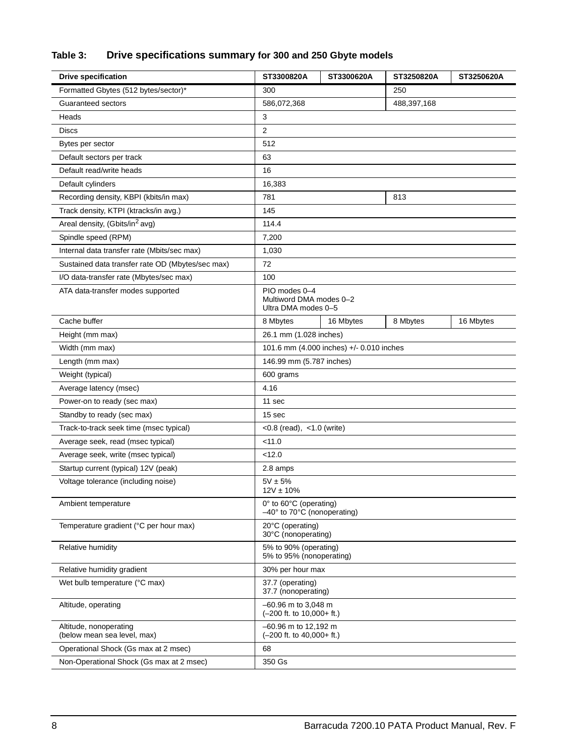## **Table 3: Drive specifications summary for 300 and 250 Gbyte models**

| <b>Drive specification</b>                            | ST3300820A                                                      | ST3300620A | ST3250820A | ST3250620A |
|-------------------------------------------------------|-----------------------------------------------------------------|------------|------------|------------|
| Formatted Gbytes (512 bytes/sector)*                  | 250<br>300                                                      |            |            |            |
| Guaranteed sectors                                    | 586,072,368<br>488,397,168                                      |            |            |            |
| Heads                                                 | 3                                                               |            |            |            |
| <b>Discs</b>                                          | $\overline{2}$                                                  |            |            |            |
| Bytes per sector                                      | 512                                                             |            |            |            |
| Default sectors per track                             | 63                                                              |            |            |            |
| Default read/write heads                              | 16                                                              |            |            |            |
| Default cylinders                                     | 16,383                                                          |            |            |            |
| Recording density, KBPI (kbits/in max)                | 781                                                             |            | 813        |            |
| Track density, KTPI (ktracks/in avg.)                 | 145                                                             |            |            |            |
| Areal density, (Gbits/in <sup>2</sup> avg)            | 114.4                                                           |            |            |            |
| Spindle speed (RPM)                                   | 7,200                                                           |            |            |            |
| Internal data transfer rate (Mbits/sec max)           | 1,030                                                           |            |            |            |
| Sustained data transfer rate OD (Mbytes/sec max)      | 72                                                              |            |            |            |
| I/O data-transfer rate (Mbytes/sec max)               | 100                                                             |            |            |            |
| ATA data-transfer modes supported                     | PIO modes 0-4<br>Multiword DMA modes 0-2<br>Ultra DMA modes 0-5 |            |            |            |
| Cache buffer                                          | 8 Mbytes                                                        | 16 Mbytes  | 8 Mbytes   | 16 Mbytes  |
| Height (mm max)                                       | 26.1 mm (1.028 inches)                                          |            |            |            |
| Width (mm max)                                        | 101.6 mm (4.000 inches) +/- 0.010 inches                        |            |            |            |
| Length (mm max)                                       | 146.99 mm (5.787 inches)                                        |            |            |            |
| Weight (typical)                                      | 600 grams                                                       |            |            |            |
| Average latency (msec)                                | 4.16                                                            |            |            |            |
| Power-on to ready (sec max)                           | 11 sec                                                          |            |            |            |
| Standby to ready (sec max)                            | 15 sec                                                          |            |            |            |
| Track-to-track seek time (msec typical)               | < $0.8$ (read), < $1.0$ (write)                                 |            |            |            |
| Average seek, read (msec typical)                     | $<$ 11.0                                                        |            |            |            |
| Average seek, write (msec typical)                    | $<$ 12.0                                                        |            |            |            |
| Startup current (typical) 12V (peak)                  | 2.8 amps                                                        |            |            |            |
| Voltage tolerance (including noise)                   | $5V \pm 5%$<br>$12V \pm 10\%$                                   |            |            |            |
| Ambient temperature                                   | 0° to 60°C (operating)<br>-40° to 70°C (nonoperating)           |            |            |            |
| Temperature gradient (°C per hour max)                | 20°C (operating)<br>30°C (nonoperating)                         |            |            |            |
| Relative humidity                                     | 5% to 90% (operating)<br>5% to 95% (nonoperating)               |            |            |            |
| Relative humidity gradient                            | 30% per hour max                                                |            |            |            |
| Wet bulb temperature (°C max)                         | 37.7 (operating)<br>37.7 (nonoperating)                         |            |            |            |
| Altitude, operating                                   | $-60.96$ m to 3,048 m<br>$(-200$ ft. to $10,000+$ ft.)          |            |            |            |
| Altitude, nonoperating<br>(below mean sea level, max) | -60.96 m to 12,192 m<br>$(-200$ ft. to $40,000+$ ft.)           |            |            |            |
| Operational Shock (Gs max at 2 msec)                  | 68                                                              |            |            |            |
| Non-Operational Shock (Gs max at 2 msec)              | 350 Gs                                                          |            |            |            |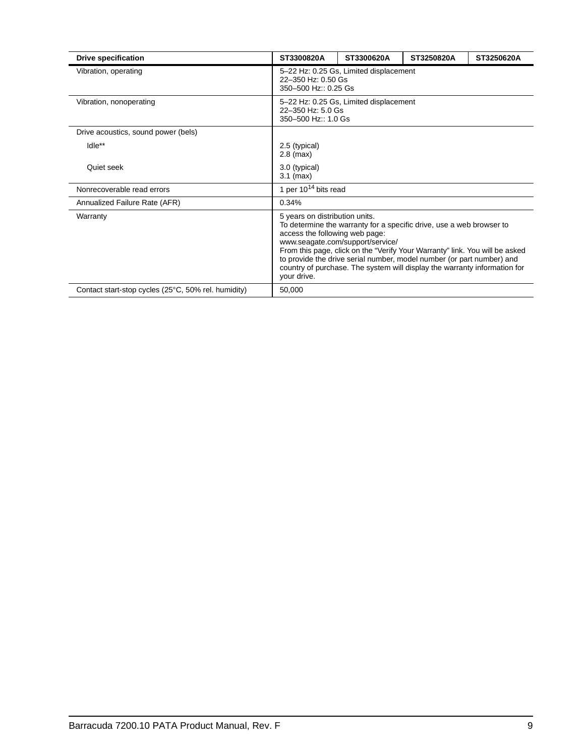| <b>Drive specification</b>                          | ST3300820A                                                                                                                                                                                                                                                                                                                                                                                                                       | ST3300620A                                                                           | ST3250820A | ST3250620A |  |  |
|-----------------------------------------------------|----------------------------------------------------------------------------------------------------------------------------------------------------------------------------------------------------------------------------------------------------------------------------------------------------------------------------------------------------------------------------------------------------------------------------------|--------------------------------------------------------------------------------------|------------|------------|--|--|
| Vibration, operating                                |                                                                                                                                                                                                                                                                                                                                                                                                                                  | 5-22 Hz: 0.25 Gs, Limited displacement<br>22-350 Hz: 0.50 Gs<br>350-500 Hz:: 0.25 Gs |            |            |  |  |
| Vibration, nonoperating                             |                                                                                                                                                                                                                                                                                                                                                                                                                                  | 5-22 Hz: 0.25 Gs, Limited displacement<br>22-350 Hz: 5.0 Gs<br>350-500 Hz:: 1.0 Gs   |            |            |  |  |
| Drive acoustics, sound power (bels)                 |                                                                                                                                                                                                                                                                                                                                                                                                                                  |                                                                                      |            |            |  |  |
| Idle**                                              | 2.5 (typical)<br>$2.8$ (max)                                                                                                                                                                                                                                                                                                                                                                                                     |                                                                                      |            |            |  |  |
| Quiet seek                                          | 3.0 (typical)<br>$3.1$ (max)                                                                                                                                                                                                                                                                                                                                                                                                     |                                                                                      |            |            |  |  |
| Nonrecoverable read errors                          |                                                                                                                                                                                                                                                                                                                                                                                                                                  | 1 per $10^{14}$ bits read                                                            |            |            |  |  |
| Annualized Failure Rate (AFR)                       | 0.34%                                                                                                                                                                                                                                                                                                                                                                                                                            |                                                                                      |            |            |  |  |
| Warranty                                            | 5 years on distribution units.<br>To determine the warranty for a specific drive, use a web browser to<br>access the following web page:<br>www.seagate.com/support/service/<br>From this page, click on the "Verify Your Warranty" link. You will be asked<br>to provide the drive serial number, model number (or part number) and<br>country of purchase. The system will display the warranty information for<br>your drive. |                                                                                      |            |            |  |  |
| Contact start-stop cycles (25°C, 50% rel. humidity) | 50,000                                                                                                                                                                                                                                                                                                                                                                                                                           |                                                                                      |            |            |  |  |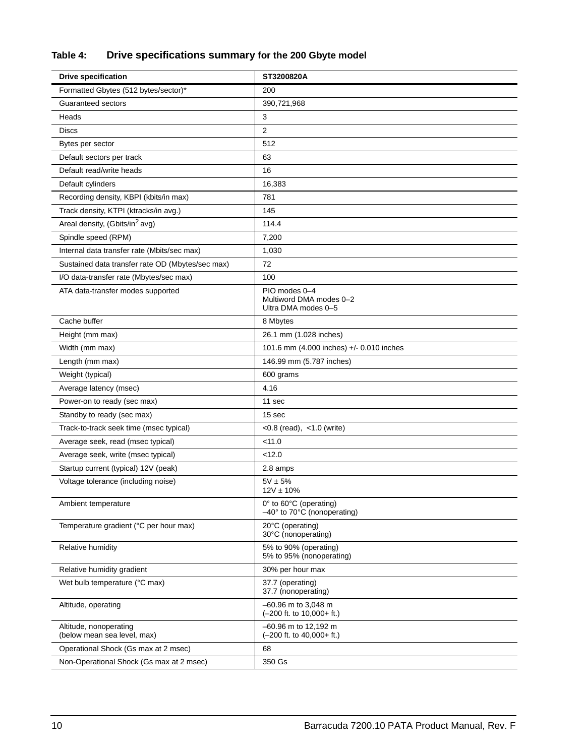## **Table 4: Drive specifications summary for the 200 Gbyte model**

| <b>Drive specification</b>                            | ST3200820A                                                      |
|-------------------------------------------------------|-----------------------------------------------------------------|
| Formatted Gbytes (512 bytes/sector)*                  | 200                                                             |
| Guaranteed sectors                                    | 390,721,968                                                     |
| Heads                                                 | 3                                                               |
| <b>Discs</b>                                          | $\overline{2}$                                                  |
| Bytes per sector                                      | 512                                                             |
| Default sectors per track                             | 63                                                              |
| Default read/write heads                              | 16                                                              |
| Default cylinders                                     | 16,383                                                          |
| Recording density, KBPI (kbits/in max)                | 781                                                             |
| Track density, KTPI (ktracks/in avg.)                 | 145                                                             |
| Areal density, (Gbits/in <sup>2</sup> avg)            | 114.4                                                           |
| Spindle speed (RPM)                                   | 7,200                                                           |
| Internal data transfer rate (Mbits/sec max)           | 1,030                                                           |
| Sustained data transfer rate OD (Mbytes/sec max)      | 72                                                              |
| I/O data-transfer rate (Mbytes/sec max)               | 100                                                             |
| ATA data-transfer modes supported                     | PIO modes 0-4<br>Multiword DMA modes 0-2<br>Ultra DMA modes 0-5 |
| Cache buffer                                          | 8 Mbytes                                                        |
| Height (mm max)                                       | 26.1 mm (1.028 inches)                                          |
| Width (mm max)                                        | 101.6 mm (4.000 inches) +/- 0.010 inches                        |
| Length (mm max)                                       | 146.99 mm (5.787 inches)                                        |
| Weight (typical)                                      | 600 grams                                                       |
| Average latency (msec)                                | 4.16                                                            |
| Power-on to ready (sec max)                           | 11 sec                                                          |
| Standby to ready (sec max)                            | 15 sec                                                          |
| Track-to-track seek time (msec typical)               | $< 0.8$ (read), $< 1.0$ (write)                                 |
| Average seek, read (msec typical)                     | < 11.0                                                          |
| Average seek, write (msec typical)                    | < 12.0                                                          |
| Startup current (typical) 12V (peak)                  | 2.8 amps                                                        |
| Voltage tolerance (including noise)                   | $5V \pm 5%$<br>$12V \pm 10\%$                                   |
| Ambient temperature                                   | 0° to 60°C (operating)<br>-40° to 70°C (nonoperating)           |
| Temperature gradient (°C per hour max)                | 20°C (operating)<br>30°C (nonoperating)                         |
| Relative humidity                                     | 5% to 90% (operating)<br>5% to 95% (nonoperating)               |
| Relative humidity gradient                            | 30% per hour max                                                |
| Wet bulb temperature (°C max)                         | 37.7 (operating)<br>37.7 (nonoperating)                         |
| Altitude, operating                                   | $-60.96$ m to 3,048 m<br>$(-200$ ft. to $10,000+$ ft.)          |
| Altitude, nonoperating<br>(below mean sea level, max) | $-60.96$ m to 12,192 m<br>$(-200$ ft. to $40,000+$ ft.)         |
| Operational Shock (Gs max at 2 msec)                  | 68                                                              |
| Non-Operational Shock (Gs max at 2 msec)              | 350 Gs                                                          |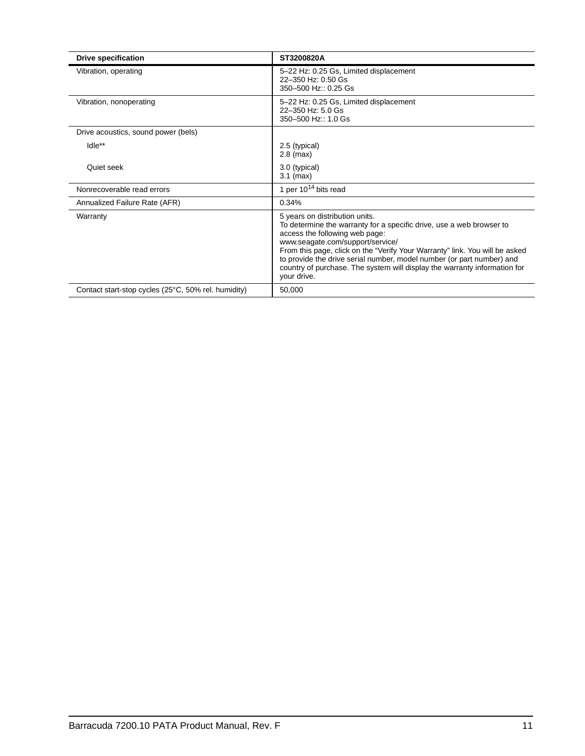| <b>Drive specification</b>                          | ST3200820A                                                                                                                                                                                                                                                                                                                                                                                                                       |
|-----------------------------------------------------|----------------------------------------------------------------------------------------------------------------------------------------------------------------------------------------------------------------------------------------------------------------------------------------------------------------------------------------------------------------------------------------------------------------------------------|
| Vibration, operating                                | 5-22 Hz: 0.25 Gs, Limited displacement<br>22-350 Hz: 0.50 Gs<br>350-500 Hz:: 0.25 Gs                                                                                                                                                                                                                                                                                                                                             |
| Vibration, nonoperating                             | 5-22 Hz: 0.25 Gs, Limited displacement<br>22-350 Hz: 5.0 Gs<br>350-500 Hz:: 1.0 Gs                                                                                                                                                                                                                                                                                                                                               |
| Drive acoustics, sound power (bels)                 |                                                                                                                                                                                                                                                                                                                                                                                                                                  |
| Idle**                                              | 2.5 (typical)<br>$2.8$ (max)                                                                                                                                                                                                                                                                                                                                                                                                     |
| Quiet seek                                          | 3.0 (typical)<br>$3.1$ (max)                                                                                                                                                                                                                                                                                                                                                                                                     |
| Nonrecoverable read errors                          | 1 per $10^{14}$ bits read                                                                                                                                                                                                                                                                                                                                                                                                        |
| Annualized Failure Rate (AFR)                       | 0.34%                                                                                                                                                                                                                                                                                                                                                                                                                            |
| Warranty                                            | 5 years on distribution units.<br>To determine the warranty for a specific drive, use a web browser to<br>access the following web page:<br>www.seagate.com/support/service/<br>From this page, click on the "Verify Your Warranty" link. You will be asked<br>to provide the drive serial number, model number (or part number) and<br>country of purchase. The system will display the warranty information for<br>your drive. |
| Contact start-stop cycles (25°C, 50% rel. humidity) | 50,000                                                                                                                                                                                                                                                                                                                                                                                                                           |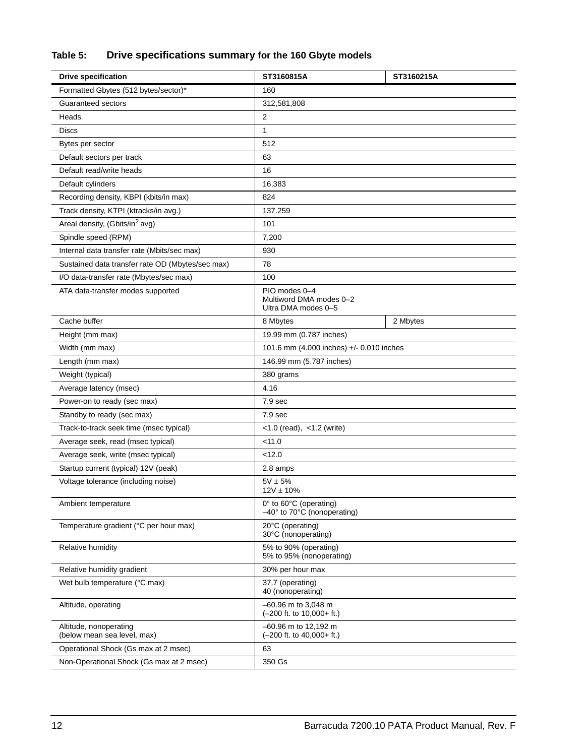## **Table 5: Drive specifications summary for the 160 Gbyte models**

| <b>Drive specification</b>                            | ST3160815A                                                      | ST3160215A |  |  |
|-------------------------------------------------------|-----------------------------------------------------------------|------------|--|--|
| Formatted Gbytes (512 bytes/sector)*                  | 160                                                             |            |  |  |
| Guaranteed sectors                                    | 312,581,808                                                     |            |  |  |
| Heads                                                 | 2                                                               |            |  |  |
| <b>Discs</b>                                          | 1                                                               |            |  |  |
| Bytes per sector                                      | 512                                                             |            |  |  |
| Default sectors per track                             | 63                                                              |            |  |  |
| Default read/write heads                              | 16                                                              |            |  |  |
| Default cylinders                                     | 16,383                                                          |            |  |  |
| Recording density, KBPI (kbits/in max)                | 824                                                             |            |  |  |
| Track density, KTPI (ktracks/in avg.)                 | 137.259                                                         |            |  |  |
| Areal density, (Gbits/in <sup>2</sup> avg)            | 101                                                             |            |  |  |
| Spindle speed (RPM)                                   | 7,200                                                           |            |  |  |
| Internal data transfer rate (Mbits/sec max)           | 930                                                             |            |  |  |
| Sustained data transfer rate OD (Mbytes/sec max)      | 78                                                              |            |  |  |
| I/O data-transfer rate (Mbytes/sec max)               | 100                                                             |            |  |  |
| ATA data-transfer modes supported                     | PIO modes 0-4<br>Multiword DMA modes 0-2<br>Ultra DMA modes 0-5 |            |  |  |
| Cache buffer                                          | 8 Mbytes                                                        | 2 Mbytes   |  |  |
| Height (mm max)                                       | 19.99 mm (0.787 inches)                                         |            |  |  |
| Width (mm max)                                        | 101.6 mm (4.000 inches) +/- 0.010 inches                        |            |  |  |
| Length (mm max)                                       | 146.99 mm (5.787 inches)                                        |            |  |  |
| Weight (typical)                                      | 380 grams                                                       |            |  |  |
| Average latency (msec)                                | 4.16                                                            |            |  |  |
| Power-on to ready (sec max)                           | 7.9 sec                                                         |            |  |  |
| Standby to ready (sec max)                            | 7.9 <sub>sec</sub>                                              |            |  |  |
| Track-to-track seek time (msec typical)               | $<$ 1.0 (read), $<$ 1.2 (write)                                 |            |  |  |
| Average seek, read (msec typical)                     | < 11.0                                                          |            |  |  |
| Average seek, write (msec typical)                    | < 12.0                                                          |            |  |  |
| Startup current (typical) 12V (peak)                  | 2.8 amps                                                        |            |  |  |
| Voltage tolerance (including noise)                   | $5V \pm 5%$<br>$12V \pm 10\%$                                   |            |  |  |
| Ambient temperature                                   | 0° to 60°C (operating)<br>-40° to 70°C (nonoperating)           |            |  |  |
| Temperature gradient (°C per hour max)                | 20°C (operating)<br>30°C (nonoperating)                         |            |  |  |
| Relative humidity                                     | 5% to 90% (operating)<br>5% to 95% (nonoperating)               |            |  |  |
| Relative humidity gradient                            | 30% per hour max                                                |            |  |  |
| Wet bulb temperature (°C max)                         | 37.7 (operating)<br>40 (nonoperating)                           |            |  |  |
| Altitude, operating                                   | -60.96 m to 3,048 m<br>$(-200$ ft. to $10,000+$ ft.)            |            |  |  |
| Altitude, nonoperating<br>(below mean sea level, max) | -60.96 m to 12,192 m<br>$(-200$ ft. to $40,000+$ ft.)           |            |  |  |
| Operational Shock (Gs max at 2 msec)                  | 63                                                              |            |  |  |
| Non-Operational Shock (Gs max at 2 msec)              | 350 Gs                                                          |            |  |  |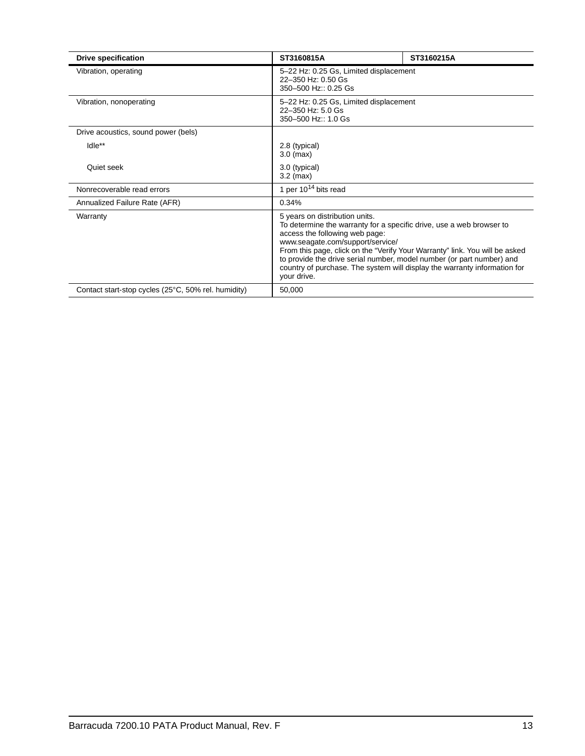| <b>Drive specification</b>                          | ST3160815A                                                                                                                                                                                                                                                                                                                                                                                                                       | ST3160215A |  |  |
|-----------------------------------------------------|----------------------------------------------------------------------------------------------------------------------------------------------------------------------------------------------------------------------------------------------------------------------------------------------------------------------------------------------------------------------------------------------------------------------------------|------------|--|--|
| Vibration, operating                                | 5-22 Hz: 0.25 Gs, Limited displacement<br>22-350 Hz: 0.50 Gs<br>350-500 Hz:: 0.25 Gs                                                                                                                                                                                                                                                                                                                                             |            |  |  |
| Vibration, nonoperating                             | 5-22 Hz: 0.25 Gs, Limited displacement<br>22-350 Hz: 5.0 Gs<br>350-500 Hz:: 1.0 Gs                                                                                                                                                                                                                                                                                                                                               |            |  |  |
| Drive acoustics, sound power (bels)                 |                                                                                                                                                                                                                                                                                                                                                                                                                                  |            |  |  |
| Idle**                                              | 2.8 (typical)<br>$3.0$ (max)                                                                                                                                                                                                                                                                                                                                                                                                     |            |  |  |
| Quiet seek                                          | 3.0 (typical)<br>$3.2 \text{ (max)}$                                                                                                                                                                                                                                                                                                                                                                                             |            |  |  |
| Nonrecoverable read errors                          | 1 per $10^{14}$ bits read                                                                                                                                                                                                                                                                                                                                                                                                        |            |  |  |
| Annualized Failure Rate (AFR)                       | 0.34%                                                                                                                                                                                                                                                                                                                                                                                                                            |            |  |  |
| Warranty                                            | 5 years on distribution units.<br>To determine the warranty for a specific drive, use a web browser to<br>access the following web page:<br>www.seagate.com/support/service/<br>From this page, click on the "Verify Your Warranty" link. You will be asked<br>to provide the drive serial number, model number (or part number) and<br>country of purchase. The system will display the warranty information for<br>your drive. |            |  |  |
| Contact start-stop cycles (25°C, 50% rel. humidity) | 50,000                                                                                                                                                                                                                                                                                                                                                                                                                           |            |  |  |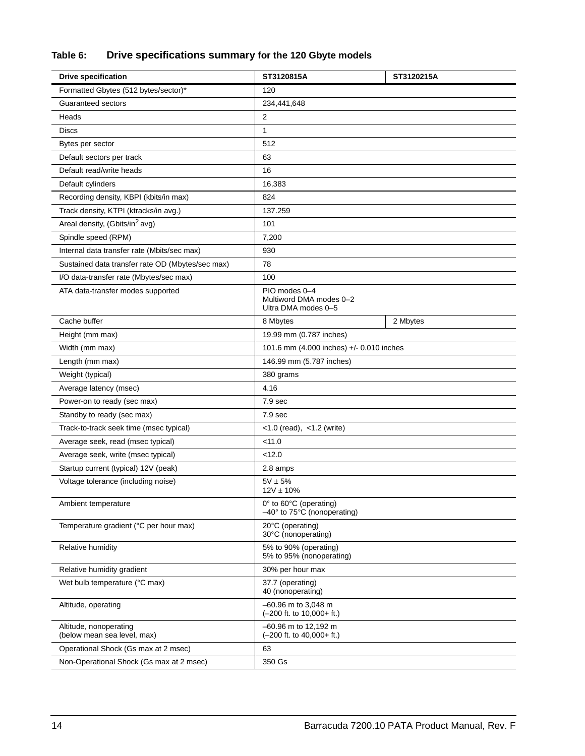## **Table 6: Drive specifications summary for the 120 Gbyte models**

| <b>Drive specification</b>                            | ST3120815A                                                             | ST3120215A |  |  |
|-------------------------------------------------------|------------------------------------------------------------------------|------------|--|--|
| Formatted Gbytes (512 bytes/sector)*                  | 120                                                                    |            |  |  |
| Guaranteed sectors                                    | 234,441,648                                                            |            |  |  |
| Heads                                                 | 2                                                                      |            |  |  |
| <b>Discs</b>                                          | 1                                                                      |            |  |  |
| Bytes per sector                                      | 512                                                                    |            |  |  |
| Default sectors per track                             | 63                                                                     |            |  |  |
| Default read/write heads                              | 16                                                                     |            |  |  |
| Default cylinders                                     | 16,383                                                                 |            |  |  |
| Recording density, KBPI (kbits/in max)                | 824                                                                    |            |  |  |
| Track density, KTPI (ktracks/in avg.)                 | 137.259                                                                |            |  |  |
| Areal density, (Gbits/in <sup>2</sup> avg)            | 101                                                                    |            |  |  |
| Spindle speed (RPM)                                   | 7,200                                                                  |            |  |  |
| Internal data transfer rate (Mbits/sec max)           | 930                                                                    |            |  |  |
| Sustained data transfer rate OD (Mbytes/sec max)      | 78                                                                     |            |  |  |
| I/O data-transfer rate (Mbytes/sec max)               | 100                                                                    |            |  |  |
| ATA data-transfer modes supported                     | PIO modes 0-4<br>Multiword DMA modes 0-2<br>Ultra DMA modes 0-5        |            |  |  |
| Cache buffer                                          | 8 Mbytes                                                               | 2 Mbytes   |  |  |
| Height (mm max)                                       | 19.99 mm (0.787 inches)                                                |            |  |  |
| Width (mm max)                                        | 101.6 mm (4.000 inches) +/- 0.010 inches                               |            |  |  |
| Length (mm max)                                       | 146.99 mm (5.787 inches)                                               |            |  |  |
| Weight (typical)                                      | 380 grams                                                              |            |  |  |
| Average latency (msec)                                | 4.16                                                                   |            |  |  |
| Power-on to ready (sec max)                           | 7.9 <sub>sec</sub>                                                     |            |  |  |
| Standby to ready (sec max)                            | 7.9 <sub>sec</sub>                                                     |            |  |  |
| Track-to-track seek time (msec typical)               | $<$ 1.0 (read), $<$ 1.2 (write)                                        |            |  |  |
| Average seek, read (msec typical)                     | < 11.0                                                                 |            |  |  |
| Average seek, write (msec typical)                    | < 12.0                                                                 |            |  |  |
| Startup current (typical) 12V (peak)                  | 2.8 amps                                                               |            |  |  |
| Voltage tolerance (including noise)                   | $5V \pm 5%$<br>$12V \pm 10\%$                                          |            |  |  |
| Ambient temperature                                   | 0° to 60°C (operating)<br>$-40^\circ$ to 75 $\degree$ C (nonoperating) |            |  |  |
| Temperature gradient (°C per hour max)                | 20°C (operating)<br>30°C (nonoperating)                                |            |  |  |
| Relative humidity                                     | 5% to 90% (operating)<br>5% to 95% (nonoperating)                      |            |  |  |
| Relative humidity gradient                            | 30% per hour max                                                       |            |  |  |
| Wet bulb temperature (°C max)                         | 37.7 (operating)<br>40 (nonoperating)                                  |            |  |  |
| Altitude, operating                                   | -60.96 m to 3,048 m<br>$(-200$ ft. to $10,000+$ ft.)                   |            |  |  |
| Altitude, nonoperating<br>(below mean sea level, max) | -60.96 m to 12,192 m<br>$(-200$ ft. to $40,000+$ ft.)                  |            |  |  |
| Operational Shock (Gs max at 2 msec)                  | 63                                                                     |            |  |  |
| Non-Operational Shock (Gs max at 2 msec)              | 350 Gs                                                                 |            |  |  |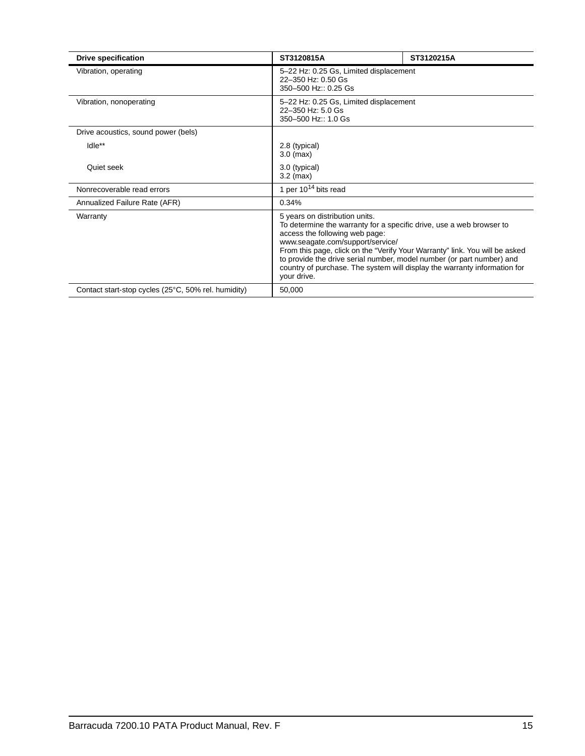| <b>Drive specification</b>                          | ST3120815A                                                                                                                                                                                                                                                                                                                                                                                                                       | ST3120215A                             |  |  |  |
|-----------------------------------------------------|----------------------------------------------------------------------------------------------------------------------------------------------------------------------------------------------------------------------------------------------------------------------------------------------------------------------------------------------------------------------------------------------------------------------------------|----------------------------------------|--|--|--|
| Vibration, operating                                | 5-22 Hz: 0.25 Gs, Limited displacement<br>22-350 Hz: 0.50 Gs<br>350-500 Hz:: 0.25 Gs                                                                                                                                                                                                                                                                                                                                             |                                        |  |  |  |
| Vibration, nonoperating                             | 22-350 Hz: 5.0 Gs<br>350-500 Hz:: 1.0 Gs                                                                                                                                                                                                                                                                                                                                                                                         | 5-22 Hz: 0.25 Gs, Limited displacement |  |  |  |
| Drive acoustics, sound power (bels)                 |                                                                                                                                                                                                                                                                                                                                                                                                                                  |                                        |  |  |  |
| Idle**                                              | 2.8 (typical)<br>$3.0$ (max)                                                                                                                                                                                                                                                                                                                                                                                                     |                                        |  |  |  |
| Quiet seek                                          | 3.0 (typical)<br>$3.2$ (max)                                                                                                                                                                                                                                                                                                                                                                                                     |                                        |  |  |  |
| Nonrecoverable read errors                          | 1 per $10^{14}$ bits read                                                                                                                                                                                                                                                                                                                                                                                                        |                                        |  |  |  |
| Annualized Failure Rate (AFR)                       | 0.34%                                                                                                                                                                                                                                                                                                                                                                                                                            |                                        |  |  |  |
| Warranty                                            | 5 years on distribution units.<br>To determine the warranty for a specific drive, use a web browser to<br>access the following web page:<br>www.seagate.com/support/service/<br>From this page, click on the "Verify Your Warranty" link. You will be asked<br>to provide the drive serial number, model number (or part number) and<br>country of purchase. The system will display the warranty information for<br>your drive. |                                        |  |  |  |
| Contact start-stop cycles (25°C, 50% rel. humidity) | 50,000                                                                                                                                                                                                                                                                                                                                                                                                                           |                                        |  |  |  |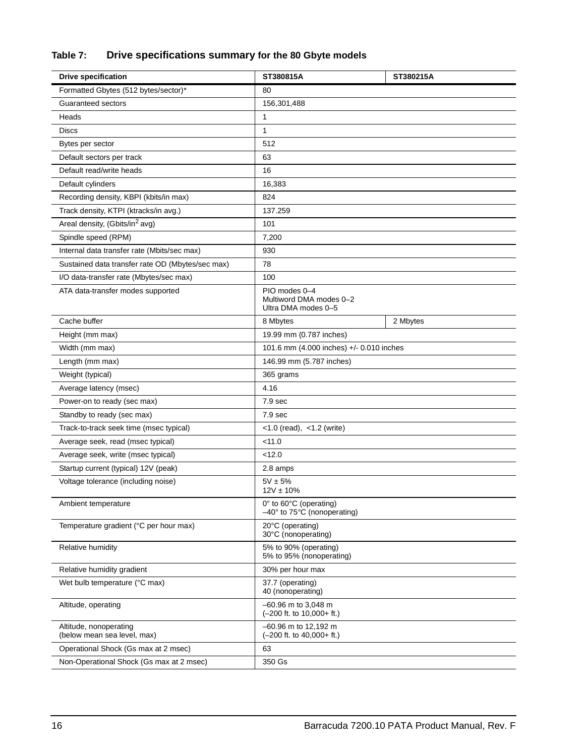## **Table 7: Drive specifications summary for the 80 Gbyte models**

| <b>Drive specification</b>                            | ST380815A                                                              | ST380215A |  |  |
|-------------------------------------------------------|------------------------------------------------------------------------|-----------|--|--|
| Formatted Gbytes (512 bytes/sector)*                  | 80                                                                     |           |  |  |
| Guaranteed sectors                                    | 156,301,488                                                            |           |  |  |
| Heads                                                 | 1                                                                      |           |  |  |
| <b>Discs</b>                                          | 1                                                                      |           |  |  |
| Bytes per sector                                      | 512                                                                    |           |  |  |
| Default sectors per track                             | 63                                                                     |           |  |  |
| Default read/write heads                              | 16                                                                     |           |  |  |
| Default cylinders                                     | 16,383                                                                 |           |  |  |
| Recording density, KBPI (kbits/in max)                | 824                                                                    |           |  |  |
| Track density, KTPI (ktracks/in avg.)                 | 137.259                                                                |           |  |  |
| Areal density, (Gbits/in <sup>2</sup> avg)            | 101                                                                    |           |  |  |
| Spindle speed (RPM)                                   | 7,200                                                                  |           |  |  |
| Internal data transfer rate (Mbits/sec max)           | 930                                                                    |           |  |  |
| Sustained data transfer rate OD (Mbytes/sec max)      | 78                                                                     |           |  |  |
| I/O data-transfer rate (Mbytes/sec max)               | 100                                                                    |           |  |  |
| ATA data-transfer modes supported                     | PIO modes 0-4<br>Multiword DMA modes 0-2<br>Ultra DMA modes 0-5        |           |  |  |
| Cache buffer                                          | 8 Mbytes                                                               | 2 Mbytes  |  |  |
| Height (mm max)                                       | 19.99 mm (0.787 inches)                                                |           |  |  |
| Width (mm max)                                        | 101.6 mm (4.000 inches) +/- 0.010 inches                               |           |  |  |
| Length (mm max)                                       | 146.99 mm (5.787 inches)                                               |           |  |  |
| Weight (typical)                                      | 365 grams                                                              |           |  |  |
| Average latency (msec)                                | 4.16                                                                   |           |  |  |
| Power-on to ready (sec max)                           | 7.9 <sub>sec</sub>                                                     |           |  |  |
| Standby to ready (sec max)                            | 7.9 <sub>sec</sub>                                                     |           |  |  |
| Track-to-track seek time (msec typical)               | $<$ 1.0 (read), $<$ 1.2 (write)                                        |           |  |  |
| Average seek, read (msec typical)                     | < 11.0                                                                 |           |  |  |
| Average seek, write (msec typical)                    | < 12.0                                                                 |           |  |  |
| Startup current (typical) 12V (peak)                  | 2.8 amps                                                               |           |  |  |
| Voltage tolerance (including noise)                   | $5V \pm 5%$<br>$12V \pm 10\%$                                          |           |  |  |
| Ambient temperature                                   | 0° to 60°C (operating)<br>$-40^\circ$ to 75 $\degree$ C (nonoperating) |           |  |  |
| Temperature gradient (°C per hour max)                | 20°C (operating)<br>30°C (nonoperating)                                |           |  |  |
| Relative humidity                                     | 5% to 90% (operating)<br>5% to 95% (nonoperating)                      |           |  |  |
| Relative humidity gradient                            | 30% per hour max                                                       |           |  |  |
| Wet bulb temperature (°C max)                         | 37.7 (operating)<br>40 (nonoperating)                                  |           |  |  |
| Altitude, operating                                   | -60.96 m to 3,048 m<br>$(-200$ ft. to $10,000+$ ft.)                   |           |  |  |
| Altitude, nonoperating<br>(below mean sea level, max) | -60.96 m to 12,192 m<br>$(-200$ ft. to $40,000+$ ft.)                  |           |  |  |
| Operational Shock (Gs max at 2 msec)                  | 63                                                                     |           |  |  |
| Non-Operational Shock (Gs max at 2 msec)              | 350 Gs                                                                 |           |  |  |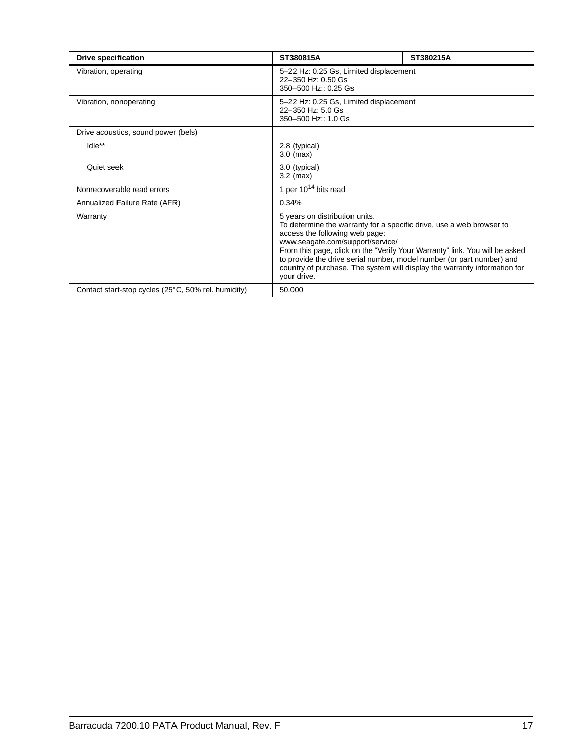| <b>Drive specification</b>                          | ST380815A                                                                                                                                                                                                                                                                                                                                                                                                                        | ST380215A |  |  |
|-----------------------------------------------------|----------------------------------------------------------------------------------------------------------------------------------------------------------------------------------------------------------------------------------------------------------------------------------------------------------------------------------------------------------------------------------------------------------------------------------|-----------|--|--|
| Vibration, operating                                | 5-22 Hz: 0.25 Gs, Limited displacement<br>22-350 Hz: 0.50 Gs<br>350-500 Hz:: 0.25 Gs                                                                                                                                                                                                                                                                                                                                             |           |  |  |
| Vibration, nonoperating                             | 5-22 Hz: 0.25 Gs, Limited displacement<br>22-350 Hz: 5.0 Gs<br>350-500 Hz:: 1.0 Gs                                                                                                                                                                                                                                                                                                                                               |           |  |  |
| Drive acoustics, sound power (bels)                 |                                                                                                                                                                                                                                                                                                                                                                                                                                  |           |  |  |
| Idle**                                              | 2.8 (typical)<br>$3.0$ (max)                                                                                                                                                                                                                                                                                                                                                                                                     |           |  |  |
| Quiet seek                                          | 3.0 (typical)<br>$3.2 \text{ (max)}$                                                                                                                                                                                                                                                                                                                                                                                             |           |  |  |
| Nonrecoverable read errors                          | 1 per $10^{14}$ bits read                                                                                                                                                                                                                                                                                                                                                                                                        |           |  |  |
| Annualized Failure Rate (AFR)                       | 0.34%                                                                                                                                                                                                                                                                                                                                                                                                                            |           |  |  |
| Warranty                                            | 5 years on distribution units.<br>To determine the warranty for a specific drive, use a web browser to<br>access the following web page:<br>www.seagate.com/support/service/<br>From this page, click on the "Verify Your Warranty" link. You will be asked<br>to provide the drive serial number, model number (or part number) and<br>country of purchase. The system will display the warranty information for<br>your drive. |           |  |  |
| Contact start-stop cycles (25°C, 50% rel. humidity) | 50,000                                                                                                                                                                                                                                                                                                                                                                                                                           |           |  |  |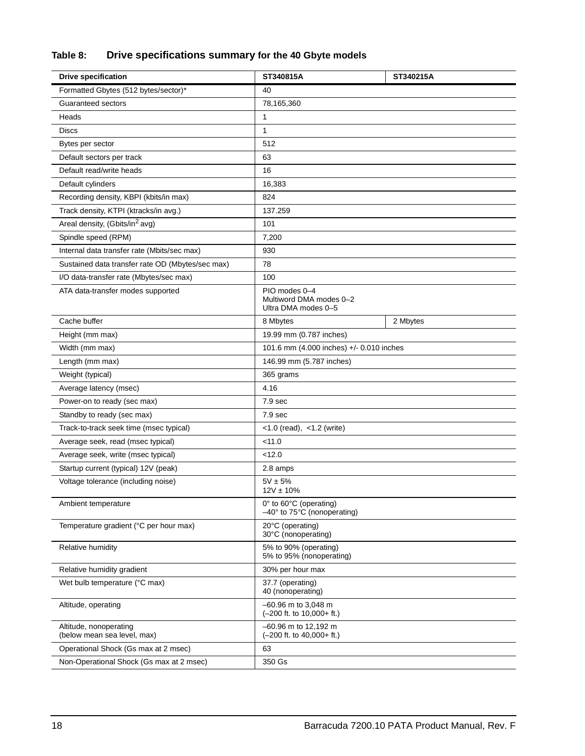## **Table 8: Drive specifications summary for the 40 Gbyte models**

| <b>Drive specification</b>                            | ST340815A                                                              | ST340215A |  |  |
|-------------------------------------------------------|------------------------------------------------------------------------|-----------|--|--|
| Formatted Gbytes (512 bytes/sector)*                  | 40                                                                     |           |  |  |
| Guaranteed sectors                                    | 78,165,360                                                             |           |  |  |
| Heads                                                 | 1                                                                      |           |  |  |
| <b>Discs</b>                                          | 1                                                                      |           |  |  |
| Bytes per sector                                      | 512                                                                    |           |  |  |
| Default sectors per track                             | 63                                                                     |           |  |  |
| Default read/write heads                              | 16                                                                     |           |  |  |
| Default cylinders                                     | 16,383                                                                 |           |  |  |
| Recording density, KBPI (kbits/in max)                | 824                                                                    |           |  |  |
| Track density, KTPI (ktracks/in avg.)                 | 137.259                                                                |           |  |  |
| Areal density, (Gbits/in <sup>2</sup> avg)            | 101                                                                    |           |  |  |
| Spindle speed (RPM)                                   | 7,200                                                                  |           |  |  |
| Internal data transfer rate (Mbits/sec max)           | 930                                                                    |           |  |  |
| Sustained data transfer rate OD (Mbytes/sec max)      | 78                                                                     |           |  |  |
| I/O data-transfer rate (Mbytes/sec max)               | 100                                                                    |           |  |  |
| ATA data-transfer modes supported                     | PIO modes 0-4<br>Multiword DMA modes 0-2<br>Ultra DMA modes 0-5        |           |  |  |
| Cache buffer                                          | 8 Mbytes                                                               | 2 Mbytes  |  |  |
| Height (mm max)                                       | 19.99 mm (0.787 inches)                                                |           |  |  |
| Width (mm max)                                        | 101.6 mm (4.000 inches) +/- 0.010 inches                               |           |  |  |
| Length (mm max)                                       | 146.99 mm (5.787 inches)                                               |           |  |  |
| Weight (typical)                                      | 365 grams                                                              |           |  |  |
| Average latency (msec)                                | 4.16                                                                   |           |  |  |
| Power-on to ready (sec max)                           | 7.9 <sub>sec</sub>                                                     |           |  |  |
| Standby to ready (sec max)                            | 7.9 <sub>sec</sub>                                                     |           |  |  |
| Track-to-track seek time (msec typical)               | $<$ 1.0 (read), $<$ 1.2 (write)                                        |           |  |  |
| Average seek, read (msec typical)                     | < 11.0                                                                 |           |  |  |
| Average seek, write (msec typical)                    | < 12.0                                                                 |           |  |  |
| Startup current (typical) 12V (peak)                  | 2.8 amps                                                               |           |  |  |
| Voltage tolerance (including noise)                   | $5V \pm 5%$<br>$12V \pm 10\%$                                          |           |  |  |
| Ambient temperature                                   | 0° to 60°C (operating)<br>$-40^\circ$ to 75 $\degree$ C (nonoperating) |           |  |  |
| Temperature gradient (°C per hour max)                | 20°C (operating)<br>30°C (nonoperating)                                |           |  |  |
| Relative humidity                                     | 5% to 90% (operating)<br>5% to 95% (nonoperating)                      |           |  |  |
| Relative humidity gradient                            | 30% per hour max                                                       |           |  |  |
| Wet bulb temperature (°C max)                         | 37.7 (operating)<br>40 (nonoperating)                                  |           |  |  |
| Altitude, operating                                   | $-60.96$ m to 3,048 m<br>$(-200$ ft. to $10,000+$ ft.)                 |           |  |  |
| Altitude, nonoperating<br>(below mean sea level, max) | -60.96 m to 12,192 m<br>$(-200$ ft. to $40,000+$ ft.)                  |           |  |  |
| Operational Shock (Gs max at 2 msec)                  | 63                                                                     |           |  |  |
| Non-Operational Shock (Gs max at 2 msec)              | 350 Gs                                                                 |           |  |  |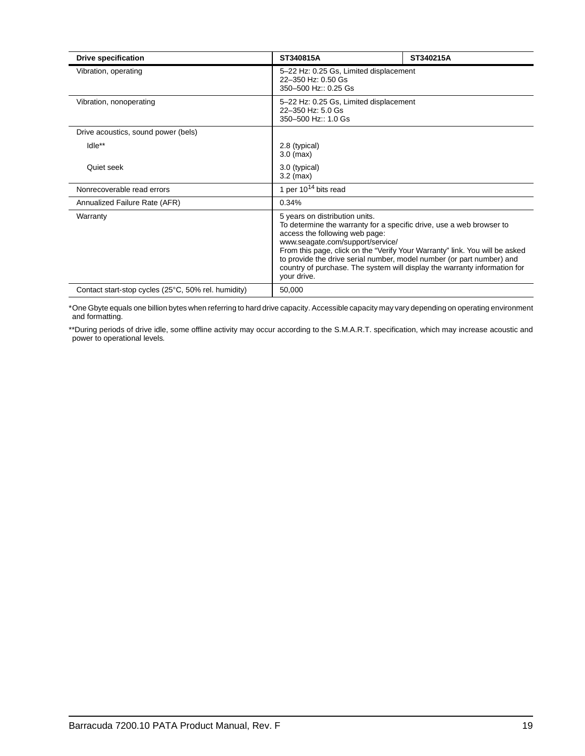| <b>Drive specification</b>                          | ST340815A                                                                                                                                                                                                                                                                                                                                                                                                                        | ST340215A                              |  |  |  |
|-----------------------------------------------------|----------------------------------------------------------------------------------------------------------------------------------------------------------------------------------------------------------------------------------------------------------------------------------------------------------------------------------------------------------------------------------------------------------------------------------|----------------------------------------|--|--|--|
| Vibration, operating                                | 22-350 Hz: 0.50 Gs<br>350-500 Hz:: 0.25 Gs                                                                                                                                                                                                                                                                                                                                                                                       | 5-22 Hz: 0.25 Gs, Limited displacement |  |  |  |
| Vibration, nonoperating                             | 5-22 Hz: 0.25 Gs, Limited displacement<br>22-350 Hz: 5.0 Gs<br>350-500 Hz:: 1.0 Gs                                                                                                                                                                                                                                                                                                                                               |                                        |  |  |  |
| Drive acoustics, sound power (bels)                 |                                                                                                                                                                                                                                                                                                                                                                                                                                  |                                        |  |  |  |
| Idle**                                              | 2.8 (typical)<br>$3.0$ (max)                                                                                                                                                                                                                                                                                                                                                                                                     |                                        |  |  |  |
| Quiet seek                                          | 3.0 (typical)<br>$3.2 \text{ (max)}$                                                                                                                                                                                                                                                                                                                                                                                             |                                        |  |  |  |
| Nonrecoverable read errors                          | 1 per $10^{14}$ bits read                                                                                                                                                                                                                                                                                                                                                                                                        |                                        |  |  |  |
| Annualized Failure Rate (AFR)                       | 0.34%                                                                                                                                                                                                                                                                                                                                                                                                                            |                                        |  |  |  |
| Warranty                                            | 5 years on distribution units.<br>To determine the warranty for a specific drive, use a web browser to<br>access the following web page:<br>www.seagate.com/support/service/<br>From this page, click on the "Verify Your Warranty" link. You will be asked<br>to provide the drive serial number, model number (or part number) and<br>country of purchase. The system will display the warranty information for<br>your drive. |                                        |  |  |  |
| Contact start-stop cycles (25°C, 50% rel. humidity) | 50,000                                                                                                                                                                                                                                                                                                                                                                                                                           |                                        |  |  |  |

\*One Gbyte equals one billion bytes when referring to hard drive capacity. Accessible capacity may vary depending on operating environment and formatting.

\*\*During periods of drive idle, some offline activity may occur according to the S.M.A.R.T. specification, which may increase acoustic and power to operational levels*.*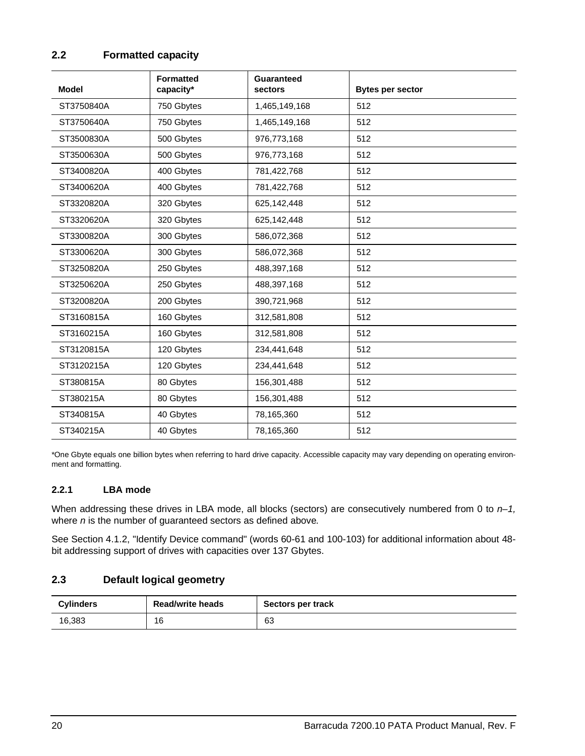## <span id="page-25-3"></span><span id="page-25-0"></span>**2.2 Formatted capacity**

| <b>Model</b> | <b>Formatted</b><br>capacity* | Guaranteed<br>sectors | <b>Bytes per sector</b> |
|--------------|-------------------------------|-----------------------|-------------------------|
| ST3750840A   | 750 Gbytes                    | 1,465,149,168         | 512                     |
| ST3750640A   | 750 Gbytes                    | 1,465,149,168         | 512                     |
| ST3500830A   | 500 Gbytes                    | 976,773,168           | 512                     |
| ST3500630A   | 500 Gbytes                    | 976,773,168           | 512                     |
| ST3400820A   | 400 Gbytes                    | 781,422,768           | 512                     |
| ST3400620A   | 400 Gbytes                    | 781,422,768           | 512                     |
| ST3320820A   | 320 Gbytes                    | 625,142,448           | 512                     |
| ST3320620A   | 320 Gbytes                    | 625,142,448           | 512                     |
| ST3300820A   | 300 Gbytes                    | 586,072,368           | 512                     |
| ST3300620A   | 300 Gbytes                    | 586,072,368           | 512                     |
| ST3250820A   | 250 Gbytes                    | 488,397,168           | 512                     |
| ST3250620A   | 250 Gbytes                    | 488,397,168           | 512                     |
| ST3200820A   | 200 Gbytes                    | 390,721,968           | 512                     |
| ST3160815A   | 160 Gbytes                    | 312,581,808           | 512                     |
| ST3160215A   | 160 Gbytes                    | 312,581,808           | 512                     |
| ST3120815A   | 120 Gbytes                    | 234,441,648           | 512                     |
| ST3120215A   | 120 Gbytes                    | 234,441,648           | 512                     |
| ST380815A    | 80 Gbytes                     | 156,301,488           | 512                     |
| ST380215A    | 80 Gbytes                     | 156,301,488           | 512                     |
| ST340815A    | 40 Gbytes                     | 78,165,360            | 512                     |
| ST340215A    | 40 Gbytes                     | 78,165,360            | 512                     |

\*One Gbyte equals one billion bytes when referring to hard drive capacity. Accessible capacity may vary depending on operating environment and formatting.

### <span id="page-25-5"></span><span id="page-25-1"></span>**2.2.1 LBA mode**

<span id="page-25-7"></span><span id="page-25-4"></span>When addressing these drives in LBA mode, all blocks (sectors) are consecutively numbered from 0 to  $n-1$ , where *n* is the number of guaranteed sectors as defined above*.*

See [Section 4.1.2, "Identify Device command"](#page-47-0) (words 60-61 and 100-103) for additional information about 48 bit addressing support of drives with capacities over 137 Gbytes.

## <span id="page-25-6"></span><span id="page-25-2"></span>**2.3 Default logical geometry**

| <b>Cylinders</b> | <b>Read/write heads</b> | Sectors per track |
|------------------|-------------------------|-------------------|
| 16,383           | 16                      | 63                |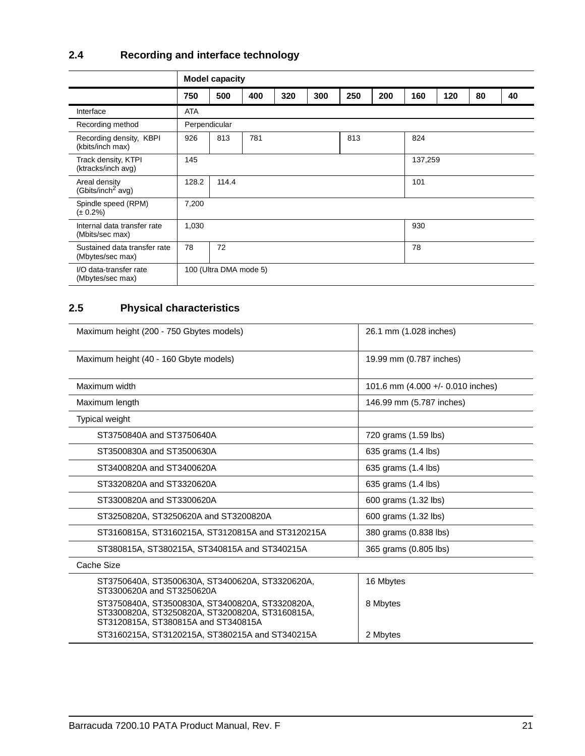## <span id="page-26-12"></span><span id="page-26-0"></span>**2.4 Recording and interface technology**

<span id="page-26-16"></span><span id="page-26-14"></span><span id="page-26-13"></span><span id="page-26-8"></span><span id="page-26-5"></span><span id="page-26-4"></span><span id="page-26-3"></span><span id="page-26-2"></span>

|                                                  |               | <b>Model capacity</b>  |            |     |     |         |     |     |     |    |    |
|--------------------------------------------------|---------------|------------------------|------------|-----|-----|---------|-----|-----|-----|----|----|
|                                                  | 750           | 500                    | 400        | 320 | 300 | 250     | 200 | 160 | 120 | 80 | 40 |
| Interface                                        | ATA           |                        |            |     |     |         |     |     |     |    |    |
| Recording method                                 | Perpendicular |                        |            |     |     |         |     |     |     |    |    |
| Recording density, KBPI<br>(kbits/inch max)      | 926           | 813                    | 813<br>781 |     |     |         | 824 |     |     |    |    |
| Track density, KTPI<br>(ktracks/inch avg)        | 145           |                        |            |     |     | 137,259 |     |     |     |    |    |
| Areal density<br>(Gbits/inch <sup>2</sup> avg)   | 128.2         | 114.4                  |            |     |     | 101     |     |     |     |    |    |
| Spindle speed (RPM)<br>$(\pm 0.2\%)$             | 7,200         |                        |            |     |     |         |     |     |     |    |    |
| Internal data transfer rate<br>(Mbits/sec max)   | 1,030<br>930  |                        |            |     |     |         |     |     |     |    |    |
| Sustained data transfer rate<br>(Mbytes/sec max) | 78            | 72                     |            |     |     |         | 78  |     |     |    |    |
| I/O data-transfer rate<br>(Mbytes/sec max)       |               | 100 (Ultra DMA mode 5) |            |     |     |         |     |     |     |    |    |

## <span id="page-26-15"></span><span id="page-26-11"></span><span id="page-26-9"></span><span id="page-26-7"></span><span id="page-26-1"></span>**2.5 Physical characteristics**

<span id="page-26-18"></span><span id="page-26-17"></span><span id="page-26-10"></span><span id="page-26-6"></span>

| Maximum height (200 - 750 Gbytes models)                                                                                                  | 26.1 mm (1.028 inches)            |
|-------------------------------------------------------------------------------------------------------------------------------------------|-----------------------------------|
| Maximum height (40 - 160 Gbyte models)                                                                                                    | 19.99 mm (0.787 inches)           |
| Maximum width                                                                                                                             | 101.6 mm (4.000 +/- 0.010 inches) |
| Maximum length                                                                                                                            | 146.99 mm (5.787 inches)          |
| <b>Typical weight</b>                                                                                                                     |                                   |
| ST3750840A and ST3750640A                                                                                                                 | 720 grams (1.59 lbs)              |
| ST3500830A and ST3500630A                                                                                                                 | 635 grams (1.4 lbs)               |
| ST3400820A and ST3400620A                                                                                                                 | 635 grams (1.4 lbs)               |
| ST3320820A and ST3320620A                                                                                                                 | 635 grams (1.4 lbs)               |
| ST3300820A and ST3300620A                                                                                                                 | 600 grams (1.32 lbs)              |
| ST3250820A, ST3250620A and ST3200820A                                                                                                     | 600 grams (1.32 lbs)              |
| ST3160815A, ST3160215A, ST3120815A and ST3120215A                                                                                         | 380 grams (0.838 lbs)             |
| ST380815A, ST380215A, ST340815A and ST340215A                                                                                             | 365 grams (0.805 lbs)             |
| Cache Size                                                                                                                                |                                   |
| ST3750640A, ST3500630A, ST3400620A, ST3320620A,<br>ST3300620A and ST3250620A                                                              | 16 Mbytes                         |
| ST3750840A, ST3500830A, ST3400820A, ST3320820A,<br>ST3300820A, ST3250820A, ST3200820A, ST3160815A,<br>ST3120815A, ST380815A and ST340815A | 8 Mbytes                          |
| ST3160215A, ST3120215A, ST380215A and ST340215A                                                                                           | 2 Mbytes                          |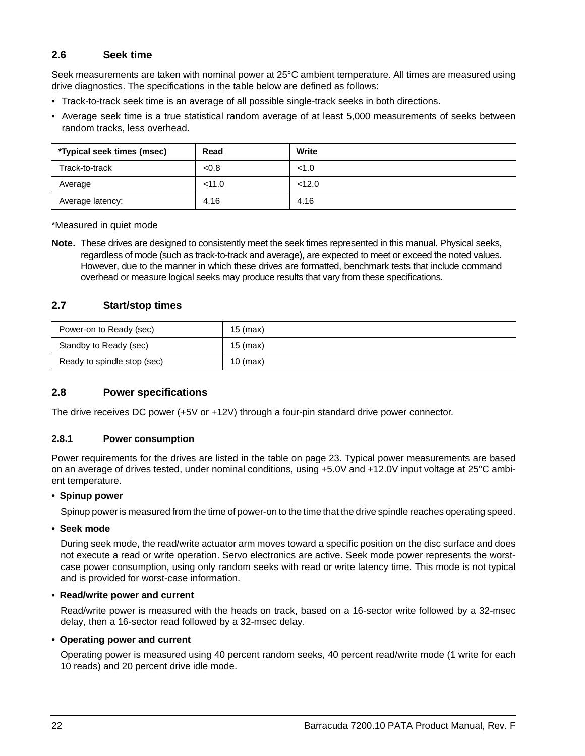## <span id="page-27-14"></span><span id="page-27-0"></span>**2.6 Seek time**

<span id="page-27-7"></span><span id="page-27-4"></span>Seek measurements are taken with nominal power at 25°C ambient temperature. All times are measured using drive diagnostics. The specifications in the table below are defined as follows:

- <span id="page-27-20"></span><span id="page-27-15"></span>• Track-to-track seek time is an average of all possible single-track seeks in both directions.
- <span id="page-27-5"></span>• Average seek time is a true statistical random average of at least 5,000 measurements of seeks between random tracks, less overhead.

| *Typical seek times (msec) | Read   | Write  |
|----------------------------|--------|--------|
| Track-to-track             | < 0.8  | < 1.0  |
| Average                    | < 11.0 | < 12.0 |
| Average latency:           | 4.16   | 4.16   |

\*Measured in quiet mode

**Note.** These drives are designed to consistently meet the seek times represented in this manual. Physical seeks, regardless of mode (such as track-to-track and average), are expected to meet or exceed the noted values. However, due to the manner in which these drives are formatted, benchmark tests that include command overhead or measure logical seeks may produce results that vary from these specifications.

### <span id="page-27-19"></span><span id="page-27-18"></span><span id="page-27-1"></span>**2.7 Start/stop times**

<span id="page-27-17"></span><span id="page-27-11"></span>

| Power-on to Ready (sec)     | 15 (max)   |
|-----------------------------|------------|
| Standby to Ready (sec)      | $15$ (max) |
| Ready to spindle stop (sec) | $10$ (max) |

### <span id="page-27-10"></span><span id="page-27-2"></span>**2.8 Power specifications**

<span id="page-27-6"></span>The drive receives DC power (+5V or +12V) through a four-pin standard drive power connector.

### <span id="page-27-9"></span><span id="page-27-3"></span>**2.8.1 Power consumption**

Power requirements for the drives are listed in the table on [page 23](#page-28-0). Typical power measurements are based on an average of drives tested, under nominal conditions, using +5.0V and +12.0V input voltage at 25°C ambient temperature.

### <span id="page-27-16"></span>**• Spinup power**

Spinup power is measured from the time of power-on to the time that the drive spindle reaches operating speed.

#### <span id="page-27-13"></span>**• Seek mode**

During seek mode, the read/write actuator arm moves toward a specific position on the disc surface and does not execute a read or write operation. Servo electronics are active. Seek mode power represents the worstcase power consumption, using only random seeks with read or write latency time. This mode is not typical and is provided for worst-case information.

#### <span id="page-27-12"></span>**• Read/write power and current**

Read/write power is measured with the heads on track, based on a 16-sector write followed by a 32-msec delay, then a 16-sector read followed by a 32-msec delay.

### <span id="page-27-8"></span>**• Operating power and current**

Operating power is measured using 40 percent random seeks, 40 percent read/write mode (1 write for each 10 reads) and 20 percent drive idle mode.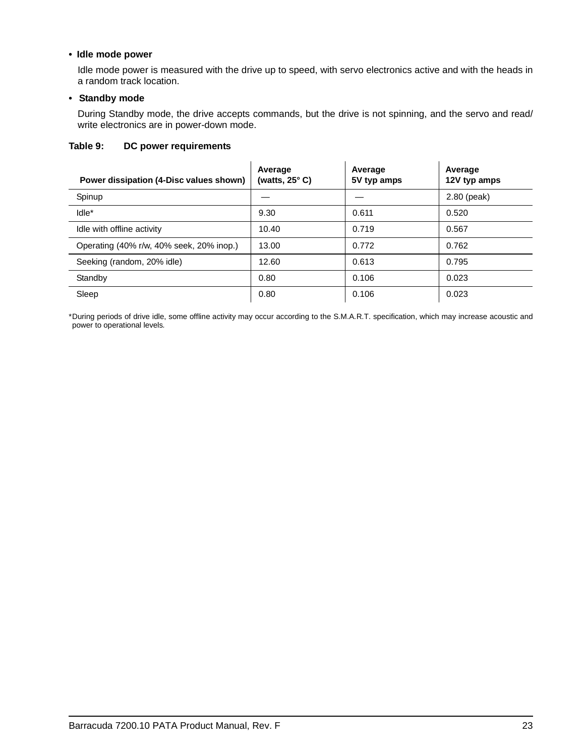#### <span id="page-28-2"></span>**• Idle mode power**

<span id="page-28-6"></span><span id="page-28-4"></span>Idle mode power is measured with the drive up to speed, with servo electronics active and with the heads in a random track location.

#### <span id="page-28-10"></span>**• Standby mode**

During Standby mode, the drive accepts commands, but the drive is not spinning, and the servo and read/ write electronics are in power-down mode.

#### <span id="page-28-0"></span>**Table 9: DC power requirements**

<span id="page-28-8"></span><span id="page-28-3"></span><span id="page-28-1"></span>

| Power dissipation (4-Disc values shown)  | Average<br>(watts, $25^{\circ}$ C) | Average<br>5V typ amps | Average<br>12V typ amps |
|------------------------------------------|------------------------------------|------------------------|-------------------------|
| Spinup                                   |                                    |                        | 2.80 (peak)             |
| Idle*                                    | 9.30                               | 0.611                  | 0.520                   |
| Idle with offline activity               | 10.40                              | 0.719                  | 0.567                   |
| Operating (40% r/w, 40% seek, 20% inop.) | 13.00                              | 0.772                  | 0.762                   |
| Seeking (random, 20% idle)               | 12.60                              | 0.613                  | 0.795                   |
| Standby                                  | 0.80                               | 0.106                  | 0.023                   |
| Sleep                                    | 0.80                               | 0.106                  | 0.023                   |

<span id="page-28-9"></span><span id="page-28-7"></span><span id="page-28-5"></span>\*During periods of drive idle, some offline activity may occur according to the S.M.A.R.T. specification, which may increase acoustic and power to operational levels*.*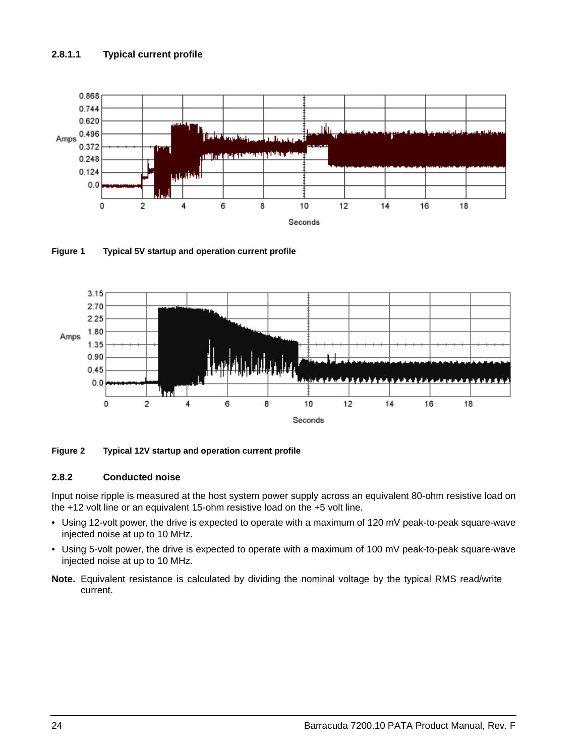### <span id="page-29-4"></span>**2.8.1.1 Typical current profile**



<span id="page-29-1"></span>**Figure 1 Typical 5V startup and operation current profile**



#### <span id="page-29-2"></span>**Figure 2 Typical 12V startup and operation current profile**

#### <span id="page-29-5"></span><span id="page-29-3"></span><span id="page-29-0"></span>**2.8.2 Conducted noise**

<span id="page-29-7"></span>Input noise ripple is measured at the host system power supply across an equivalent 80-ohm resistive load on the +12 volt line or an equivalent 15-ohm resistive load on the +5 volt line.

- Using 12-volt power, the drive is expected to operate with a maximum of 120 mV peak-to-peak square-wave injected noise at up to 10 MHz.
- Using 5-volt power, the drive is expected to operate with a maximum of 100 mV peak-to-peak square-wave injected noise at up to 10 MHz.
- <span id="page-29-6"></span>**Note.** Equivalent resistance is calculated by dividing the nominal voltage by the typical RMS read/write current.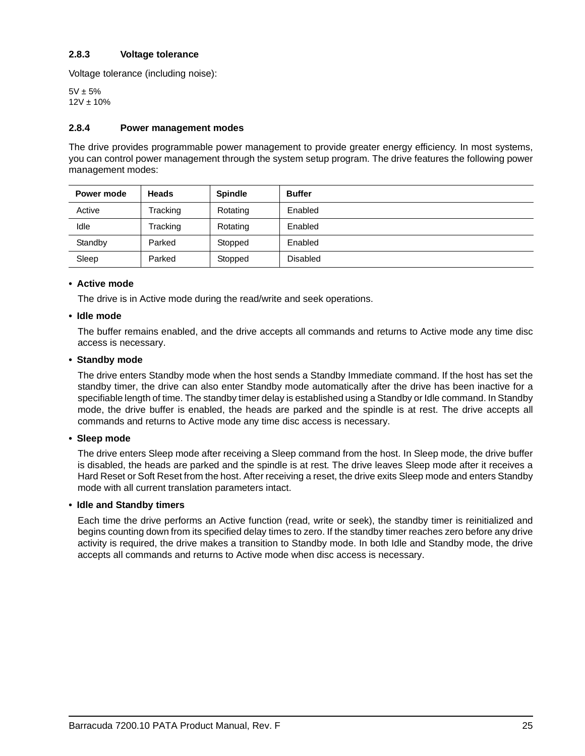### <span id="page-30-12"></span><span id="page-30-0"></span>**2.8.3 Voltage tolerance**

<span id="page-30-11"></span>Voltage tolerance (including noise):

 $5V \pm 5%$  $12V \pm 10%$ 

#### <span id="page-30-6"></span><span id="page-30-1"></span>**2.8.4 Power management modes**

<span id="page-30-7"></span><span id="page-30-5"></span>The drive provides programmable power management to provide greater energy efficiency. In most systems, you can control power management through the system setup program. The drive features the following power management modes:

| Power mode | <b>Heads</b> | <b>Spindle</b> | <b>Buffer</b>   |
|------------|--------------|----------------|-----------------|
| Active     | Tracking     | Rotating       | Enabled         |
| Idle       | Tracking     | Rotating       | Enabled         |
| Standby    | Parked       | Stopped        | Enabled         |
| Sleep      | Parked       | Stopped        | <b>Disabled</b> |

#### <span id="page-30-2"></span>**• Active mode**

<span id="page-30-4"></span>The drive is in Active mode during the read/write and seek operations.

#### **• Idle mode**

The buffer remains enabled, and the drive accepts all commands and returns to Active mode any time disc access is necessary.

#### <span id="page-30-9"></span>**• Standby mode**

The drive enters Standby mode when the host sends a Standby Immediate command. If the host has set the standby timer, the drive can also enter Standby mode automatically after the drive has been inactive for a specifiable length of time. The standby timer delay is established using a Standby or Idle command. In Standby mode, the drive buffer is enabled, the heads are parked and the spindle is at rest. The drive accepts all commands and returns to Active mode any time disc access is necessary.

#### <span id="page-30-8"></span>**• Sleep mode**

The drive enters Sleep mode after receiving a Sleep command from the host. In Sleep mode, the drive buffer is disabled, the heads are parked and the spindle is at rest. The drive leaves Sleep mode after it receives a Hard Reset or Soft Reset from the host. After receiving a reset, the drive exits Sleep mode and enters Standby mode with all current translation parameters intact.

#### <span id="page-30-3"></span>**• Idle and Standby timers**

<span id="page-30-10"></span>Each time the drive performs an Active function (read, write or seek), the standby timer is reinitialized and begins counting down from its specified delay times to zero. If the standby timer reaches zero before any drive activity is required, the drive makes a transition to Standby mode. In both Idle and Standby mode, the drive accepts all commands and returns to Active mode when disc access is necessary.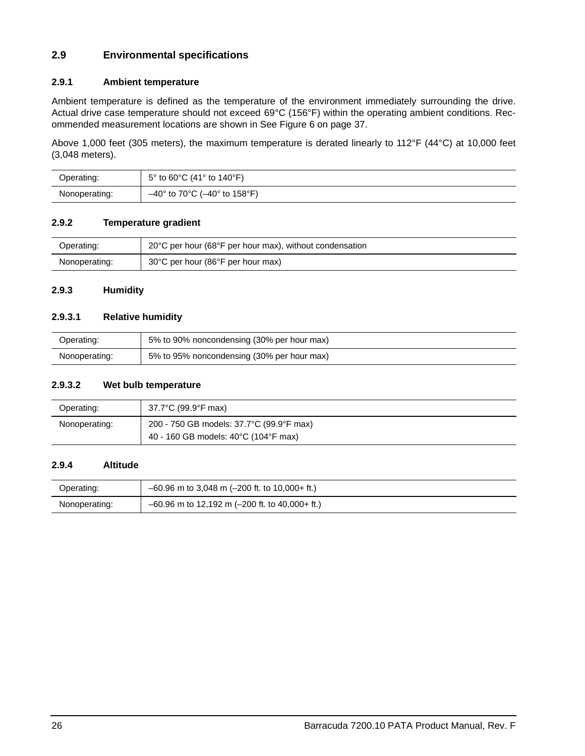## <span id="page-31-8"></span><span id="page-31-0"></span>**2.9 Environmental specifications**

### <span id="page-31-13"></span><span id="page-31-6"></span><span id="page-31-1"></span>**2.9.1 Ambient temperature**

<span id="page-31-11"></span><span id="page-31-7"></span>Ambient temperature is defined as the temperature of the environment immediately surrounding the drive. Actual drive case temperature should not exceed 69°C (156°F) within the operating ambient conditions. Recommended measurement locations are shown in [See Figure 6 on page 37](#page-42-0).

<span id="page-31-10"></span>Above 1,000 feet (305 meters), the maximum temperature is derated linearly to 112°F (44°C) at 10,000 feet (3,048 meters).

| Operating:    | $5^{\circ}$ to 60°C (41° to 140°F)              |
|---------------|-------------------------------------------------|
| Nonoperating: | $-40^{\circ}$ to 70°C ( $-40^{\circ}$ to 158°F) |

#### <span id="page-31-14"></span><span id="page-31-2"></span>**2.9.2 Temperature gradient**

| Operating:    | 20°C per hour (68°F per hour max), without condensation |
|---------------|---------------------------------------------------------|
| Nonoperating: | 30°C per hour (86°F per hour max)                       |

#### <span id="page-31-9"></span><span id="page-31-3"></span>**2.9.3 Humidity**

### <span id="page-31-12"></span>**2.9.3.1 Relative humidity**

| Operating:    | 5% to 90% noncondensing (30% per hour max) |
|---------------|--------------------------------------------|
| Nonoperating: | 5% to 95% noncondensing (30% per hour max) |

#### <span id="page-31-15"></span>**2.9.3.2 Wet bulb temperature**

| Operating:    | 37.7°C (99.9°F max)                                                              |
|---------------|----------------------------------------------------------------------------------|
| Nonoperating: | 200 - 750 GB models: 37.7°C (99.9°F max)<br>40 - 160 GB models: 40°C (104°F max) |

#### <span id="page-31-5"></span><span id="page-31-4"></span>**2.9.4 Altitude**

| Operating:    | $-60.96$ m to 3,048 m (-200 ft. to 10,000+ ft.)  |
|---------------|--------------------------------------------------|
| Nonoperating: | $-60.96$ m to 12,192 m (-200 ft. to 40,000+ ft.) |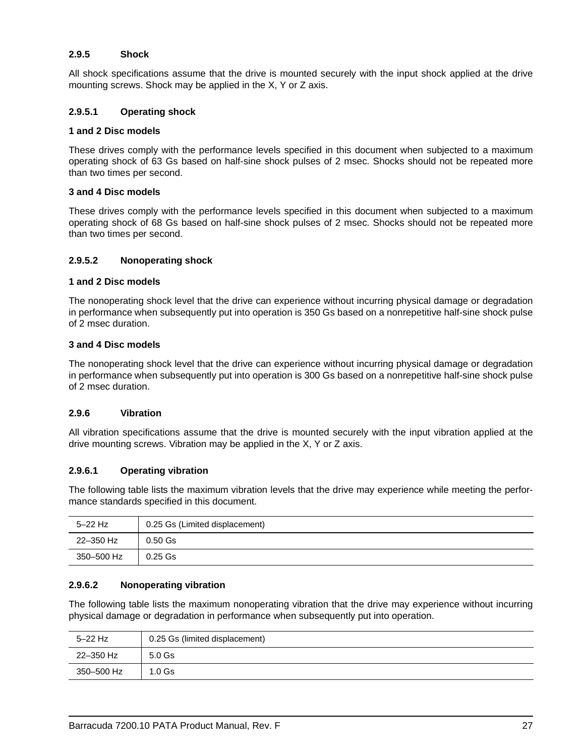### <span id="page-32-6"></span><span id="page-32-0"></span>**2.9.5 Shock**

All shock specifications assume that the drive is mounted securely with the input shock applied at the drive mounting screws. Shock may be applied in the X, Y or Z axis.

### <span id="page-32-4"></span>**2.9.5.1 Operating shock**

#### **1 and 2 Disc models**

These drives comply with the performance levels specified in this document when subjected to a maximum operating shock of 63 Gs based on half-sine shock pulses of 2 msec. Shocks should not be repeated more than two times per second.

#### **3 and 4 Disc models**

These drives comply with the performance levels specified in this document when subjected to a maximum operating shock of 68 Gs based on half-sine shock pulses of 2 msec. Shocks should not be repeated more than two times per second.

### <span id="page-32-2"></span>**2.9.5.2 Nonoperating shock**

#### **1 and 2 Disc models**

The nonoperating shock level that the drive can experience without incurring physical damage or degradation in performance when subsequently put into operation is 350 Gs based on a nonrepetitive half-sine shock pulse of 2 msec duration.

#### **3 and 4 Disc models**

The nonoperating shock level that the drive can experience without incurring physical damage or degradation in performance when subsequently put into operation is 300 Gs based on a nonrepetitive half-sine shock pulse of 2 msec duration.

#### <span id="page-32-7"></span><span id="page-32-1"></span>**2.9.6 Vibration**

All vibration specifications assume that the drive is mounted securely with the input vibration applied at the drive mounting screws. Vibration may be applied in the X, Y or Z axis.

### <span id="page-32-5"></span>**2.9.6.1 Operating vibration**

The following table lists the maximum vibration levels that the drive may experience while meeting the performance standards specified in this document.

| $5-22$ Hz  | 0.25 Gs (Limited displacement) |
|------------|--------------------------------|
| 22-350 Hz  | $0.50$ Gs                      |
| 350–500 Hz | $0.25$ Gs                      |

### <span id="page-32-3"></span>**2.9.6.2 Nonoperating vibration**

The following table lists the maximum nonoperating vibration that the drive may experience without incurring physical damage or degradation in performance when subsequently put into operation.

| $5-22$ Hz  | 0.25 Gs (limited displacement) |
|------------|--------------------------------|
| 22-350 Hz  | $5.0$ Gs                       |
| 350–500 Hz | 1.0 <sub>Gs</sub>              |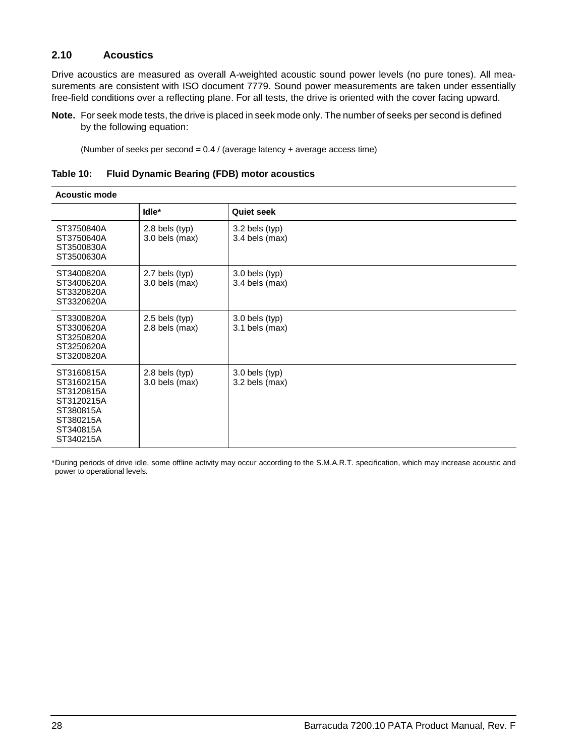### <span id="page-33-1"></span><span id="page-33-0"></span>**2.10 Acoustics**

Drive acoustics are measured as overall A-weighted acoustic sound power levels (no pure tones). All measurements are consistent with ISO document 7779. Sound power measurements are taken under essentially free-field conditions over a reflecting plane. For all tests, the drive is oriented with the cover facing upward.

**Note.** For seek mode tests, the drive is placed in seek mode only. The number of seeks per second is defined by the following equation:

<span id="page-33-3"></span><span id="page-33-2"></span>(Number of seeks per second =  $0.4$  / (average latency + average access time)

| Table 10: |  |  | <b>Fluid Dynamic Bearing (FDB) motor acoustics</b> |
|-----------|--|--|----------------------------------------------------|
|           |  |  |                                                    |

| <b>Acoustic mode</b>                                                                                     |                                    |                                    |
|----------------------------------------------------------------------------------------------------------|------------------------------------|------------------------------------|
|                                                                                                          | Idle*                              | <b>Quiet seek</b>                  |
| ST3750840A<br>ST3750640A<br>ST3500830A<br>ST3500630A                                                     | $2.8$ bels (typ)<br>3.0 bels (max) | $3.2$ bels (typ)<br>3.4 bels (max) |
| ST3400820A<br>ST3400620A<br>ST3320820A<br>ST3320620A                                                     | 2.7 bels (typ)<br>$3.0$ bels (max) | $3.0$ bels (typ)<br>3.4 bels (max) |
| ST3300820A<br>ST3300620A<br>ST3250820A<br>ST3250620A<br>ST3200820A                                       | $2.5$ bels (typ)<br>2.8 bels (max) | 3.0 bels (typ)<br>3.1 bels (max)   |
| ST3160815A<br>ST3160215A<br>ST3120815A<br>ST3120215A<br>ST380815A<br>ST380215A<br>ST340815A<br>ST340215A | $2.8$ bels (typ)<br>3.0 bels (max) | 3.0 bels (typ)<br>3.2 bels (max)   |

\*During periods of drive idle, some offline activity may occur according to the S.M.A.R.T. specification, which may increase acoustic and power to operational levels*.*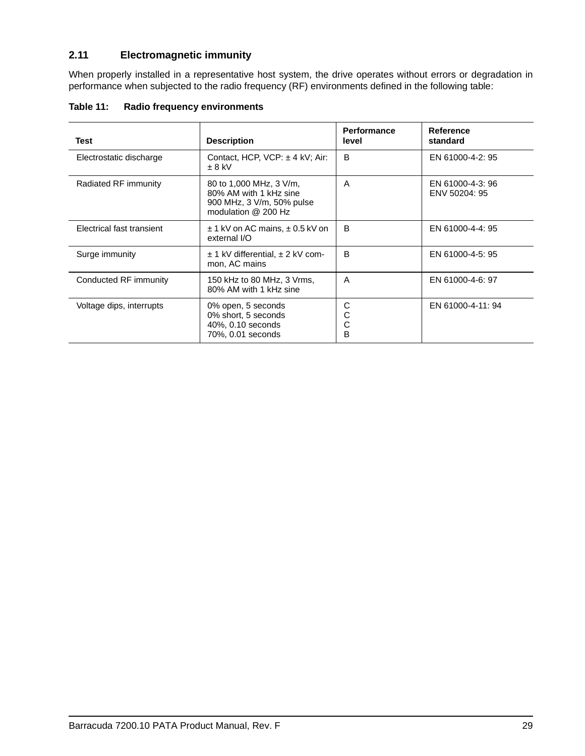## <span id="page-34-3"></span><span id="page-34-0"></span>**2.11 Electromagnetic immunity**

<span id="page-34-8"></span><span id="page-34-7"></span><span id="page-34-5"></span>When properly installed in a representative host system, the drive operates without errors or degradation in performance when subjected to the radio frequency (RF) environments defined in the following table:

| Table 11: |  | Radio frequency environments |
|-----------|--|------------------------------|
|           |  |                              |

<span id="page-34-10"></span><span id="page-34-9"></span><span id="page-34-6"></span><span id="page-34-4"></span><span id="page-34-2"></span><span id="page-34-1"></span>

| Test                      | <b>Description</b>                                                                                      | <b>Performance</b><br>level | Reference<br>standard             |
|---------------------------|---------------------------------------------------------------------------------------------------------|-----------------------------|-----------------------------------|
| Electrostatic discharge   | Contact, HCP, VCP: ± 4 kV; Air:<br>$\pm$ 8 kV                                                           | B                           | EN 61000-4-2: 95                  |
| Radiated RF immunity      | 80 to 1,000 MHz, 3 V/m,<br>80% AM with 1 kHz sine<br>900 MHz, 3 V/m, 50% pulse<br>modulation $@$ 200 Hz | A                           | EN 61000-4-3: 96<br>ENV 50204: 95 |
| Electrical fast transient | $\pm$ 1 kV on AC mains, $\pm$ 0.5 kV on<br>external I/O                                                 | B                           | EN 61000-4-4: 95                  |
| Surge immunity            | $\pm$ 1 kV differential, $\pm$ 2 kV com-<br>mon, AC mains                                               | B                           | EN 61000-4-5: 95                  |
| Conducted RF immunity     | 150 kHz to 80 MHz, 3 Vrms,<br>80% AM with 1 kHz sine                                                    | A                           | EN 61000-4-6: 97                  |
| Voltage dips, interrupts  | 0% open, 5 seconds<br>0% short, 5 seconds<br>40%, 0.10 seconds<br>70%, 0.01 seconds                     | C<br>C<br>C<br>в            | EN 61000-4-11: 94                 |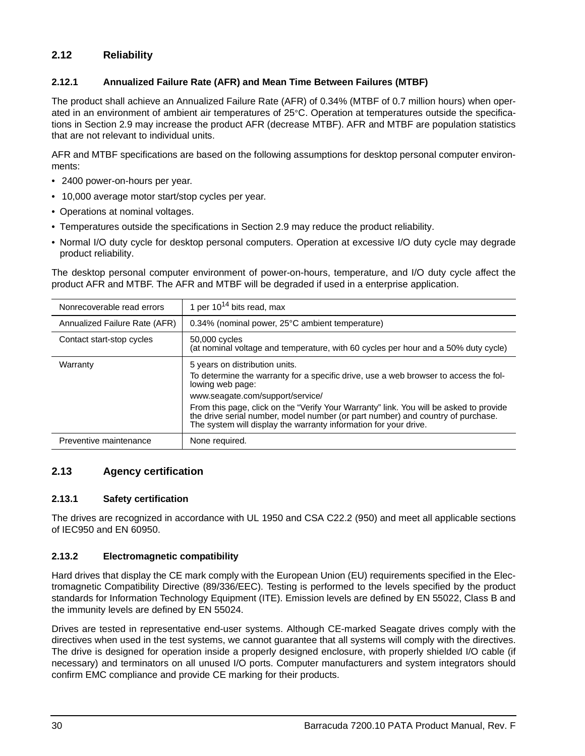## <span id="page-35-29"></span><span id="page-35-0"></span>**2.12 Reliability**

## <span id="page-35-25"></span><span id="page-35-24"></span><span id="page-35-7"></span><span id="page-35-5"></span><span id="page-35-1"></span>**2.12.1 Annualized Failure Rate (AFR) and Mean Time Between Failures (MTBF)**

The product shall achieve an Annualized Failure Rate (AFR) of 0.34% (MTBF of 0.7 million hours) when operated in an environment of ambient air temperatures of 25°C. Operation at temperatures outside the specifications in [Section 2.9](#page-31-0) may increase the product AFR (decrease MTBF). AFR and MTBF are population statistics that are not relevant to individual units.

AFR and MTBF specifications are based on the following assumptions for desktop personal computer environments:

- <span id="page-35-27"></span>• 2400 power-on-hours per year.
- 10,000 average motor start/stop cycles per year.
- Operations at nominal voltages.
- <span id="page-35-20"></span><span id="page-35-13"></span>• Temperatures outside the specifications in [Section 2.9](#page-31-0) may reduce the product reliability.
- Normal I/O duty cycle for desktop personal computers. Operation at excessive I/O duty cycle may degrade product reliability.

The desktop personal computer environment of power-on-hours, temperature, and I/O duty cycle affect the product AFR and MTBF. The AFR and MTBF will be degraded if used in a enterprise application.

<span id="page-35-33"></span><span id="page-35-31"></span><span id="page-35-28"></span><span id="page-35-26"></span><span id="page-35-18"></span><span id="page-35-12"></span><span id="page-35-8"></span>

| Nonrecoverable read errors    | 1 per $10^{14}$ bits read, max                                                                                                                                                                                                                                                                                                                                                                                                  |
|-------------------------------|---------------------------------------------------------------------------------------------------------------------------------------------------------------------------------------------------------------------------------------------------------------------------------------------------------------------------------------------------------------------------------------------------------------------------------|
| Annualized Failure Rate (AFR) | 0.34% (nominal power, 25°C ambient temperature)                                                                                                                                                                                                                                                                                                                                                                                 |
| Contact start-stop cycles     | 50,000 cycles<br>(at nominal voltage and temperature, with 60 cycles per hour and a 50% duty cycle)                                                                                                                                                                                                                                                                                                                             |
| Warranty                      | 5 years on distribution units.<br>To determine the warranty for a specific drive, use a web browser to access the fol-<br>lowing web page:<br>www.seagate.com/support/service/<br>From this page, click on the "Verify Your Warranty" link. You will be asked to provide<br>the drive serial number, model number (or part number) and country of purchase.<br>The system will display the warranty information for your drive. |
| Preventive maintenance        | None required.                                                                                                                                                                                                                                                                                                                                                                                                                  |

## <span id="page-35-23"></span><span id="page-35-10"></span><span id="page-35-6"></span><span id="page-35-2"></span>**2.13 Agency certification**

### <span id="page-35-30"></span><span id="page-35-3"></span>**2.13.1 Safety certification**

<span id="page-35-32"></span><span id="page-35-21"></span><span id="page-35-17"></span><span id="page-35-11"></span>The drives are recognized in accordance with UL 1950 and CSA C22.2 (950) and meet all applicable sections of IEC950 and EN 60950.

## <span id="page-35-14"></span><span id="page-35-4"></span>**2.13.2 Electromagnetic compatibility**

<span id="page-35-22"></span><span id="page-35-19"></span><span id="page-35-15"></span><span id="page-35-9"></span>Hard drives that display the CE mark comply with the European Union (EU) requirements specified in the Electromagnetic Compatibility Directive (89/336/EEC). Testing is performed to the levels specified by the product standards for Information Technology Equipment (ITE). Emission levels are defined by EN 55022, Class B and the immunity levels are defined by EN 55024.

<span id="page-35-16"></span>Drives are tested in representative end-user systems. Although CE-marked Seagate drives comply with the directives when used in the test systems, we cannot guarantee that all systems will comply with the directives. The drive is designed for operation inside a properly designed enclosure, with properly shielded I/O cable (if necessary) and terminators on all unused I/O ports. Computer manufacturers and system integrators should confirm EMC compliance and provide CE marking for their products.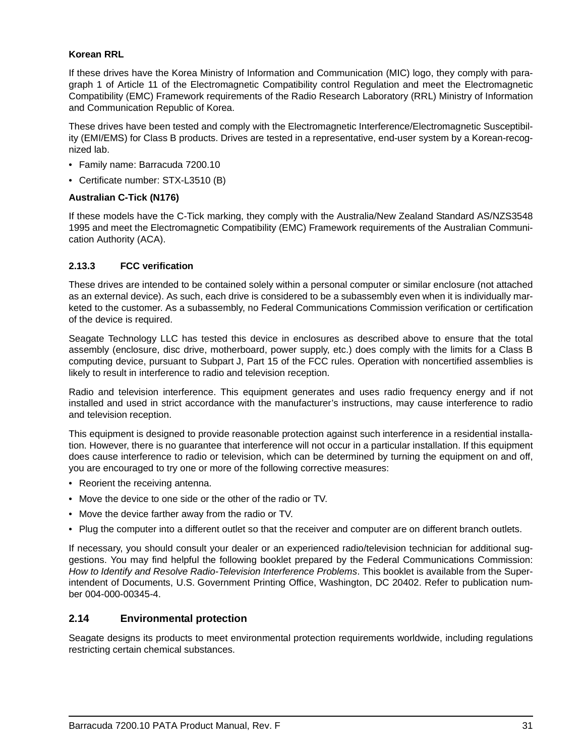### <span id="page-36-7"></span>**Korean RRL**

If these drives have the Korea Ministry of Information and Communication (MIC) logo, they comply with paragraph 1 of Article 11 of the Electromagnetic Compatibility control Regulation and meet the Electromagnetic Compatibility (EMC) Framework requirements of the Radio Research Laboratory (RRL) Ministry of Information and Communication Republic of Korea.

These drives have been tested and comply with the Electromagnetic Interference/Electromagnetic Susceptibility (EMI/EMS) for Class B products. Drives are tested in a representative, end-user system by a Korean-recognized lab.

- Family name: Barracuda 7200.10
- <span id="page-36-3"></span>• Certificate number: STX-L3510 (B)

### <span id="page-36-2"></span>**Australian C-Tick (N176)**

If these models have the C-Tick marking, they comply with the Australia/New Zealand Standard AS/NZS3548 1995 and meet the Electromagnetic Compatibility (EMC) Framework requirements of the Australian Communication Authority (ACA).

### <span id="page-36-5"></span><span id="page-36-0"></span>**2.13.3 FCC verification**

<span id="page-36-9"></span>These drives are intended to be contained solely within a personal computer or similar enclosure (not attached as an external device). As such, each drive is considered to be a subassembly even when it is individually marketed to the customer. As a subassembly, no Federal Communications Commission verification or certification of the device is required.

<span id="page-36-6"></span><span id="page-36-4"></span>Seagate Technology LLC has tested this device in enclosures as described above to ensure that the total assembly (enclosure, disc drive, motherboard, power supply, etc.) does comply with the limits for a Class B computing device, pursuant to Subpart J, Part 15 of the FCC rules. Operation with noncertified assemblies is likely to result in interference to radio and television reception.

<span id="page-36-8"></span>Radio and television interference. This equipment generates and uses radio frequency energy and if not installed and used in strict accordance with the manufacturer's instructions, may cause interference to radio and television reception.

This equipment is designed to provide reasonable protection against such interference in a residential installation. However, there is no guarantee that interference will not occur in a particular installation. If this equipment does cause interference to radio or television, which can be determined by turning the equipment on and off, you are encouraged to try one or more of the following corrective measures:

- Reorient the receiving antenna.
- Move the device to one side or the other of the radio or TV.
- Move the device farther away from the radio or TV.
- Plug the computer into a different outlet so that the receiver and computer are on different branch outlets.

If necessary, you should consult your dealer or an experienced radio/television technician for additional suggestions. You may find helpful the following booklet prepared by the Federal Communications Commission: *How to Identify and Resolve Radio-Television Interference Problems*. This booklet is available from the Superintendent of Documents, U.S. Government Printing Office, Washington, DC 20402. Refer to publication number 004-000-00345-4.

## <span id="page-36-1"></span>**2.14 Environmental protection**

Seagate designs its products to meet environmental protection requirements worldwide, including regulations restricting certain chemical substances.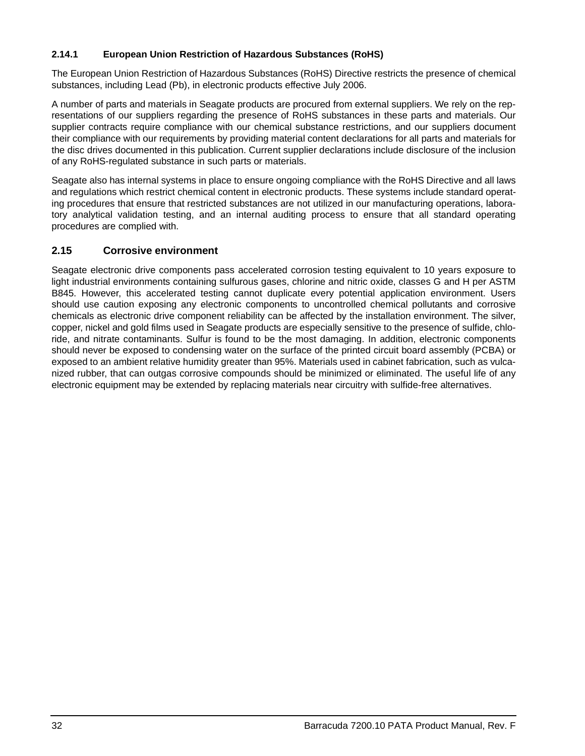### <span id="page-37-3"></span><span id="page-37-0"></span>**2.14.1 European Union Restriction of Hazardous Substances (RoHS)**

The European Union Restriction of Hazardous Substances (RoHS) Directive restricts the presence of chemical substances, including Lead (Pb), in electronic products effective July 2006.

A number of parts and materials in Seagate products are procured from external suppliers. We rely on the representations of our suppliers regarding the presence of RoHS substances in these parts and materials. Our supplier contracts require compliance with our chemical substance restrictions, and our suppliers document their compliance with our requirements by providing material content declarations for all parts and materials for the disc drives documented in this publication. Current supplier declarations include disclosure of the inclusion of any RoHS-regulated substance in such parts or materials.

Seagate also has internal systems in place to ensure ongoing compliance with the RoHS Directive and all laws and regulations which restrict chemical content in electronic products. These systems include standard operating procedures that ensure that restricted substances are not utilized in our manufacturing operations, laboratory analytical validation testing, and an internal auditing process to ensure that all standard operating procedures are complied with.

## <span id="page-37-2"></span><span id="page-37-1"></span>**2.15 Corrosive environment**

Seagate electronic drive components pass accelerated corrosion testing equivalent to 10 years exposure to light industrial environments containing sulfurous gases, chlorine and nitric oxide, classes G and H per ASTM B845. However, this accelerated testing cannot duplicate every potential application environment. Users should use caution exposing any electronic components to uncontrolled chemical pollutants and corrosive chemicals as electronic drive component reliability can be affected by the installation environment. The silver, copper, nickel and gold films used in Seagate products are especially sensitive to the presence of sulfide, chloride, and nitrate contaminants. Sulfur is found to be the most damaging. In addition, electronic components should never be exposed to condensing water on the surface of the printed circuit board assembly (PCBA) or exposed to an ambient relative humidity greater than 95%. Materials used in cabinet fabrication, such as vulcanized rubber, that can outgas corrosive compounds should be minimized or eliminated. The useful life of any electronic equipment may be extended by replacing materials near circuitry with sulfide-free alternatives.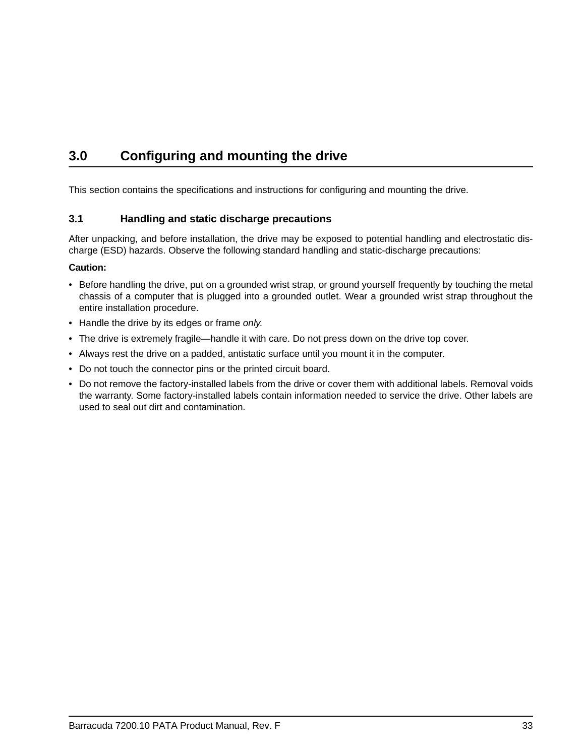## <span id="page-38-4"></span><span id="page-38-2"></span><span id="page-38-0"></span>**3.0 Configuring and mounting the drive**

This section contains the specifications and instructions for configuring and mounting the drive.

## <span id="page-38-5"></span><span id="page-38-3"></span><span id="page-38-1"></span>**3.1 Handling and static discharge precautions**

After unpacking, and before installation, the drive may be exposed to potential handling and electrostatic discharge (ESD) hazards. Observe the following standard handling and static-discharge precautions:

### **Caution:**

- Before handling the drive, put on a grounded wrist strap, or ground yourself frequently by touching the metal chassis of a computer that is plugged into a grounded outlet. Wear a grounded wrist strap throughout the entire installation procedure.
- Handle the drive by its edges or frame *only*.
- The drive is extremely fragile—handle it with care. Do not press down on the drive top cover.
- Always rest the drive on a padded, antistatic surface until you mount it in the computer.
- Do not touch the connector pins or the printed circuit board.
- Do not remove the factory-installed labels from the drive or cover them with additional labels. Removal voids the warranty. Some factory-installed labels contain information needed to service the drive. Other labels are used to seal out dirt and contamination.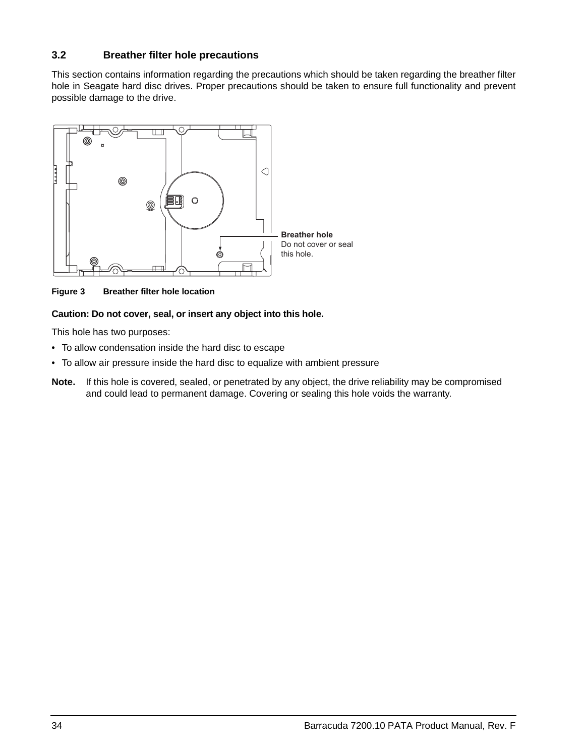## <span id="page-39-2"></span><span id="page-39-0"></span>**3.2 Breather filter hole precautions**

This section contains information regarding the precautions which should be taken regarding the breather filter hole in Seagate hard disc drives. Proper precautions should be taken to ensure full functionality and prevent possible damage to the drive.



<span id="page-39-1"></span>**Figure 3 Breather filter hole location**

### **Caution: Do not cover, seal, or insert any object into this hole.**

This hole has two purposes:

- To allow condensation inside the hard disc to escape
- To allow air pressure inside the hard disc to equalize with ambient pressure
- **Note.** If this hole is covered, sealed, or penetrated by any object, the drive reliability may be compromised and could lead to permanent damage. Covering or sealing this hole voids the warranty.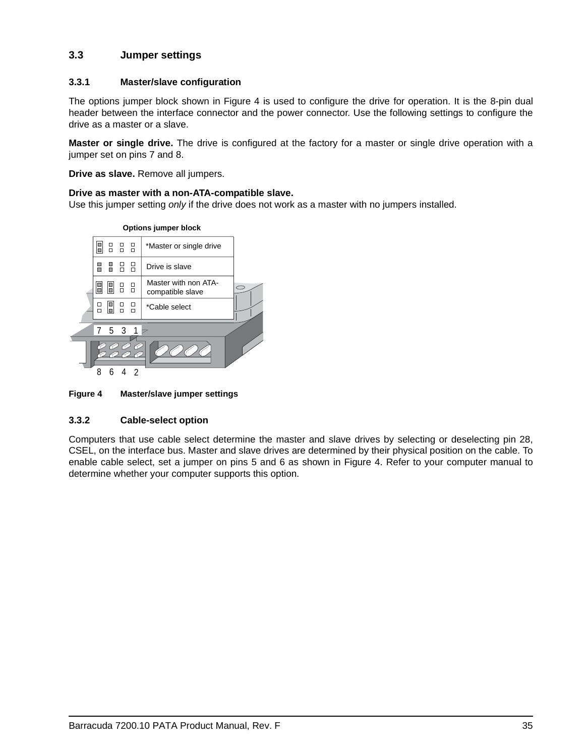## <span id="page-40-6"></span><span id="page-40-0"></span>**3.3 Jumper settings**

### <span id="page-40-8"></span><span id="page-40-1"></span>**3.3.1 Master/slave configuration**

The options jumper block shown in Figure [4](#page-40-3) is used to configure the drive for operation. It is the 8-pin dual header between the interface connector and the power connector. Use the following settings to configure the drive as a master or a slave.

**Master or single drive.** The drive is configured at the factory for a master or single drive operation with a jumper set on pins 7 and 8.

<span id="page-40-9"></span>**Drive as slave.** Remove all jumpers.

#### <span id="page-40-7"></span>**Drive as master with a non-ATA-compatible slave.**

Use this jumper setting *only* if the drive does not work as a master with no jumpers installed.



### <span id="page-40-3"></span>**Figure 4 Master/slave jumper settings**

### <span id="page-40-4"></span><span id="page-40-2"></span>**3.3.2 Cable-select option**

<span id="page-40-5"></span>Computers that use cable select determine the master and slave drives by selecting or deselecting pin 28, CSEL, on the interface bus. Master and slave drives are determined by their physical position on the cable. To enable cable select, set a jumper on pins 5 and 6 as shown in Figure [4.](#page-40-3) Refer to your computer manual to determine whether your computer supports this option.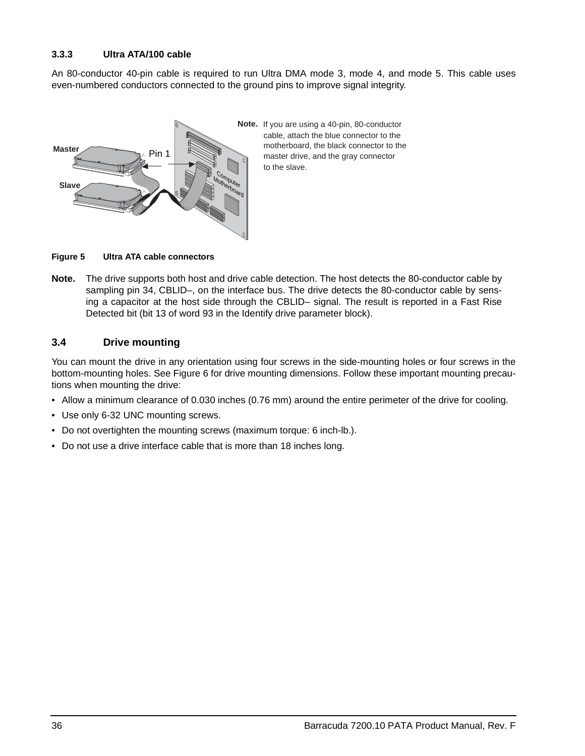### <span id="page-41-9"></span><span id="page-41-0"></span>**3.3.3 Ultra ATA/100 cable**

An 80-conductor 40-pin cable is required to run Ultra DMA mode 3, mode 4, and mode 5. This cable uses even-numbered conductors connected to the ground pins to improve signal integrity.



<span id="page-41-10"></span><span id="page-41-7"></span><span id="page-41-3"></span>**Note.** If you are using a 40-pin, 80-conductor cable, attach the blue connector to the motherboard, the black connector to the master drive, and the gray connector to the slave.

<span id="page-41-4"></span><span id="page-41-2"></span>**Figure 5 Ultra ATA cable connectors**

**Note.** The drive supports both host and drive cable detection. The host detects the 80-conductor cable by sampling pin 34, CBLID–, on the interface bus. The drive detects the 80-conductor cable by sensing a capacitor at the host side through the CBLID– signal. The result is reported in a Fast Rise Detected bit (bit 13 of word 93 in the Identify drive parameter block).

## <span id="page-41-5"></span><span id="page-41-1"></span>**3.4 Drive mounting**

<span id="page-41-6"></span>You can mount the drive in any orientation using four screws in the side-mounting holes or four screws in the bottom-mounting holes. See Figure [6](#page-42-0) for drive mounting dimensions. Follow these important mounting precautions when mounting the drive:

- Allow a minimum clearance of 0.030 inches (0.76 mm) around the entire perimeter of the drive for cooling.
- <span id="page-41-8"></span>• Use only 6-32 UNC mounting screws.
- Do not overtighten the mounting screws (maximum torque: 6 inch-lb.).
- Do not use a drive interface cable that is more than 18 inches long.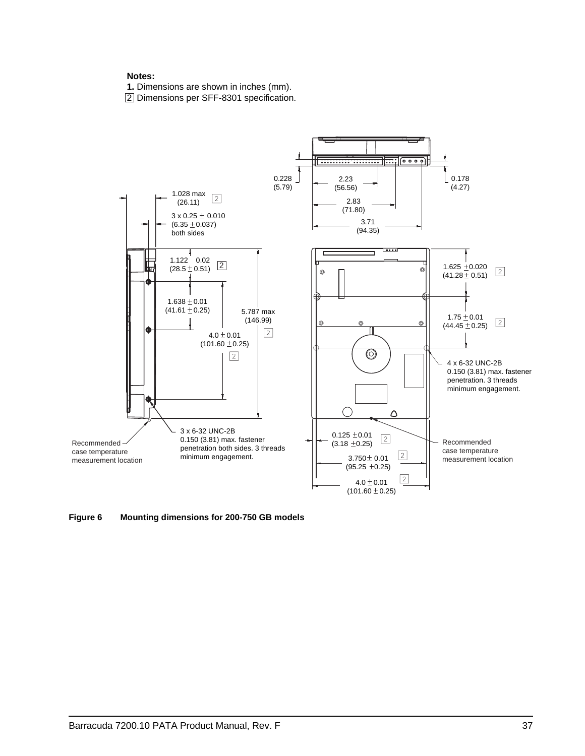#### **Notes:**

**1.** Dimensions are shown in inches (mm).

2 Dimensions per SFF-8301 specification.



<span id="page-42-0"></span>**Figure 6 Mounting dimensions for 200-750 GB models**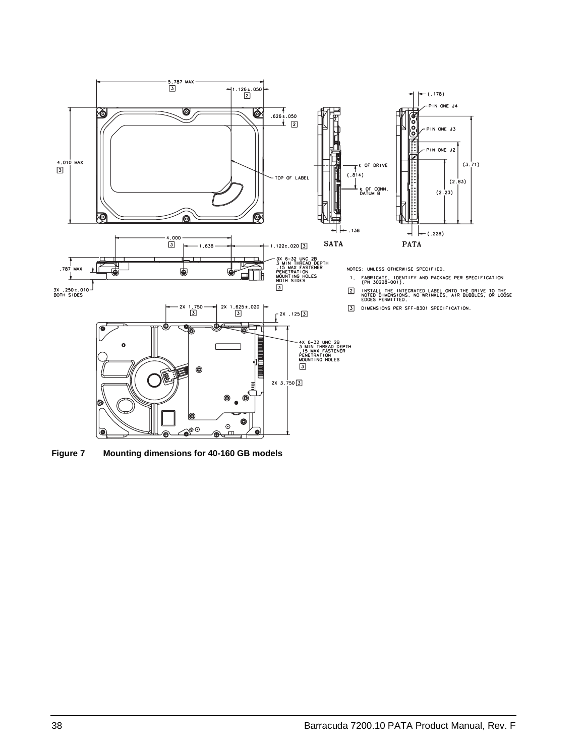

<span id="page-43-0"></span>**Figure 7 Mounting dimensions for 40-160 GB models**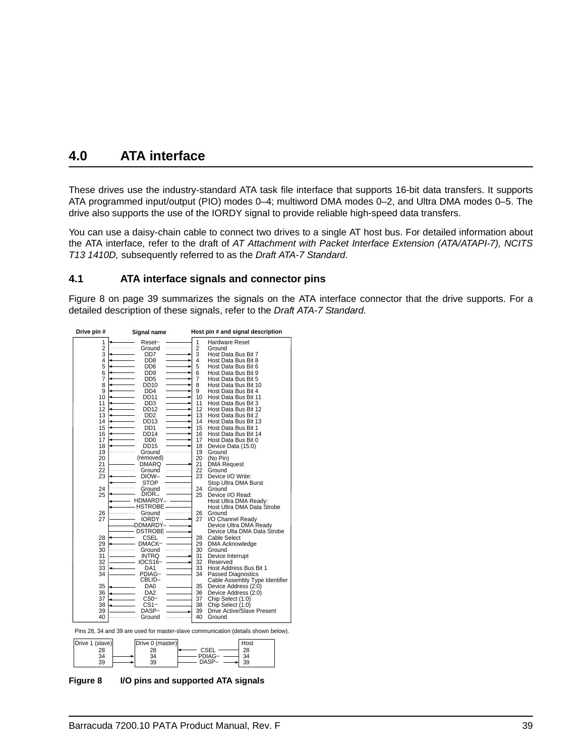## <span id="page-44-5"></span><span id="page-44-3"></span><span id="page-44-0"></span>**4.0 ATA interface**

<span id="page-44-9"></span><span id="page-44-7"></span>These drives use the industry-standard ATA task file interface that supports 16-bit data transfers. It supports ATA programmed input/output (PIO) modes 0–4; multiword DMA modes 0–2, and Ultra DMA modes 0–5. The drive also supports the use of the IORDY signal to provide reliable high-speed data transfers.

You can use a daisy-chain cable to connect two drives to a single AT host bus. For detailed information about the ATA interface, refer to the draft of *AT Attachment with Packet Interface Extension (ATA/ATAPI-7), NCITS T13 1410D,* subsequently referred to as the *Draft ATA-7 Standard*.

### <span id="page-44-10"></span><span id="page-44-8"></span><span id="page-44-6"></span><span id="page-44-4"></span><span id="page-44-1"></span>**4.1 ATA interface signals and connector pins**

[Figure 8 on page 39](#page-44-2) summarizes the signals on the ATA interface connector that the drive supports. For a detailed description of these signals, refer to the *Draft ATA-7 Standard.* 

| Drive pin #     | Signal name                 |          | Host pin # and signal description                                                 |
|-----------------|-----------------------------|----------|-----------------------------------------------------------------------------------|
| 1               | Reset-                      | 1        | <b>Hardware Reset</b>                                                             |
| $\overline{2}$  | Ground                      | 2        | Ground                                                                            |
| 3               | DD7                         | 3        | Host Data Bus Bit 7                                                               |
| 4               | D <sub>D</sub> <sub>8</sub> | 4        | Host Data Bus Bit 8                                                               |
| 5               | DD <sub>6</sub>             | 5        | Host Data Bus Bit 6                                                               |
| 6               | DD <sub>9</sub>             | 6        | Host Data Bus Bit 9                                                               |
| 7               | DD <sub>5</sub>             | 7        | Host Data Bus Bit 5                                                               |
| 8               | DD10                        | 8        | Host Data Bus Bit 10                                                              |
| 9               | DD <sub>4</sub>             | 9        | Host Data Bus Bit 4                                                               |
| 10              | DD11                        | 10       | Host Data Bus Bit 11                                                              |
| 11              | DD <sub>3</sub>             | 11       | Host Data Bus Bit 3                                                               |
| 12              | DD12                        | 12       | Host Data Bus Bit 12                                                              |
| 13              | DD <sub>2</sub>             | 13       | Host Data Bus Bit 2                                                               |
| 14              | DD13                        | 14       | Host Data Bus Bit 13                                                              |
| 15              | DD <sub>1</sub>             | 15       | Host Data Bus Bit 1                                                               |
| 16              | DD14                        | 16       | Host Data Bus Bit 14                                                              |
| 17              | DD <sub>0</sub>             | 17       | Host Data Bus Bit 0                                                               |
| 18              | DD15                        | 18       | Device Data (15:0)                                                                |
| 19              | Ground                      | 19       | Ground                                                                            |
| 20              | (removed)                   | 20       | (No Pin)                                                                          |
| 21              | DMARQ                       | 21       | <b>DMA Request</b>                                                                |
| 22              | Ground                      | 22       | Ground                                                                            |
| 23              | DIOW-                       | 23       | Device I/O Write:                                                                 |
| 24              | STOP                        | 24       | Stop Ultra DMA Burst                                                              |
| 25              | Ground<br>DIOR–             | 25       | Ground<br>Device I/O Read:                                                        |
|                 | HDMARDY-                    |          | Host Ultra DMA Ready:                                                             |
|                 | <b>HSTROBE</b>              |          | Host Ultra DMA Data Strobe                                                        |
| 26              | Ground                      | 26       | Ground                                                                            |
| 27              | <b>IORDY</b>                | 27       | I/O Channel Ready                                                                 |
|                 | DDMARDY-                    |          | Device Ultra DMA Ready                                                            |
|                 | <b>DSTROBE</b>              |          | Device Ulta DMA Data Strobe                                                       |
| 28              | CSEL                        | 28       | Cable Select                                                                      |
| 29              | DMACK-                      | 29       | <b>DMA Acknowledge</b>                                                            |
| 30              | Ground                      | 30       | Ground                                                                            |
| 31              | <b>INTRQ</b>                | 31       | Device Interrupt                                                                  |
| 32              | IOCS16-                     | 32       | Reserved                                                                          |
| 33              | DA1                         | 33       | Host Address Bus Bit 1                                                            |
| 34              | PDIAG-                      | 34       | <b>Passed Diagnostics</b>                                                         |
|                 | CBLID-                      |          | Cable Assembly Type Identifier                                                    |
| 35              | DA0                         | 35       | Device Address (2:0)                                                              |
| 36              | DA <sub>2</sub>             | 36       | Device Address (2:0)                                                              |
| 37              | CS <sub>0</sub> -           | 37       | Chip Select (1:0)                                                                 |
| 38              | CS1-                        | 38       | Chip Select (1:0)                                                                 |
| 39              | DASP-                       | 39<br>40 | Drive Active/Slave Present                                                        |
| 40              | Ground                      |          | Ground                                                                            |
|                 |                             |          | Pins 28, 34 and 39 are used for master-slave communication (details shown below). |
| Drive 1 (slave) | Drive 0 (master)            |          | Host                                                                              |
| 28              | 28                          |          | 28<br>CSEL                                                                        |
| 34              | 34                          |          | 34<br><b>PDIAG</b>                                                                |
| 39              | 39                          |          | DASP-<br>39                                                                       |
|                 |                             |          |                                                                                   |

<span id="page-44-2"></span>**Figure 8 I/O pins and supported ATA signals**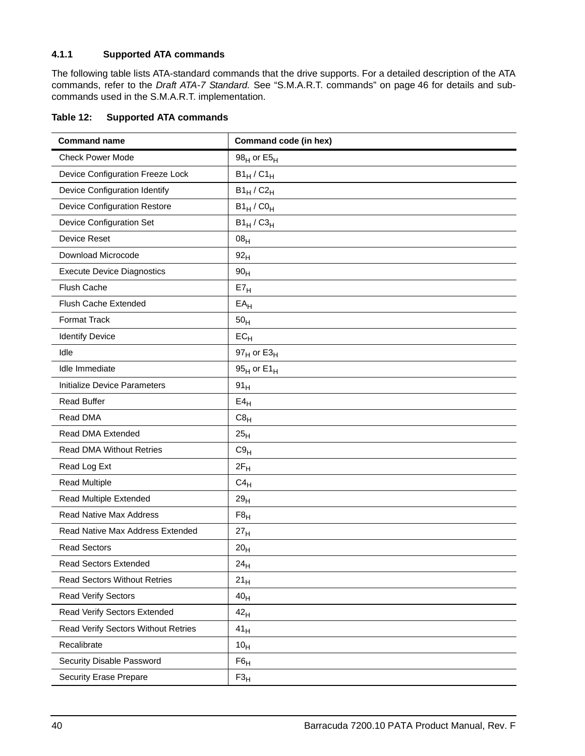## <span id="page-45-3"></span><span id="page-45-1"></span><span id="page-45-0"></span>**4.1.1 Supported ATA commands**

The following table lists ATA-standard commands that the drive supports. For a detailed description of the ATA commands, refer to the *Draft ATA-7 Standard.* [See "S.M.A.R.T. commands" on page 46](#page-51-0) for details and subcommands used in the S.M.A.R.T. implementation.

| Table 12: | <b>Supported ATA commands</b> |
|-----------|-------------------------------|
|           |                               |

<span id="page-45-35"></span><span id="page-45-34"></span><span id="page-45-33"></span><span id="page-45-32"></span><span id="page-45-31"></span><span id="page-45-30"></span><span id="page-45-29"></span><span id="page-45-28"></span><span id="page-45-27"></span><span id="page-45-26"></span><span id="page-45-25"></span><span id="page-45-24"></span><span id="page-45-23"></span><span id="page-45-22"></span><span id="page-45-21"></span><span id="page-45-20"></span><span id="page-45-19"></span><span id="page-45-18"></span><span id="page-45-17"></span><span id="page-45-16"></span><span id="page-45-15"></span><span id="page-45-14"></span><span id="page-45-13"></span><span id="page-45-12"></span><span id="page-45-11"></span><span id="page-45-10"></span><span id="page-45-9"></span><span id="page-45-8"></span><span id="page-45-7"></span><span id="page-45-6"></span><span id="page-45-5"></span><span id="page-45-4"></span><span id="page-45-2"></span>

| <b>Command name</b>                 | Command code (in hex)     |
|-------------------------------------|---------------------------|
| <b>Check Power Mode</b>             | 98 $_{H}$ or E5 $_{H}$    |
| Device Configuration Freeze Lock    | $B1_H$ / $C1_H$           |
| Device Configuration Identify       | $B1_H$ / $C2_H$           |
| <b>Device Configuration Restore</b> | $B1_H$ / $C0_H$           |
| <b>Device Configuration Set</b>     | $B1_H$ / $C3_H$           |
| Device Reset                        | 08 <sub>H</sub>           |
| Download Microcode                  | 92 <sub>H</sub>           |
| <b>Execute Device Diagnostics</b>   | 90 <sub>H</sub>           |
| <b>Flush Cache</b>                  | E7 <sub>H</sub>           |
| Flush Cache Extended                | $EA$ H                    |
| <b>Format Track</b>                 | 50 <sub>H</sub>           |
| <b>Identify Device</b>              | $EC_{H}$                  |
| Idle                                | $97_H$ or E3 <sub>H</sub> |
| Idle Immediate                      | 95 $H$ or E1 $H$          |
| <b>Initialize Device Parameters</b> | 91 <sub>H</sub>           |
| <b>Read Buffer</b>                  | $E4_H$                    |
| Read DMA                            | $C8_H$                    |
| Read DMA Extended                   | 25 <sub>H</sub>           |
| <b>Read DMA Without Retries</b>     | $C9_H$                    |
| Read Log Ext                        | $2F_H$                    |
| <b>Read Multiple</b>                | $C4_H$                    |
| Read Multiple Extended              | 29 <sub>H</sub>           |
| <b>Read Native Max Address</b>      | F8 <sub>H</sub>           |
| Read Native Max Address Extended    | 27 <sub>H</sub>           |
| <b>Read Sectors</b>                 | 20 <sub>H</sub>           |
| <b>Read Sectors Extended</b>        | 24 <sub>H</sub>           |
| <b>Read Sectors Without Retries</b> | $21_H$                    |
| <b>Read Verify Sectors</b>          | 40 <sub>H</sub>           |
| Read Verify Sectors Extended        | 42 <sub>H</sub>           |
| Read Verify Sectors Without Retries | 41 <sub>H</sub>           |
| Recalibrate                         | 10 <sub>H</sub>           |
| Security Disable Password           | F6 <sub>H</sub>           |
| <b>Security Erase Prepare</b>       | F3 <sub>H</sub>           |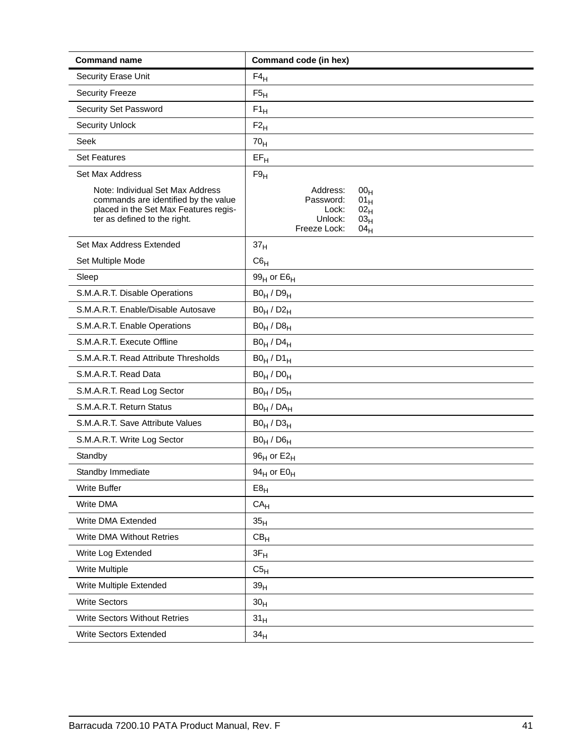<span id="page-46-31"></span><span id="page-46-30"></span><span id="page-46-29"></span><span id="page-46-28"></span><span id="page-46-27"></span><span id="page-46-26"></span><span id="page-46-25"></span><span id="page-46-24"></span><span id="page-46-23"></span><span id="page-46-22"></span><span id="page-46-21"></span><span id="page-46-20"></span><span id="page-46-19"></span><span id="page-46-18"></span><span id="page-46-17"></span><span id="page-46-16"></span><span id="page-46-15"></span><span id="page-46-14"></span><span id="page-46-13"></span><span id="page-46-12"></span><span id="page-46-11"></span><span id="page-46-10"></span><span id="page-46-9"></span><span id="page-46-8"></span><span id="page-46-7"></span><span id="page-46-6"></span><span id="page-46-5"></span><span id="page-46-4"></span><span id="page-46-3"></span><span id="page-46-2"></span><span id="page-46-1"></span><span id="page-46-0"></span>

| <b>Command name</b>                                                                                                                               | Command code (in hex)                                                                                                                                    |
|---------------------------------------------------------------------------------------------------------------------------------------------------|----------------------------------------------------------------------------------------------------------------------------------------------------------|
| Security Erase Unit                                                                                                                               | $F4_H$                                                                                                                                                   |
| <b>Security Freeze</b>                                                                                                                            | F5 <sub>H</sub>                                                                                                                                          |
| Security Set Password                                                                                                                             | $F1_H$                                                                                                                                                   |
| <b>Security Unlock</b>                                                                                                                            | $F2_{H}$                                                                                                                                                 |
| Seek                                                                                                                                              | 70 <sub>H</sub>                                                                                                                                          |
| <b>Set Features</b>                                                                                                                               | $EF_H$                                                                                                                                                   |
| Set Max Address                                                                                                                                   | F9 <sub>H</sub>                                                                                                                                          |
| Note: Individual Set Max Address<br>commands are identified by the value<br>placed in the Set Max Features regis-<br>ter as defined to the right. | Address:<br>00 <sub>H</sub><br>Password:<br>01 <sub>H</sub><br>Lock:<br>02 <sub>H</sub><br>Unlock:<br>03 <sub>H</sub><br>Freeze Lock:<br>04 <sub>H</sub> |
| Set Max Address Extended                                                                                                                          | 37 <sub>H</sub>                                                                                                                                          |
| Set Multiple Mode                                                                                                                                 | $C6_H$                                                                                                                                                   |
| Sleep                                                                                                                                             | 99 $_H$ or E6 $_H$                                                                                                                                       |
| S.M.A.R.T. Disable Operations                                                                                                                     | $B0_H / D9_H$                                                                                                                                            |
| S.M.A.R.T. Enable/Disable Autosave                                                                                                                | $B0_H / D2_H$                                                                                                                                            |
| S.M.A.R.T. Enable Operations                                                                                                                      | $B0_H / D8_H$                                                                                                                                            |
| S.M.A.R.T. Execute Offline                                                                                                                        | $B0_H / D4_H$                                                                                                                                            |
| S.M.A.R.T. Read Attribute Thresholds                                                                                                              | $B0_H / D1_H$                                                                                                                                            |
| S.M.A.R.T. Read Data                                                                                                                              | $B0_H / D0_H$                                                                                                                                            |
| S.M.A.R.T. Read Log Sector                                                                                                                        | $B0_H / D5_H$                                                                                                                                            |
| S.M.A.R.T. Return Status                                                                                                                          | $BO_H / DA_H$                                                                                                                                            |
| S.M.A.R.T. Save Attribute Values                                                                                                                  | $B0_H / D3_H$                                                                                                                                            |
| S.M.A.R.T. Write Log Sector                                                                                                                       | $B0_H / D6_H$                                                                                                                                            |
| Standby                                                                                                                                           | 96 <sub>H</sub> or E2 <sub>H</sub>                                                                                                                       |
| Standby Immediate                                                                                                                                 | 94 $H$ or E0 $H$                                                                                                                                         |
| <b>Write Buffer</b>                                                                                                                               | E8 <sub>H</sub>                                                                                                                                          |
| Write DMA                                                                                                                                         | CA <sub>H</sub>                                                                                                                                          |
| Write DMA Extended                                                                                                                                | 35 <sub>H</sub>                                                                                                                                          |
| Write DMA Without Retries                                                                                                                         | CB <sub>H</sub>                                                                                                                                          |
| Write Log Extended                                                                                                                                | $3F_H$                                                                                                                                                   |
| Write Multiple                                                                                                                                    | C5 <sub>H</sub>                                                                                                                                          |
| Write Multiple Extended                                                                                                                           | 39 <sub>H</sub>                                                                                                                                          |
| <b>Write Sectors</b>                                                                                                                              | 30 <sub>H</sub>                                                                                                                                          |
| <b>Write Sectors Without Retries</b>                                                                                                              | 31 <sub>H</sub>                                                                                                                                          |
| Write Sectors Extended                                                                                                                            | 34 <sub>H</sub>                                                                                                                                          |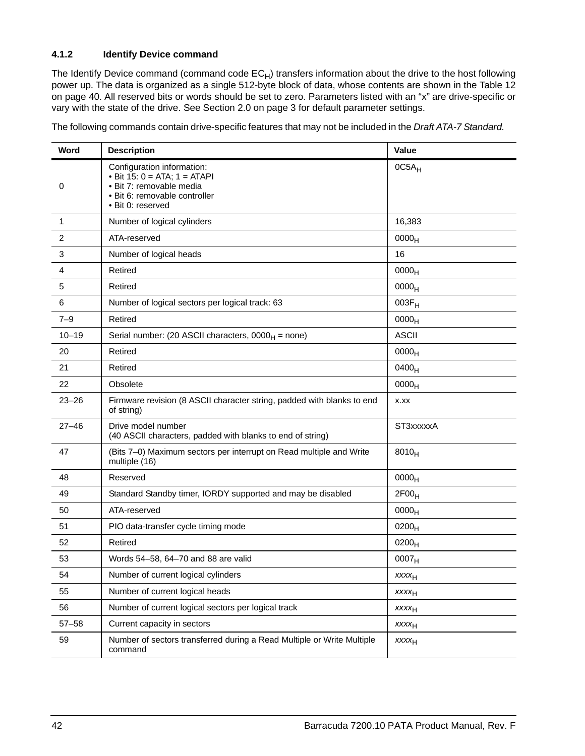## <span id="page-47-1"></span><span id="page-47-0"></span>**4.1.2 Identify Device command**

The Identify Device command (command code  $EC_H$ ) transfers information about the drive to the host following power up. The data is organized as a single 512-byte block of data, whose contents are shown in the Table 12 on page 40. All reserved bits or words should be set to zero. Parameters listed with an "x" are drive-specific or vary with the state of the drive. [See Section 2.0 on page 3 f](#page-8-0)or default parameter settings.

The following commands contain drive-specific features that may not be included in the *Draft ATA-7 Standard.* 

| Word         | <b>Description</b>                                                                                                                                | Value             |
|--------------|---------------------------------------------------------------------------------------------------------------------------------------------------|-------------------|
| 0            | Configuration information:<br>• Bit $15: 0 = ATA$ ; $1 = ATAPI$<br>· Bit 7: removable media<br>· Bit 6: removable controller<br>• Bit 0: reserved | $OC5A_H$          |
| $\mathbf{1}$ | Number of logical cylinders                                                                                                                       | 16,383            |
| 2            | ATA-reserved                                                                                                                                      | 0000 <sub>H</sub> |
| 3            | Number of logical heads                                                                                                                           | 16                |
| 4            | Retired                                                                                                                                           | 0000 <sub>H</sub> |
| 5            | Retired                                                                                                                                           | 0000 <sub>H</sub> |
| 6            | Number of logical sectors per logical track: 63                                                                                                   | $003F_H$          |
| $7 - 9$      | Retired                                                                                                                                           | 0000 <sub>H</sub> |
| $10 - 19$    | Serial number: (20 ASCII characters, $0000_H$ = none)                                                                                             | <b>ASCII</b>      |
| 20           | Retired                                                                                                                                           | 0000 <sub>H</sub> |
| 21           | Retired                                                                                                                                           | 0400 <sub>H</sub> |
| 22           | Obsolete                                                                                                                                          | 0000 <sub>H</sub> |
| $23 - 26$    | Firmware revision (8 ASCII character string, padded with blanks to end<br>of string)                                                              | X.XX              |
| $27 - 46$    | Drive model number<br>(40 ASCII characters, padded with blanks to end of string)                                                                  | ST3xxxxxA         |
| 47           | (Bits 7-0) Maximum sectors per interrupt on Read multiple and Write<br>multiple (16)                                                              | $8010_H$          |
| 48           | Reserved                                                                                                                                          | 0000 <sub>H</sub> |
| 49           | Standard Standby timer, IORDY supported and may be disabled                                                                                       | 2F00 <sub>H</sub> |
| 50           | ATA-reserved                                                                                                                                      | 0000 <sub>H</sub> |
| 51           | PIO data-transfer cycle timing mode                                                                                                               | $0200_H$          |
| 52           | Retired                                                                                                                                           | $0200_H$          |
| 53           | Words 54-58, 64-70 and 88 are valid                                                                                                               | 0007 <sub>H</sub> |
| 54           | Number of current logical cylinders                                                                                                               | $xxxx_{H}$        |
| 55           | Number of current logical heads                                                                                                                   | $xxxx_{H}$        |
| 56           | Number of current logical sectors per logical track                                                                                               | <b>XXXXH</b>      |
| $57 - 58$    | Current capacity in sectors                                                                                                                       | $xxxx_{H}$        |
| 59           | Number of sectors transferred during a Read Multiple or Write Multiple<br>command                                                                 | XXXH              |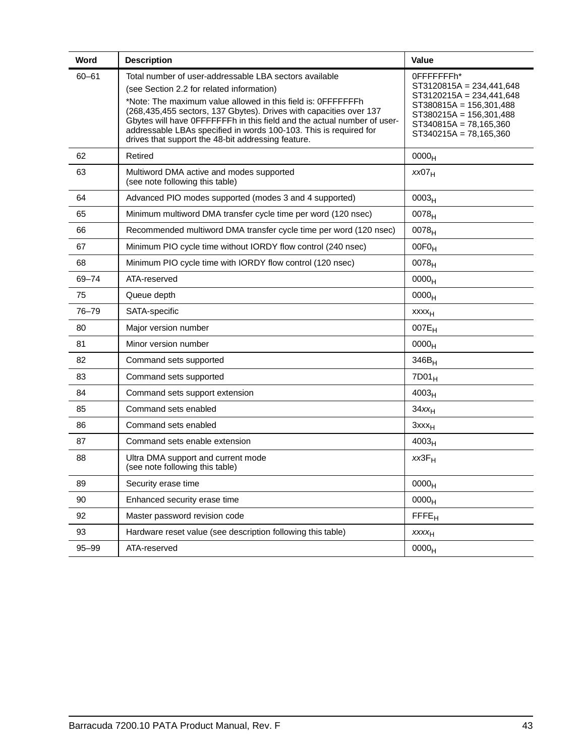| Word      | <b>Description</b>                                                                                                                                                                                                                                                                                                                                                                                                                              | <b>Value</b>                                                                                                                                                                              |
|-----------|-------------------------------------------------------------------------------------------------------------------------------------------------------------------------------------------------------------------------------------------------------------------------------------------------------------------------------------------------------------------------------------------------------------------------------------------------|-------------------------------------------------------------------------------------------------------------------------------------------------------------------------------------------|
| $60 - 61$ | Total number of user-addressable LBA sectors available<br>(see Section 2.2 for related information)<br>*Note: The maximum value allowed in this field is: OFFFFFFFh<br>(268,435,455 sectors, 137 Gbytes). Drives with capacities over 137<br>Gbytes will have OFFFFFFFh in this field and the actual number of user-<br>addressable LBAs specified in words 100-103. This is required for<br>drives that support the 48-bit addressing feature. | 0FFFFFFFFh*<br>$ST3120815A = 234,441,648$<br>$ST3120215A = 234,441,648$<br>$ST380815A = 156,301,488$<br>$ST380215A = 156,301,488$<br>$ST340815A = 78,165,360$<br>$ST340215A = 78,165,360$ |
| 62        | Retired                                                                                                                                                                                                                                                                                                                                                                                                                                         | 0000 <sub>H</sub>                                                                                                                                                                         |
| 63        | Multiword DMA active and modes supported<br>(see note following this table)                                                                                                                                                                                                                                                                                                                                                                     | XX07 <sub>H</sub>                                                                                                                                                                         |
| 64        | Advanced PIO modes supported (modes 3 and 4 supported)                                                                                                                                                                                                                                                                                                                                                                                          | 0003 <sub>H</sub>                                                                                                                                                                         |
| 65        | Minimum multiword DMA transfer cycle time per word (120 nsec)                                                                                                                                                                                                                                                                                                                                                                                   | $0078_H$                                                                                                                                                                                  |
| 66        | Recommended multiword DMA transfer cycle time per word (120 nsec)                                                                                                                                                                                                                                                                                                                                                                               | 0078 <sub>H</sub>                                                                                                                                                                         |
| 67        | Minimum PIO cycle time without IORDY flow control (240 nsec)                                                                                                                                                                                                                                                                                                                                                                                    | $00F0_H$                                                                                                                                                                                  |
| 68        | Minimum PIO cycle time with IORDY flow control (120 nsec)                                                                                                                                                                                                                                                                                                                                                                                       | 0078 <sub>H</sub>                                                                                                                                                                         |
| 69-74     | ATA-reserved                                                                                                                                                                                                                                                                                                                                                                                                                                    | 0000 <sub>H</sub>                                                                                                                                                                         |
| 75        | Queue depth                                                                                                                                                                                                                                                                                                                                                                                                                                     | 0000 <sub>H</sub>                                                                                                                                                                         |
| 76-79     | SATA-specific                                                                                                                                                                                                                                                                                                                                                                                                                                   | XXXH                                                                                                                                                                                      |
| 80        | Major version number                                                                                                                                                                                                                                                                                                                                                                                                                            | $007E_H$                                                                                                                                                                                  |
| 81        | Minor version number                                                                                                                                                                                                                                                                                                                                                                                                                            | 0000 <sub>H</sub>                                                                                                                                                                         |
| 82        | Command sets supported                                                                                                                                                                                                                                                                                                                                                                                                                          | $346B_H$                                                                                                                                                                                  |
| 83        | Command sets supported                                                                                                                                                                                                                                                                                                                                                                                                                          | $7D01_H$                                                                                                                                                                                  |
| 84        | Command sets support extension                                                                                                                                                                                                                                                                                                                                                                                                                  | 4003 <sub>H</sub>                                                                                                                                                                         |
| 85        | Command sets enabled                                                                                                                                                                                                                                                                                                                                                                                                                            | $34xx_H$                                                                                                                                                                                  |
| 86        | Command sets enabled                                                                                                                                                                                                                                                                                                                                                                                                                            | $3$ xxx $_H$                                                                                                                                                                              |
| 87        | Command sets enable extension                                                                                                                                                                                                                                                                                                                                                                                                                   | 4003 <sub>H</sub>                                                                                                                                                                         |
| 88        | Ultra DMA support and current mode<br>(see note following this table)                                                                                                                                                                                                                                                                                                                                                                           | $xx3F_H$                                                                                                                                                                                  |
| 89        | Security erase time                                                                                                                                                                                                                                                                                                                                                                                                                             | 0000 <sub>H</sub>                                                                                                                                                                         |
| 90        | Enhanced security erase time                                                                                                                                                                                                                                                                                                                                                                                                                    | 0000 <sub>H</sub>                                                                                                                                                                         |
| 92        | Master password revision code                                                                                                                                                                                                                                                                                                                                                                                                                   | <b>FFFE<sub>H</sub></b>                                                                                                                                                                   |
| 93        | Hardware reset value (see description following this table)                                                                                                                                                                                                                                                                                                                                                                                     | $xxxx_{H}$                                                                                                                                                                                |
| 95-99     | ATA-reserved                                                                                                                                                                                                                                                                                                                                                                                                                                    | 0000 <sub>H</sub>                                                                                                                                                                         |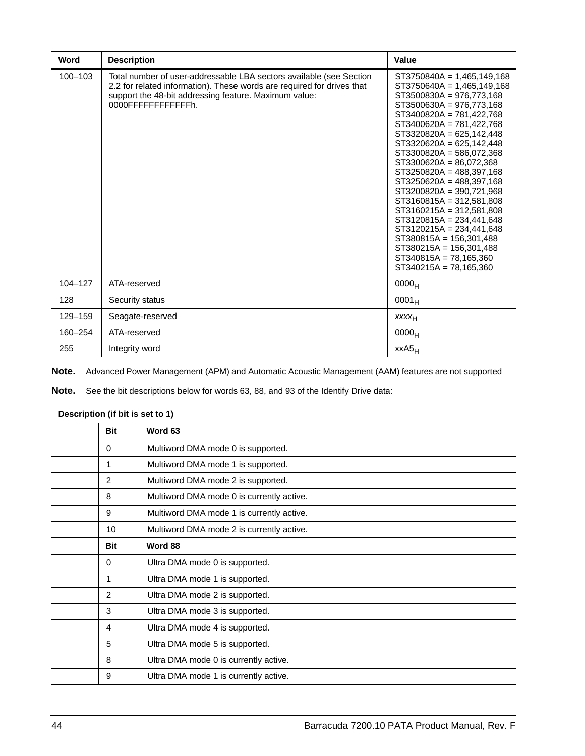| Word        | <b>Description</b>                                                                                                                                                                                                           | Value                                                                                                                                                                                                                                                                                                                                                                                                                                                                                                                                                                                                                                 |
|-------------|------------------------------------------------------------------------------------------------------------------------------------------------------------------------------------------------------------------------------|---------------------------------------------------------------------------------------------------------------------------------------------------------------------------------------------------------------------------------------------------------------------------------------------------------------------------------------------------------------------------------------------------------------------------------------------------------------------------------------------------------------------------------------------------------------------------------------------------------------------------------------|
| 100-103     | Total number of user-addressable LBA sectors available (see Section<br>2.2 for related information). These words are required for drives that<br>support the 48-bit addressing feature. Maximum value:<br>0000FFFFFFFFFFFFh. | $ST3750840A = 1,465,149,168$<br>$ST3750640A = 1,465,149,168$<br>ST3500830A = 976,773,168<br>ST3500630A = 976,773,168<br>$ST3400820A = 781.422.768$<br>ST3400620A = 781,422,768<br>$ST3320820A = 625,142,448$<br>$ST3320620A = 625,142,448$<br>ST3300820A = 586,072,368<br>$ST3300620A = 86,072,368$<br>$ST3250820A = 488,397,168$<br>$ST3250620A = 488,397,168$<br>ST3200820A = 390,721,968<br>$ST3160815A = 312,581,808$<br>$ST3160215A = 312,581,808$<br>$ST3120815A = 234,441,648$<br>$ST3120215A = 234.441.648$<br>$ST380815A = 156,301,488$<br>$ST380215A = 156,301,488$<br>$ST340815A = 78,165,360$<br>$ST340215A = 78,165,360$ |
| $104 - 127$ | ATA-reserved                                                                                                                                                                                                                 | 0000 <sub>H</sub>                                                                                                                                                                                                                                                                                                                                                                                                                                                                                                                                                                                                                     |
| 128         | Security status                                                                                                                                                                                                              | $0001_H$                                                                                                                                                                                                                                                                                                                                                                                                                                                                                                                                                                                                                              |
| 129-159     | Seagate-reserved                                                                                                                                                                                                             | XXXH                                                                                                                                                                                                                                                                                                                                                                                                                                                                                                                                                                                                                                  |
| 160-254     | ATA-reserved                                                                                                                                                                                                                 | 0000 <sub>H</sub>                                                                                                                                                                                                                                                                                                                                                                                                                                                                                                                                                                                                                     |
| 255         | Integrity word                                                                                                                                                                                                               | $xxA5_H$                                                                                                                                                                                                                                                                                                                                                                                                                                                                                                                                                                                                                              |

**Note.** Advanced Power Management (APM) and Automatic Acoustic Management (AAM) features are not supported

**Note.** See the bit descriptions below for words 63, 88, and 93 of the Identify Drive data:

| Description (if bit is set to 1) |                                           |  |
|----------------------------------|-------------------------------------------|--|
| <b>Bit</b>                       | Word 63                                   |  |
| 0                                | Multiword DMA mode 0 is supported.        |  |
| 1                                | Multiword DMA mode 1 is supported.        |  |
| 2                                | Multiword DMA mode 2 is supported.        |  |
| 8                                | Multiword DMA mode 0 is currently active. |  |
| 9                                | Multiword DMA mode 1 is currently active. |  |
| 10                               | Multiword DMA mode 2 is currently active. |  |
| <b>Bit</b>                       | Word 88                                   |  |
| 0                                | Ultra DMA mode 0 is supported.            |  |
| 1                                | Ultra DMA mode 1 is supported.            |  |
| 2                                | Ultra DMA mode 2 is supported.            |  |
| 3                                | Ultra DMA mode 3 is supported.            |  |
| 4                                | Ultra DMA mode 4 is supported.            |  |
| 5                                | Ultra DMA mode 5 is supported.            |  |
| 8                                | Ultra DMA mode 0 is currently active.     |  |
| 9                                | Ultra DMA mode 1 is currently active.     |  |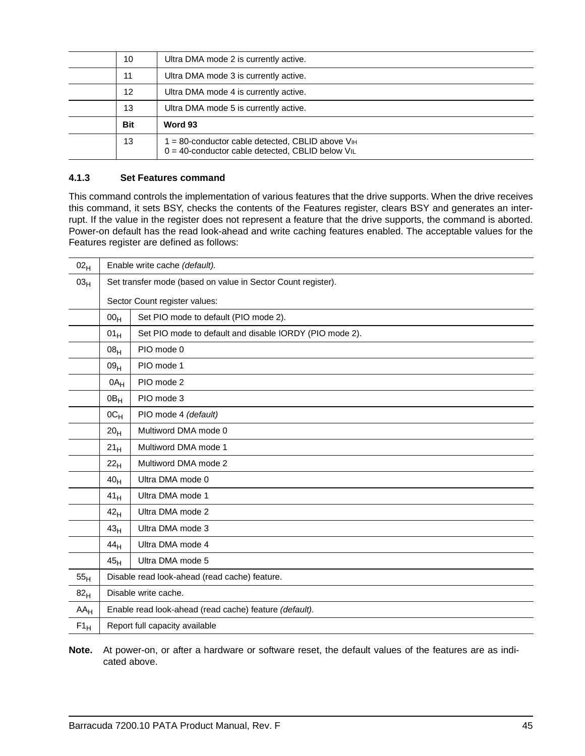| 10         | Ultra DMA mode 2 is currently active.                                                                               |
|------------|---------------------------------------------------------------------------------------------------------------------|
| 11         | Ultra DMA mode 3 is currently active.                                                                               |
| 12         | Ultra DMA mode 4 is currently active.                                                                               |
| 13         | Ultra DMA mode 5 is currently active.                                                                               |
| <b>Bit</b> | Word 93                                                                                                             |
| 13         | I = 80-conductor cable detected, CBLID above VIH<br>$0 = 40$ -conductor cable detected, CBLID below V <sub>IL</sub> |

#### <span id="page-50-3"></span><span id="page-50-0"></span>**4.1.3 Set Features command**

This command controls the implementation of various features that the drive supports. When the drive receives this command, it sets BSY, checks the contents of the Features register, clears BSY and generates an interrupt. If the value in the register does not represent a feature that the drive supports, the command is aborted. Power-on default has the read look-ahead and write caching features enabled. The acceptable values for the Features register are defined as follows:

<span id="page-50-2"></span><span id="page-50-1"></span>

| 02 <sub>H</sub>          | Enable write cache (default).                          |                                                              |  |  |  |
|--------------------------|--------------------------------------------------------|--------------------------------------------------------------|--|--|--|
| 03 <sub>H</sub>          |                                                        | Set transfer mode (based on value in Sector Count register). |  |  |  |
|                          |                                                        | Sector Count register values:                                |  |  |  |
|                          | 00 <sub>H</sub>                                        | Set PIO mode to default (PIO mode 2).                        |  |  |  |
|                          | 01 <sub>H</sub>                                        | Set PIO mode to default and disable IORDY (PIO mode 2).      |  |  |  |
|                          | 08 <sub>H</sub>                                        | PIO mode 0                                                   |  |  |  |
|                          | 09 <sub>H</sub>                                        | PIO mode 1                                                   |  |  |  |
|                          | $0A_H$                                                 | PIO mode 2                                                   |  |  |  |
|                          | 0B <sub>H</sub>                                        | PIO mode 3                                                   |  |  |  |
|                          | $OC_{H}$                                               | PIO mode 4 (default)                                         |  |  |  |
|                          | 20 <sub>H</sub>                                        | Multiword DMA mode 0                                         |  |  |  |
|                          | 21 <sub>H</sub>                                        | Multiword DMA mode 1                                         |  |  |  |
|                          | 22 <sub>H</sub>                                        | Multiword DMA mode 2                                         |  |  |  |
|                          | 40 <sub>H</sub>                                        | Ultra DMA mode 0                                             |  |  |  |
|                          | 41 <sub>H</sub>                                        | Ultra DMA mode 1                                             |  |  |  |
|                          | 42 <sub>H</sub>                                        | Ultra DMA mode 2                                             |  |  |  |
|                          | 43 <sub>H</sub>                                        | Ultra DMA mode 3                                             |  |  |  |
|                          | 44 <sub>H</sub>                                        | Ultra DMA mode 4                                             |  |  |  |
|                          | 45 <sub>H</sub>                                        | Ultra DMA mode 5                                             |  |  |  |
| 55 <sub>H</sub>          | Disable read look-ahead (read cache) feature.          |                                                              |  |  |  |
| 82 <sub>H</sub>          | Disable write cache.                                   |                                                              |  |  |  |
| $AA_H$                   | Enable read look-ahead (read cache) feature (default). |                                                              |  |  |  |
| $\mathsf{F1}_\mathsf{H}$ | Report full capacity available                         |                                                              |  |  |  |

**Note.** At power-on, or after a hardware or software reset, the default values of the features are as indicated above.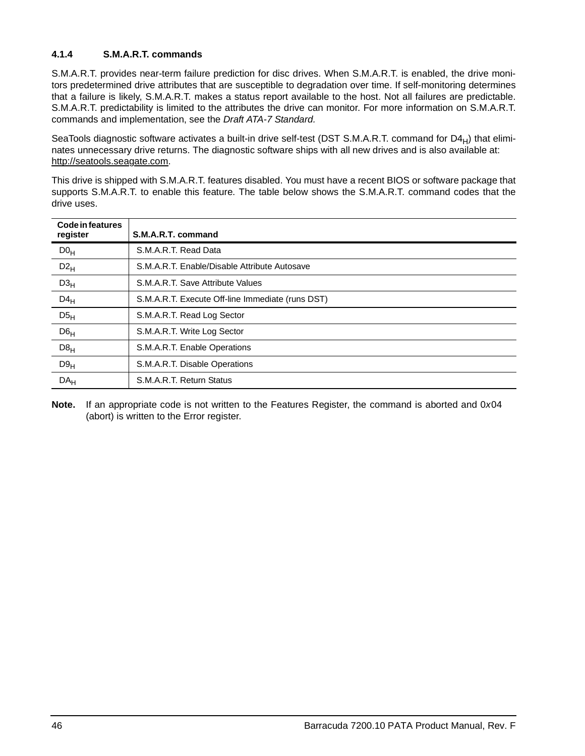## <span id="page-51-5"></span><span id="page-51-0"></span>**4.1.4 S.M.A.R.T. commands**

<span id="page-51-4"></span>S.M.A.R.T. provides near-term failure prediction for disc drives. When S.M.A.R.T. is enabled, the drive monitors predetermined drive attributes that are susceptible to degradation over time. If self-monitoring determines that a failure is likely, S.M.A.R.T. makes a status report available to the host. Not all failures are predictable. S.M.A.R.T. predictability is limited to the attributes the drive can monitor. For more information on S.M.A.R.T. commands and implementation, see the *Draft ATA-7 Standard.*

<span id="page-51-6"></span><span id="page-51-3"></span><span id="page-51-2"></span><span id="page-51-1"></span>SeaTools diagnostic software activates a built-in drive self-test (DST S.M.A.R.T. command for D4 $_H$ ) that eliminates unnecessary drive returns. The diagnostic software ships with all new drives and is also available at: http://seatools.seagate.com.

This drive is shipped with S.M.A.R.T. features disabled. You must have a recent BIOS or software package that supports S.M.A.R.T. to enable this feature. The table below shows the S.M.A.R.T. command codes that the drive uses.

| <b>Code in features</b><br>register | S.M.A.R.T. command                               |
|-------------------------------------|--------------------------------------------------|
| D0 <sub>H</sub>                     | S.M.A.R.T. Read Data                             |
| $D2_H$                              | S.M.A.R.T. Enable/Disable Attribute Autosave     |
| D3 <sub>H</sub>                     | S.M.A.R.T. Save Attribute Values                 |
| $D4_H$                              | S.M.A.R.T. Execute Off-line Immediate (runs DST) |
| D5 <sub>H</sub>                     | S.M.A.R.T. Read Log Sector                       |
| D6 <sub>H</sub>                     | S.M.A.R.T. Write Log Sector                      |
| D8 <sub>H</sub>                     | S.M.A.R.T. Enable Operations                     |
| D9 <sub>H</sub>                     | S.M.A.R.T. Disable Operations                    |
| DA <sub>H</sub>                     | S.M.A.R.T. Return Status                         |

**Note.** If an appropriate code is not written to the Features Register, the command is aborted and 0*x*04 (abort) is written to the Error register.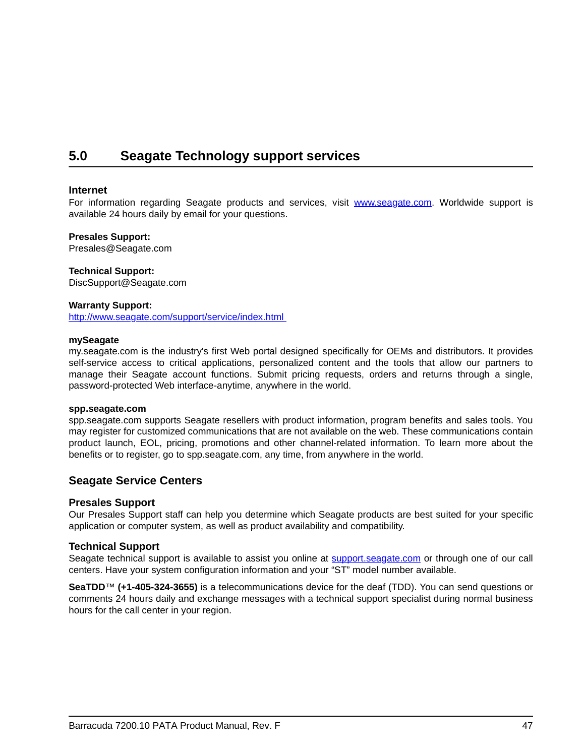## <span id="page-52-1"></span><span id="page-52-0"></span>**5.0 Seagate Technology support services**

#### **Internet**

For information regarding Seagate products and services, visit www.seagate.com. Worldwide support is available 24 hours daily by email for your questions.

#### **Presales Support:**

Presales@Seagate.com

#### **Technical Support:**

DiscSupport@Seagate.com

#### **Warranty Support:**

http://www.seagate.com/support/service/index.html

#### **mySeagate**

my.seagate.com is the industry's first Web portal designed specifically for OEMs and distributors. It provides self-service access to critical applications, personalized content and the tools that allow our partners to manage their Seagate account functions. Submit pricing requests, orders and returns through a single, password-protected Web interface-anytime, anywhere in the world.

#### **spp.seagate.com**

spp.seagate.com supports Seagate resellers with product information, program benefits and sales tools. You may register for customized communications that are not available on the web. These communications contain product launch, EOL, pricing, promotions and other channel-related information. To learn more about the benefits or to register, go to spp.seagate.com, any time, from anywhere in the world.

## **Seagate Service Centers**

#### **Presales Support**

Our Presales Support staff can help you determine which Seagate products are best suited for your specific application or computer system, as well as product availability and compatibility.

### **Technical Support**

Seagate technical support is available to assist you online at support.seagate.com or through one of our call centers. Have your system configuration information and your "ST" model number available.

**SeaTDD**™ **(+1-405-324-3655)** is a telecommunications device for the deaf (TDD). You can send questions or comments 24 hours daily and exchange messages with a technical support specialist during normal business hours for the call center in your region.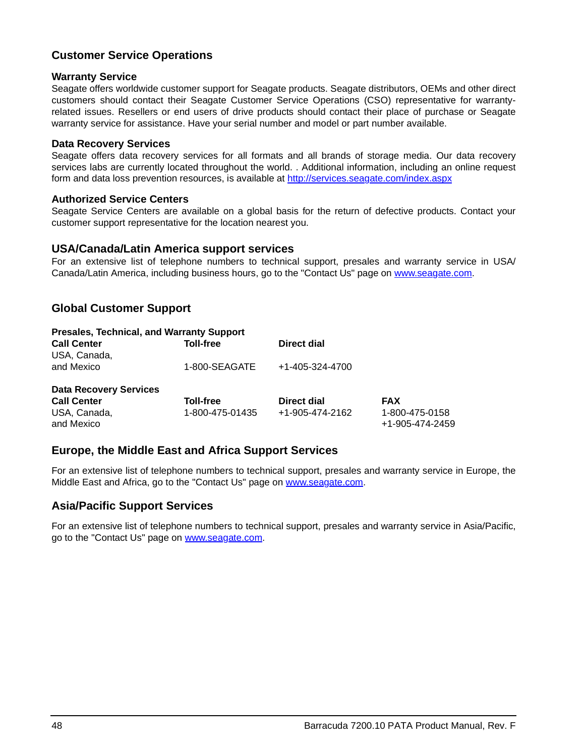## **Customer Service Operations**

### **Warranty Service**

Seagate offers worldwide customer support for Seagate products. Seagate distributors, OEMs and other direct customers should contact their Seagate Customer Service Operations (CSO) representative for warrantyrelated issues. Resellers or end users of drive products should contact their place of purchase or Seagate warranty service for assistance. Have your serial number and model or part number available.

### **Data Recovery Services**

Seagate offers data recovery services for all formats and all brands of storage media. Our data recovery services labs are currently located throughout the world. . Additional information, including an online request form and data loss prevention resources, is available at http://services.seagate.com/index.aspx

### **Authorized Service Centers**

Seagate Service Centers are available on a global basis for the return of defective products. Contact your customer support representative for the location nearest you.

## **USA/Canada/Latin America support services**

For an extensive list of telephone numbers to technical support, presales and warranty service in USA/ Canada/Latin America, including business hours, go to the "Contact Us" page on www.seagate.com.

## **Global Customer Support**

| <b>Presales, Technical, and Warranty Support</b> |                  |                 |                                   |
|--------------------------------------------------|------------------|-----------------|-----------------------------------|
| <b>Call Center</b><br>USA, Canada,               | <b>Toll-free</b> | Direct dial     |                                   |
| and Mexico                                       | 1-800-SEAGATE    | +1-405-324-4700 |                                   |
| <b>Data Recovery Services</b>                    |                  |                 |                                   |
| <b>Call Center</b>                               | <b>Toll-free</b> | Direct dial     | <b>FAX</b>                        |
| USA, Canada,<br>and Mexico                       | 1-800-475-01435  | +1-905-474-2162 | 1-800-475-0158<br>+1-905-474-2459 |

## **Europe, the Middle East and Africa Support Services**

For an extensive list of telephone numbers to technical support, presales and warranty service in Europe, the Middle East and Africa, go to the "Contact Us" page on www.seagate.com.

## **Asia/Pacific Support Services**

For an extensive list of telephone numbers to technical support, presales and warranty service in Asia/Pacific, go to the "Contact Us" page on www.seagate.com.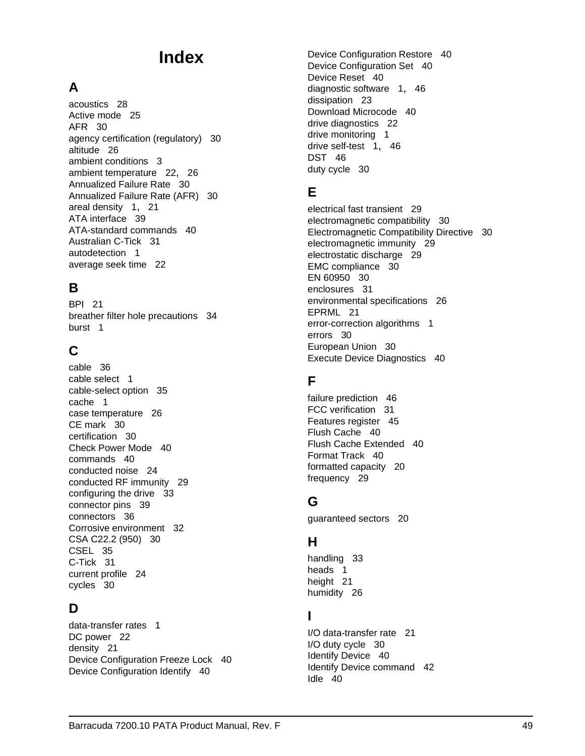# **Index**

## **A**

acoustics [28](#page-33-1) Active mode [25](#page-30-2) AFR [30](#page-35-5) agency certification (regulatory) [30](#page-35-6) altitude [26](#page-31-5) ambient conditions [3](#page-8-2) ambient temperature [22](#page-27-4), [26](#page-31-6) Annualized Failure Rate [30](#page-35-7) Annualized Failure Rate (AFR) [30](#page-35-8) areal density [1](#page-6-1), [21](#page-26-2) ATA interface [39](#page-44-3) ATA-standard commands [40](#page-45-1) Australian C-Tick [31](#page-36-2) autodetection [1](#page-6-2) average seek time [22](#page-27-5)

## **B**

BPI [21](#page-26-3) breat[her filter hole precautions](#page-6-3) [34](#page-39-2) burst 1

## **C**

cable [36](#page-41-3) cable select [1](#page-6-4) cable-select option [35](#page-40-4) cache [1](#page-6-5) case temperature [26](#page-31-7) CE mark [30](#page-35-9) certification [30](#page-35-10) Check Power Mode [40](#page-45-2) commands [40](#page-45-3) conducted noise [24](#page-29-3) conducted RF immunity [29](#page-34-1) configuring the drive [33](#page-38-2) connector pins [39](#page-44-4) connectors [36](#page-41-4) Corrosive environment [32](#page-37-2) CSA C22.2 (950) [30](#page-35-11) CSEL [35](#page-40-5) C-Tick [31](#page-36-3) current profile [24](#page-29-4) cycles [30](#page-35-12)

## **D**

data-transfer rates [1](#page-6-6) DC power [22](#page-27-6) density [21](#page-26-4) Device Configuration Freeze Lock [40](#page-45-4) Device Configuration Identify [40](#page-45-5)

Device Configuration Restore [40](#page-45-6) Device Configuration Set [40](#page-45-7) Device Reset [40](#page-45-8) diagnostic software [1](#page-6-7), [46](#page-51-1) dissipation [23](#page-28-1) Download Microcode [40](#page-45-9) drive diagnostics [22](#page-27-7) drive monitoring [1](#page-6-8) drive self-test [1,](#page-6-9) [46](#page-51-2) DST [46](#page-51-3) duty cycle [30](#page-35-13)

## **E**

electrical fast transient [29](#page-34-2) electromagnetic compatibility [30](#page-35-14) Electromagnetic Compatibility Directive [30](#page-35-15) electromagnetic immunity [29](#page-34-3) electrostatic discharge [29](#page-34-4) EMC compliance [30](#page-35-16) EN 60950 [30](#page-35-17) enclosures [31](#page-36-4) environmental specifications [26](#page-31-8) EPRML [21](#page-26-5) error-correction algorithms [1](#page-6-10) errors [30](#page-35-18) European Union [30](#page-35-19) Execute Device Diagnostics [40](#page-45-10)

## **F**

failure prediction [46](#page-51-4) FCC verification [31](#page-36-5) Features register [45](#page-50-1) Flush Cache [40](#page-45-11) Flush Cache Extended [40](#page-45-12) Format Track [40](#page-45-13) formatted capacity [20](#page-25-3) frequency [29](#page-34-5)

## **G**

guaranteed sectors [20](#page-25-4)

## **H**

handling [33](#page-38-3) heads [1](#page-6-11) height [21](#page-26-6) humidity [26](#page-31-9)

## **I**

I/O data-transfer rate [21](#page-26-7) I/O duty cycle [30](#page-35-20) Identify Device [40](#page-45-14) Identify Device command [42](#page-47-1) Idle [40](#page-45-15)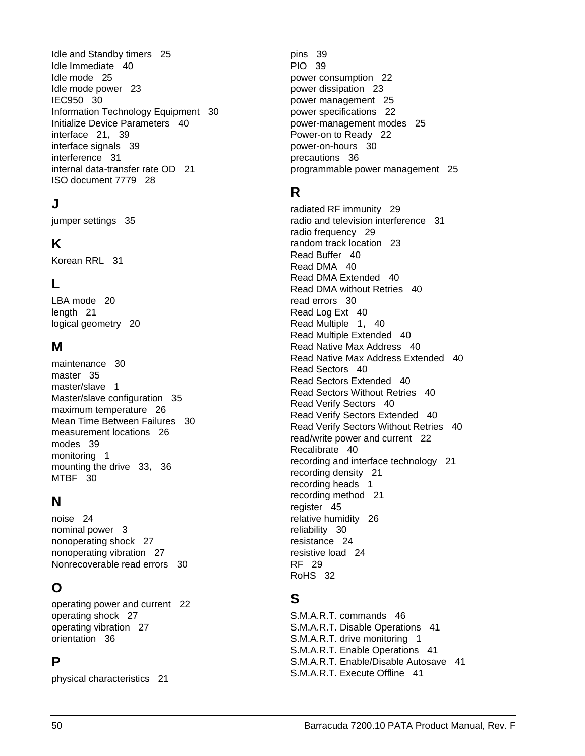Idle and Standby timers [25](#page-30-3) Idle Immediate [40](#page-45-16) Idle mode [25](#page-30-4) Idle mode power [23](#page-28-2) IEC950 [30](#page-35-21) Information Technology Equipment [30](#page-35-22) Initialize Device Parameters [40](#page-45-17) interface [21](#page-26-8), [39](#page-44-5) interface signals [39](#page-44-6) interference [31](#page-36-6) internal data-transfer rate OD [21](#page-26-9) ISO document 7779 [28](#page-33-2)

## **J**

jumper settings [35](#page-40-6)

## **K**

Korean RRL [31](#page-36-7)

## **L**

LBA mode [20](#page-25-5) length [21](#page-26-10) logical geometry [20](#page-25-6)

## **M**

maintenance [30](#page-35-23) master [35](#page-40-7) master/slave [1](#page-6-12) Master/slave configuration [35](#page-40-8) maximum temperature [26](#page-31-10) Mean Time Between Failures [30](#page-35-24) measurement locations [26](#page-31-11) modes [39](#page-44-7) monitoring [1](#page-6-13) mounting the drive [33](#page-38-4), [36](#page-41-5) MTBF [30](#page-35-25)

## **N**

noise [24](#page-29-5) nominal power [3](#page-8-3) nonoperating shock [27](#page-32-2) nonoperating vibration [27](#page-32-3) Nonrecoverable read errors [30](#page-35-26)

## **O**

operating power and current [22](#page-27-8) operating shock [27](#page-32-4) operating vibration [27](#page-32-5) orientation [36](#page-41-6)

## **P**

physical characteristics [21](#page-26-11)

pins [39](#page-44-8) PIO [39](#page-44-9) power consumption [22](#page-27-9) power dissipation [23](#page-28-3) power management [25](#page-30-5) power specifications [22](#page-27-10) power-management modes [25](#page-30-6) Power-on to Ready [22](#page-27-11) power-on-hours [30](#page-35-27) precautions [36](#page-41-7) programmable power management [25](#page-30-7)

## **R**

radiated RF immunity [29](#page-34-6) radio and television interference [31](#page-36-8) radio frequency [29](#page-34-7) random track location [23](#page-28-4) Read Buffer [40](#page-45-18) Read DMA [40](#page-45-19) Read DMA Extended [40](#page-45-20) Read DMA without Retries [40](#page-45-21) read errors [30](#page-35-28) Read Log Ext [40](#page-45-22) Read Multiple [1,](#page-6-14) [40](#page-45-23) Read Multiple Extended [40](#page-45-24) Read Native Max Address [40](#page-45-25) Read Native Max Address Extended [40](#page-45-26) Read Sectors [40](#page-45-27) Read Sectors Extended [40](#page-45-28) Read Sectors Without Retries [40](#page-45-29) Read Verify Sectors [40](#page-45-30) Read Verify Sectors Extended [40](#page-45-31) Read Verify Sectors Without Retries [40](#page-45-32) read/write power and current [22](#page-27-12) Recalibrate [40](#page-45-33) recording and interface technology [21](#page-26-12) recording density [21](#page-26-13) recording heads [1](#page-6-15) recording method [21](#page-26-14) register [45](#page-50-2) relative humidity [26](#page-31-12) reliability [30](#page-35-29) resistance [24](#page-29-6) resistive load [24](#page-29-7) RF [29](#page-34-8) RoHS [32](#page-37-3)

## **S**

S.M.A.R.T. commands [46](#page-51-5) S.M.A.R.T. Disable Operations [41](#page-46-0) S.M.A.R.T. drive monitoring [1](#page-6-16) S.M.A.R.T. Enable Operations [41](#page-46-1) S.M.A.R.T. Enable/Disable Autosave [41](#page-46-2) S.M.A.R.T. Execute Offline [41](#page-46-3)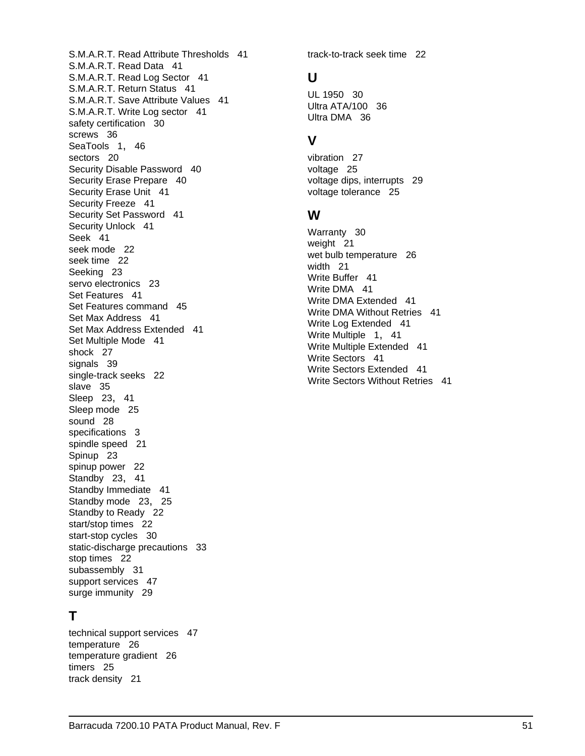Barracuda 7200.10 PATA Product Manual, Rev. F 51 support services [47](#page-52-1) surge immunity [29](#page-34-9) **T** technical support services [47](#page-52-1) temperature [26](#page-31-13) temperature gradient [26](#page-31-14) timers [25](#page-30-10) track density [21](#page-26-16)

S.M.A.R.T. Read Attribute Thresholds [41](#page-46-4) S.M.A.R.T. Read Data [41](#page-46-5) S.M.A.R.T. Read Log Sector [41](#page-46-6) S.M.A.R.T. Return Status [41](#page-46-7) S.M.A.R.T. Save Attribute Values [41](#page-46-8) S.M.A.R.T. Write Log sector [41](#page-46-9) safety certification [30](#page-35-30) screws [36](#page-41-8) SeaTools [1,](#page-6-17) [46](#page-51-6) sectors [20](#page-25-7) Security Disable Password [40](#page-45-34) Security Erase Prepare [40](#page-45-35) Security Erase Unit [41](#page-46-10) Security Freeze [41](#page-46-11) Security Set Password [41](#page-46-12) Security Unlock [41](#page-46-13) Seek [41](#page-46-14) seek mode [22](#page-27-13) seek time [22](#page-27-14) Seeking [23](#page-28-5) servo electronics [23](#page-28-6) Set Features [41](#page-46-15) Set Features command [45](#page-50-3) Set Max Address [41](#page-46-16) Set Max Address Extended [41](#page-46-17) Set Multiple Mode [41](#page-46-18) shock [27](#page-32-6) signals [39](#page-44-10) single-track seeks [22](#page-27-15) slave [35](#page-40-9) Sleep [23,](#page-28-7) [41](#page-46-19) Sleep mode [25](#page-30-8) sound [28](#page-33-3) specifications [3](#page-8-4) spindle speed [21](#page-26-15) Spinup [23](#page-28-8) spinup power [22](#page-27-16) Standby [23,](#page-28-9) [41](#page-46-20) Standby Immediate [41](#page-46-21) Standby mode [23](#page-28-10), [25](#page-30-9) Standby to Ready [22](#page-27-17) start/stop times [22](#page-27-18) start-stop cycles [30](#page-35-31) static-discharge precautions [33](#page-38-5) stop times [22](#page-27-19) subassembly [31](#page-36-9)

## track-to-track seek time [22](#page-27-20)

## **U**

UL 1950 [30](#page-35-32) Ultra ATA/100 [36](#page-41-9) Ultra DMA [36](#page-41-10)

## **V**

vibration [27](#page-32-7) voltage [25](#page-30-11) voltage dips, interrupts [29](#page-34-10) voltage tolerance [25](#page-30-12)

## **W**

Warranty [30](#page-35-33) weight [21](#page-26-17) wet bulb temperature [26](#page-31-15) width [21](#page-26-18) Write Buffer [41](#page-46-22) Write DMA [41](#page-46-23) Write DMA Extended [41](#page-46-24) Write DMA Without Retries [41](#page-46-25) Write Log Extended [41](#page-46-26) Write Multiple [1](#page-6-18), [41](#page-46-27) Write Multiple Extended [41](#page-46-28) Write Sectors [41](#page-46-29) Write Sectors Extended [41](#page-46-30) Write Sectors Without Retries [41](#page-46-31)